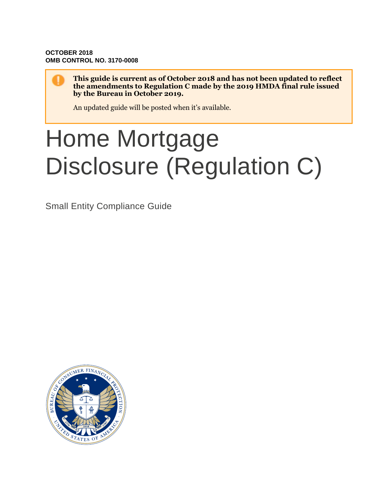**OCTOBER 2018 OMB CONTROL NO. 3170-0008**

> **This guide is current as of October 2018 and has not been updated to reflect the amendments to Regulation C made by the 2019 HMDA final rule issued by the Bureau in October 2019.**

An updated guide will be posted when it's available.

# Home Mortgage Disclosure (Regulation C)

Small Entity Compliance Guide

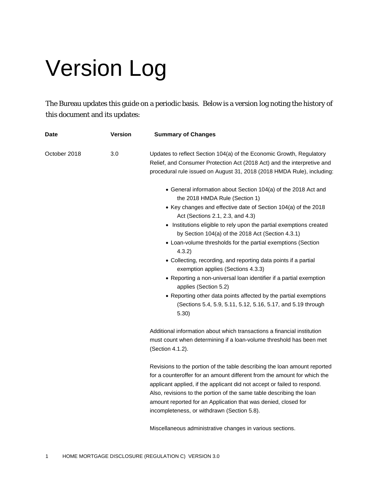# Version Log

The Bureau updates this guide on a periodic basis. Below is a version log noting the history of this document and its updates:

| Date         | <b>Version</b> | <b>Summary of Changes</b>                                                                                                                                                                                                 |
|--------------|----------------|---------------------------------------------------------------------------------------------------------------------------------------------------------------------------------------------------------------------------|
| October 2018 | 3.0            | Updates to reflect Section 104(a) of the Economic Growth, Regulatory<br>Relief, and Consumer Protection Act (2018 Act) and the interpretive and<br>procedural rule issued on August 31, 2018 (2018 HMDA Rule), including: |
|              |                | • General information about Section 104(a) of the 2018 Act and<br>the 2018 HMDA Rule (Section 1)                                                                                                                          |
|              |                | • Key changes and effective date of Section 104(a) of the 2018<br>Act (Sections 2.1, 2.3, and 4.3)                                                                                                                        |
|              |                | • Institutions eligible to rely upon the partial exemptions created<br>by Section 104(a) of the 2018 Act (Section 4.3.1)                                                                                                  |
|              |                | • Loan-volume thresholds for the partial exemptions (Section<br>4.3.2)                                                                                                                                                    |
|              |                | • Collecting, recording, and reporting data points if a partial<br>exemption applies (Sections 4.3.3)                                                                                                                     |
|              |                | • Reporting a non-universal loan identifier if a partial exemption<br>applies (Section 5.2)                                                                                                                               |
|              |                | • Reporting other data points affected by the partial exemptions<br>(Sections 5.4, 5.9, 5.11, 5.12, 5.16, 5.17, and 5.19 through<br>5.30)                                                                                 |
|              |                | Additional information about which transactions a financial institution                                                                                                                                                   |
|              |                | must count when determining if a loan-volume threshold has been met<br>(Section 4.1.2).                                                                                                                                   |
|              |                | Revisions to the portion of the table describing the loan amount reported                                                                                                                                                 |
|              |                | for a counteroffer for an amount different from the amount for which the                                                                                                                                                  |
|              |                | applicant applied, if the applicant did not accept or failed to respond.                                                                                                                                                  |
|              |                | Also, revisions to the portion of the same table describing the loan                                                                                                                                                      |
|              |                | amount reported for an Application that was denied, closed for                                                                                                                                                            |
|              |                | incompleteness, or withdrawn (Section 5.8).                                                                                                                                                                               |

Miscellaneous administrative changes in various sections.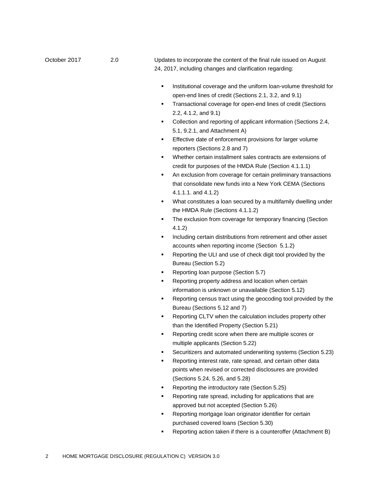October 2017 2.0 Updates to incorporate the content of the final rule issued on August 24, 2017, including changes and clarification regarding:

- **Institutional coverage and the uniform loan-volume threshold for** open-end lines of credit (Sections 2.1, 3.2, and 9.1)
- **Transactional coverage for open-end lines of credit (Sections** 2.2, 4.1.2, and 9.1)
- Collection and reporting of applicant information (Sections 2.4, 5.1, 9.2.1, and Attachment A)
- Effective date of enforcement provisions for larger volume reporters (Sections 2.8 and 7)
- Whether certain installment sales contracts are extensions of credit for purposes of the HMDA Rule (Section 4.1.1.1)
- **An exclusion from coverage for certain preliminary transactions** that consolidate new funds into a New York CEMA (Sections 4.1.1.1. and 4.1.2)
- What constitutes a loan secured by a multifamily dwelling under the HMDA Rule (Sections 4.1.1.2)
- The exclusion from coverage for temporary financing (Section 4.1.2)
- **Including certain distributions from retirement and other asset** accounts when reporting income (Section 5.1.2)
- **Reporting the ULI and use of check digit tool provided by the** Bureau (Section 5.2)
- Reporting loan purpose (Section 5.7)
- **Reporting property address and location when certain** information is unknown or unavailable (Section 5.12)
- **Reporting census tract using the geocoding tool provided by the** Bureau (Sections 5.12 and 7)
- **Reporting CLTV when the calculation includes property other** than the Identified Property (Section 5.21)
- **Reporting credit score when there are multiple scores or** multiple applicants (Section 5.22)
- Securitizers and automated underwriting systems (Section 5.23)
- Reporting interest rate, rate spread, and certain other data points when revised or corrected disclosures are provided (Sections 5.24, 5.26, and 5.28)
- Reporting the introductory rate (Section 5.25)
- Reporting rate spread, including for applications that are approved but not accepted (Section 5.26)
- Reporting mortgage loan originator identifier for certain purchased covered loans (Section 5.30)
- Reporting action taken if there is a counteroffer (Attachment B)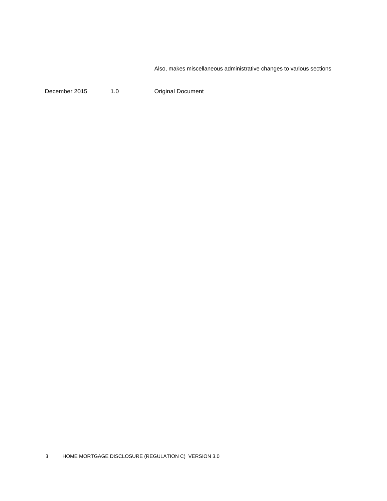Also, makes miscellaneous administrative changes to various sections

December 2015 1.0 Original Document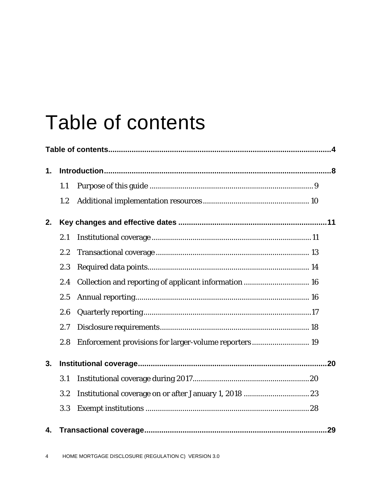## Table of contents

| 1. |     |                                                        |
|----|-----|--------------------------------------------------------|
|    | 1.1 |                                                        |
|    | 1.2 |                                                        |
| 2. |     |                                                        |
|    | 2.1 |                                                        |
|    | 2.2 |                                                        |
|    | 2.3 |                                                        |
|    | 2.4 | Collection and reporting of applicant information  16  |
|    | 2.5 |                                                        |
|    | 2.6 |                                                        |
|    | 2.7 |                                                        |
|    | 2.8 | Enforcement provisions for larger-volume reporters 19  |
| 3. |     |                                                        |
|    | 3.1 |                                                        |
|    | 3.2 | Institutional coverage on or after January 1, 2018  23 |
|    | 3.3 |                                                        |
|    |     |                                                        |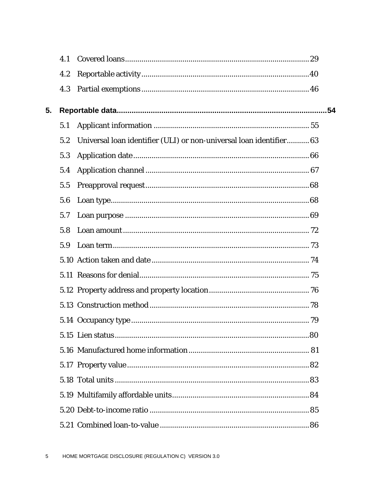|    | 4.1 |                                                                     |  |
|----|-----|---------------------------------------------------------------------|--|
|    | 4.2 |                                                                     |  |
|    | 4.3 |                                                                     |  |
| 5. |     |                                                                     |  |
|    | 5.1 |                                                                     |  |
|    | 5.2 | Universal loan identifier (ULI) or non-universal loan identifier 63 |  |
|    | 5.3 |                                                                     |  |
|    | 5.4 |                                                                     |  |
|    | 5.5 |                                                                     |  |
|    | 5.6 |                                                                     |  |
|    | 5.7 |                                                                     |  |
|    | 5.8 |                                                                     |  |
|    | 5.9 |                                                                     |  |
|    |     |                                                                     |  |
|    |     |                                                                     |  |
|    |     |                                                                     |  |
|    |     |                                                                     |  |
|    |     |                                                                     |  |
|    |     |                                                                     |  |
|    |     |                                                                     |  |
|    |     |                                                                     |  |
|    |     |                                                                     |  |
|    |     |                                                                     |  |
|    |     |                                                                     |  |
|    |     |                                                                     |  |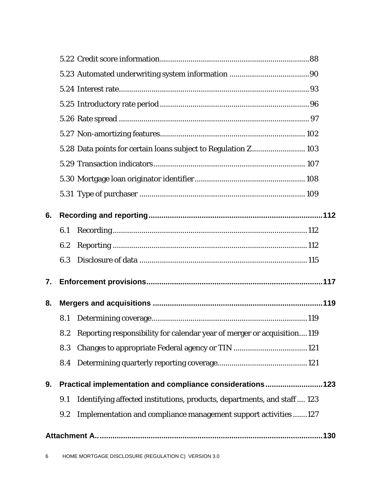|    |     | 5.28 Data points for certain loans subject to Regulation Z 103          |  |
|----|-----|-------------------------------------------------------------------------|--|
|    |     |                                                                         |  |
|    |     |                                                                         |  |
|    |     |                                                                         |  |
| 6. |     |                                                                         |  |
|    | 6.1 |                                                                         |  |
|    | 6.2 |                                                                         |  |
|    | 6.3 |                                                                         |  |
| 7. |     |                                                                         |  |
| 8. |     |                                                                         |  |
|    | 8.1 |                                                                         |  |
|    | 8.2 | Reporting responsibility for calendar year of merger or acquisition119  |  |
|    | 8.3 |                                                                         |  |
|    | 8.4 |                                                                         |  |
| 9. |     | Practical implementation and compliance considerations123               |  |
|    | 9.1 | Identifying affected institutions, products, departments, and staff 123 |  |
|    | 9.2 | Implementation and compliance management support activities 127         |  |
|    |     |                                                                         |  |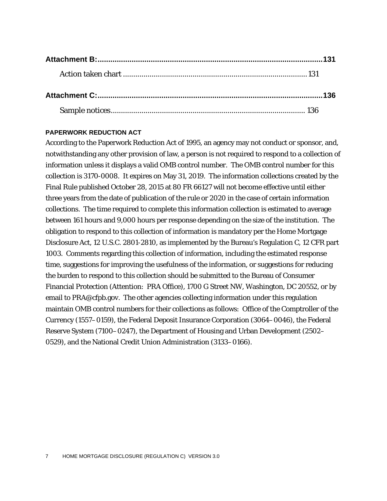#### **PAPERWORK REDUCTION ACT**

According to the Paperwork Reduction Act of 1995, an agency may not conduct or sponsor, and, notwithstanding any other provision of law, a person is not required to respond to a collection of information unless it displays a valid OMB control number. The OMB control number for this collection is 3170-0008. It expires on May 31, 2019. The information collections created by the Final Rule published October 28, 2015 at 80 FR 66127 will not become effective until either three years from the date of publication of the rule or 2020 in the case of certain information collections. The time required to complete this information collection is estimated to average between 161 hours and 9,000 hours per response depending on the size of the institution. The obligation to respond to this collection of information is mandatory per the Home Mortgage Disclosure Act, 12 U.S.C. 2801-2810, as implemented by the Bureau's Regulation C, 12 CFR part 1003. Comments regarding this collection of information, including the estimated response time, suggestions for improving the usefulness of the information, or suggestions for reducing the burden to respond to this collection should be submitted to the Bureau of Consumer Financial Protection (Attention: PRA Office), 1700 G Street NW, Washington, DC 20552, or by email to [PRA@cfpb.gov.](mailto:PRA@cfpb.gov) The other agencies collecting information under this regulation maintain OMB control numbers for their collections as follows: Office of the Comptroller of the Currency (1557–0159), the Federal Deposit Insurance Corporation (3064–0046), the Federal Reserve System (7100–0247), the Department of Housing and Urban Development (2502– 0529), and the National Credit Union Administration (3133–0166).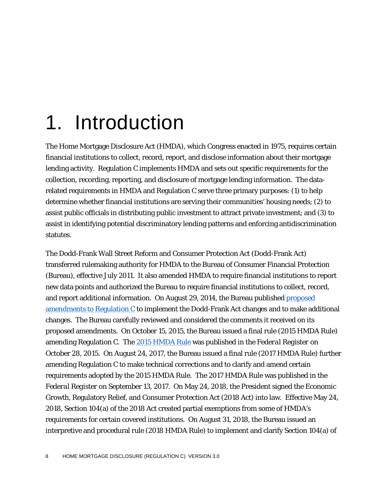## 1. Introduction

The Home Mortgage Disclosure Act (HMDA), which Congress enacted in 1975, requires certain financial institutions to collect, record, report, and disclose information about their mortgage lending activity. Regulation C implements HMDA and sets out specific requirements for the collection, recording, reporting, and disclosure of mortgage lending information. The datarelated requirements in HMDA and Regulation C serve three primary purposes: (1) to help determine whether financial institutions are serving their communities' housing needs; (2) to assist public officials in distributing public investment to attract private investment; and (3) to assist in identifying potential discriminatory lending patterns and enforcing antidiscrimination statutes.

The Dodd-Frank Wall Street Reform and Consumer Protection Act (Dodd-Frank Act) transferred rulemaking authority for HMDA to the Bureau of Consumer Financial Protection (Bureau), effective July 2011. It also amended HMDA to require financial institutions to report new data points and authorized the Bureau to require financial institutions to collect, record, and report additional information. On August 29, 2014, the Bureau published [proposed](https://www.federalregister.gov/articles/2014/08/29/2014-18353/home-mortgage-disclosure-regulation-c)  [amendments to Regulation C](https://www.federalregister.gov/articles/2014/08/29/2014-18353/home-mortgage-disclosure-regulation-c) to implement the Dodd-Frank Act changes and to make additional changes. The Bureau carefully reviewed and considered the comments it received on its proposed amendments. On October 15, 2015, the Bureau issued a final rule (2015 HMDA Rule) amending Regulation C. The [2015 HMDA Rule](https://www.federalregister.gov/articles/2015/10/28/2015-26607/home-mortgage-disclosure-regulation-c?utm_campaign=subscription+mailing+list&utm_medium=email&utm_source=federalregister.gov) was published in the *Federal Register* on October 28, 2015. On August 24, 2017, the Bureau issued a final rule (2017 HMDA Rule) further amending Regulation C to make technical corrections and to clarify and amend certain requirements adopted by the 2015 HMDA Rule. The 2017 HMDA Rule was published in the *Federal Register* on September 13, 2017. On May 24, 2018, the President signed the Economic Growth, Regulatory Relief, and Consumer Protection Act (2018 Act) into law. Effective May 24, 2018, Section 104(a) of the 2018 Act created partial exemptions from some of HMDA's requirements for certain covered institutions. On August 31, 2018, the Bureau issued an interpretive and procedural rule (2018 HMDA Rule) to implement and clarify Section 104(a) of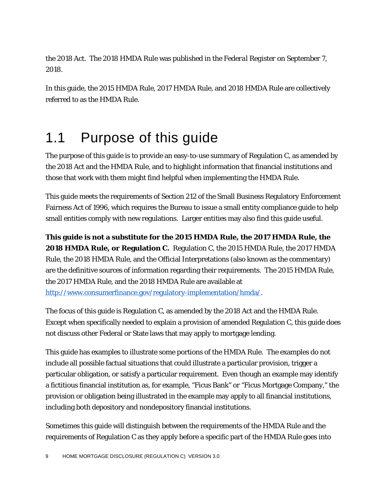the 2018 Act. The 2018 HMDA Rule was published in the *Federal Register* on September 7, 2018.

In this guide, the 2015 HMDA Rule, 2017 HMDA Rule, and 2018 HMDA Rule are collectively referred to as the HMDA Rule.

## 1.1 Purpose of this guide

The purpose of this guide is to provide an easy-to-use summary of Regulation C, as amended by the 2018 Act and the HMDA Rule, and to highlight information that financial institutions and those that work with them might find helpful when implementing the HMDA Rule.

This guide meets the requirements of Section 212 of the Small Business Regulatory Enforcement Fairness Act of 1996, which requires the Bureau to issue a small entity compliance guide to help small entities comply with new regulations. Larger entities may also find this guide useful.

**This guide is not a substitute for the 2015 HMDA Rule, the 2017 HMDA Rule, the 2018 HMDA Rule, or Regulation C.** Regulation C, the 2015 HMDA Rule, the 2017 HMDA Rule, the 2018 HMDA Rule, and the Official Interpretations (also known as the commentary) are the definitive sources of information regarding their requirements. The 2015 HMDA Rule, the 2017 HMDA Rule, and the 2018 HMDA Rule are available at [http://www.consumerfinance.gov/regulatory-implementation/hmda/.](http://www.consumerfinance.gov/regulatory-implementation/hmda/)

The focus of this guide is Regulation C, as amended by the 2018 Act and the HMDA Rule. Except when specifically needed to explain a provision of amended Regulation C, this guide does not discuss other Federal or State laws that may apply to mortgage lending.

This guide has examples to illustrate some portions of the HMDA Rule. The examples do not include all possible factual situations that could illustrate a particular provision, trigger a particular obligation, or satisfy a particular requirement. Even though an example may identify a fictitious financial institution as, for example, "Ficus Bank" or "Ficus Mortgage Company," the provision or obligation being illustrated in the example may apply to all financial institutions, including both depository and nondepository financial institutions.

Sometimes this guide will distinguish between the requirements of the HMDA Rule and the requirements of Regulation C as they apply before a specific part of the HMDA Rule goes into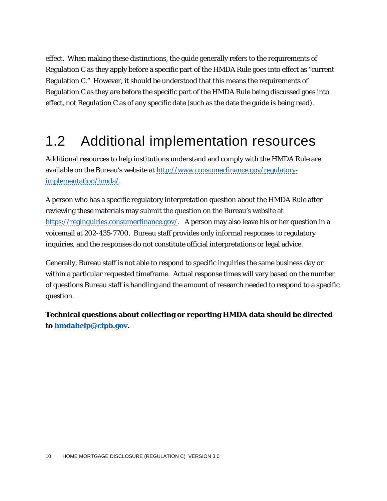effect. When making these distinctions, the guide generally refers to the requirements of Regulation C as they apply before a specific part of the HMDA Rule goes into effect as "current Regulation C." However, it should be understood that this means the requirements of Regulation C as they are before the specific part of the HMDA Rule being discussed goes into effect, not Regulation C as of any specific date (such as the date the guide is being read).

### 1.2 Additional implementation resources

Additional resources to help institutions understand and comply with the HMDA Rule are available on the Bureau's website at [http://www.consumerfinance.gov/regulatory](http://www.consumerfinance.gov/regulatory-implementation/hmda/)[implementation/hmda/.](http://www.consumerfinance.gov/regulatory-implementation/hmda/)

A person who has a specific regulatory interpretation question about the HMDA Rule after reviewing these materials may submit the question on the Bureau's website at [https://reginquiries.consumerfinance.gov/.](https://reginquiries.consumerfinance.gov/) A person may also leave his or her question in a voicemail at 202-435-7700. Bureau staff provides only informal responses to regulatory inquiries, and the responses do not constitute official interpretations or legal advice.

Generally, Bureau staff is not able to respond to specific inquiries the same business day or within a particular requested timeframe. Actual response times will vary based on the number of questions Bureau staff is handling and the amount of research needed to respond to a specific question.

**Technical questions about collecting or reporting HMDA data should be directed to [hmdahelp@cfpb.gov.](mailto:hmdahelp@cfpb.gov)**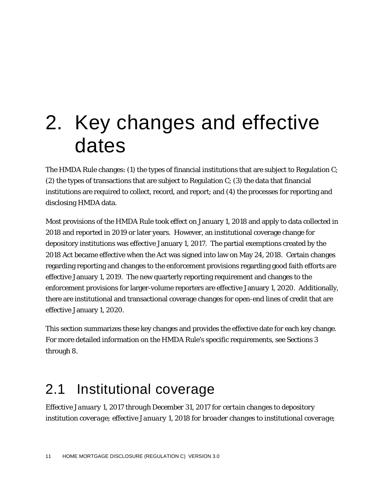## 2. Key changes and effective dates

The HMDA Rule changes: (1) the types of financial institutions that are subject to Regulation C; (2) the types of transactions that are subject to Regulation C; (3) the data that financial institutions are required to collect, record, and report; and (4) the processes for reporting and disclosing HMDA data.

Most provisions of the HMDA Rule took effect on January 1, 2018 and apply to data collected in 2018 and reported in 2019 or later years. However, an institutional coverage change for depository institutions was effective January 1, 2017. The partial exemptions created by the 2018 Act became effective when the Act was signed into law on May 24, 2018. Certain changes regarding reporting and changes to the enforcement provisions regarding good faith efforts are effective January 1, 2019. The new quarterly reporting requirement and changes to the enforcement provisions for larger-volume reporters are effective January 1, 2020. Additionally, there are institutional and transactional coverage changes for open-end lines of credit that are effective January 1, 2020.

This section summarizes these key changes and provides the effective date for each key change. For more detailed information on the HMDA Rule's specific requirements, see Sections 3 through 8.

## 2.1 Institutional coverage

*Effective January 1, 2017 through December 31, 2017 for certain changes to depository institution coverage; effective January 1, 2018 for broader changes to institutional coverage;*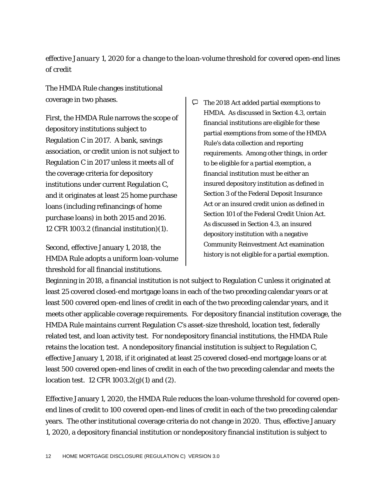#### *effective January 1, 2020 for a change to the loan-volume threshold for covered open-end lines of credit*

The HMDA Rule changes institutional coverage in two phases.

First, the HMDA Rule narrows the scope of depository institutions subject to Regulation C in 2017. A bank, savings association, or credit union is not subject to Regulation C in 2017 unless it meets all of the coverage criteria for depository institutions under current Regulation C, and it originates at least 25 home purchase loans (including refinancings of home purchase loans) in both 2015 and 2016. 12 CFR 1003.2 (financial institution)(1).

Second, effective January 1, 2018, the HMDA Rule adopts a uniform loan-volume threshold for all financial institutions.

 $\Box$  The 2018 Act added partial exemptions to HMDA. As discussed in Section 4.3, certain financial institutions are eligible for these partial exemptions from some of the HMDA Rule's data collection and reporting requirements. Among other things, in order to be eligible for a partial exemption, a financial institution must be either an insured depository institution as defined in Section 3 of the Federal Deposit Insurance Act or an insured credit union as defined in Section 101 of the Federal Credit Union Act. As discussed in Section 4.3, an insured depository institution with a negative Community Reinvestment Act examination history is not eligible for a partial exemption.

Beginning in 2018, a financial institution is not subject to Regulation C unless it originated at least 25 covered closed-end mortgage loans in each of the two preceding calendar years or at least 500 covered open-end lines of credit in each of the two preceding calendar years, and it meets other applicable coverage requirements. For depository financial institution coverage, the HMDA Rule maintains current Regulation C's asset-size threshold, location test, federally related test, and loan activity test. For nondepository financial institutions, the HMDA Rule retains the location test. A nondepository financial institution is subject to Regulation C, effective January 1, 2018, if it originated at least 25 covered closed-end mortgage loans or at least 500 covered open-end lines of credit in each of the two preceding calendar and meets the location test. 12 CFR 1003.2(g)(1) and (2).

Effective January 1, 2020, the HMDA Rule reduces the loan-volume threshold for covered openend lines of credit to 100 covered open-end lines of credit in each of the two preceding calendar years. The other institutional coverage criteria do not change in 2020. Thus, effective January 1, 2020, a depository financial institution or nondepository financial institution is subject to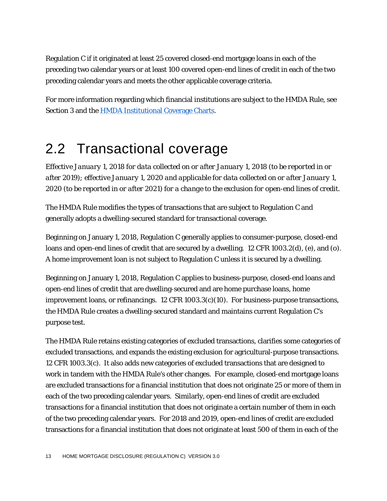Regulation C if it originated at least 25 covered closed-end mortgage loans in each of the preceding two calendar years or at least 100 covered open-end lines of credit in each of the two preceding calendar years and meets the other applicable coverage criteria.

For more information regarding which financial institutions are subject to the HMDA Rule, see Section 3 and the **HMDA** Institutional Coverage Charts.

## 2.2 Transactional coverage

*Effective January 1, 2018 for data collected on or after January 1, 2018 (to be reported in or after 2019); effective January 1, 2020 and applicable for data collected on or after January 1, 2020 (to be reported in or after 2021) for a change to the exclusion for open-end lines of credit.*

The HMDA Rule modifies the types of transactions that are subject to Regulation C and generally adopts a dwelling-secured standard for transactional coverage.

Beginning on January 1, 2018, Regulation C generally applies to consumer-purpose, closed-end loans and open-end lines of credit that are secured by a dwelling. 12 CFR 1003.2(d), (e), and (o). A home improvement loan is not subject to Regulation C unless it is secured by a dwelling.

Beginning on January 1, 2018, Regulation C applies to business-purpose, closed-end loans and open-end lines of credit that are dwelling-secured and are home purchase loans, home improvement loans, or refinancings.12 CFR 1003.3(c)(10). For business-purpose transactions, the HMDA Rule creates a dwelling-secured standard and maintains current Regulation C's purpose test.

The HMDA Rule retains existing categories of excluded transactions, clarifies some categories of excluded transactions, and expands the existing exclusion for agricultural-purpose transactions. 12 CFR 1003.3(c). It also adds new categories of excluded transactions that are designed to work in tandem with the HMDA Rule's other changes. For example, closed-end mortgage loans are excluded transactions for a financial institution that does not originate 25 or more of them in each of the two preceding calendar years. Similarly, open-end lines of credit are excluded transactions for a financial institution that does not originate a certain number of them in each of the two preceding calendar years. For 2018 and 2019, open-end lines of credit are excluded transactions for a financial institution that does not originate at least 500 of them in each of the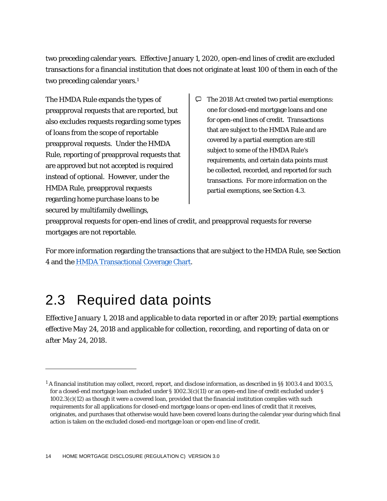two preceding calendar years. Effective January 1, 2020, open-end lines of credit are excluded transactions for a financial institution that does not originate at least 100 of them in each of the two preceding calendar years.<sup>1</sup>

The HMDA Rule expands the types of preapproval requests that are reported, but also excludes requests regarding some types of loans from the scope of reportable preapproval requests. Under the HMDA Rule, reporting of preapproval requests that are approved but not accepted is required instead of optional. However, under the HMDA Rule, preapproval requests regarding home purchase loans to be secured by multifamily dwellings,

 $\Box$  The 2018 Act created two partial exemptions: one for closed-end mortgage loans and one for open-end lines of credit. Transactions that are subject to the HMDA Rule and are covered by a partial exemption are still subject to some of the HMDA Rule's requirements, and certain data points must be collected, recorded, and reported for such transactions. For more information on the partial exemptions, see Section 4.3.

preapproval requests for open-end lines of credit, and preapproval requests for reverse mortgages are not reportable.

For more information regarding the transactions that are subject to the HMDA Rule, see Section 4 and the [HMDA Transactional Coverage Chart.](https://s3.amazonaws.com/files.consumerfinance.gov/f/documents/201709_cfpb_2018-hmda-transactional-coverage.pdf)

## 2.3 Required data points

1

*Effective January 1, 2018 and applicable to data reported in or after 2019; partial exemptions effective May 24, 2018 and applicable for collection, recording, and reporting of data on or after May 24, 2018.* 

 $1A$  financial institution may collect, record, report, and disclose information, as described in §§ 1003.4 and 1003.5, for a closed-end mortgage loan excluded under § 1002.3(c)(11) or an open-end line of credit excluded under § 1002.3(c)(12) as though it were a covered loan, provided that the financial institution complies with such requirements for all applications for closed-end mortgage loans or open-end lines of credit that it receives, originates, and purchases that otherwise would have been covered loans during the calendar year during which final action is taken on the excluded closed-end mortgage loan or open-end line of credit.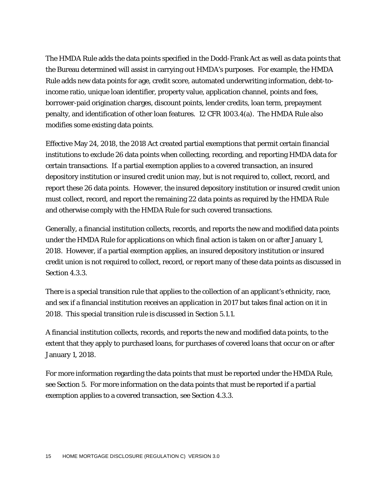The HMDA Rule adds the data points specified in the Dodd-Frank Act as well as data points that the Bureau determined will assist in carrying out HMDA's purposes. For example, the HMDA Rule adds new data points for age, credit score, automated underwriting information, debt-toincome ratio, unique loan identifier, property value, application channel, points and fees, borrower-paid origination charges, discount points, lender credits, loan term, prepayment penalty, and identification of other loan features. 12 CFR 1003.4(a). The HMDA Rule also modifies some existing data points.

Effective May 24, 2018, the 2018 Act created partial exemptions that permit certain financial institutions to exclude 26 data points when collecting, recording, and reporting HMDA data for certain transactions. If a partial exemption applies to a covered transaction, an insured depository institution or insured credit union may, but is not required to, collect, record, and report these 26 data points. However, the insured depository institution or insured credit union must collect, record, and report the remaining 22 data points as required by the HMDA Rule and otherwise comply with the HMDA Rule for such covered transactions.

Generally, a financial institution collects, records, and reports the new and modified data points under the HMDA Rule for applications on which final action is taken on or after January 1, 2018. However, if a partial exemption applies, an insured depository institution or insured credit union is not required to collect, record, or report many of these data points as discussed in Section 4.3.3.

There is a special transition rule that applies to the collection of an applicant's ethnicity, race, and sex if a financial institution receives an application in 2017 but takes final action on it in 2018. This special transition rule is discussed in Section 5.1.1.

A financial institution collects, records, and reports the new and modified data points, to the extent that they apply to purchased loans, for purchases of covered loans that occur on or after January 1, 2018.

For more information regarding the data points that must be reported under the HMDA Rule, see Section 5. For more information on the data points that must be reported if a partial exemption applies to a covered transaction, see Section 4.3.3.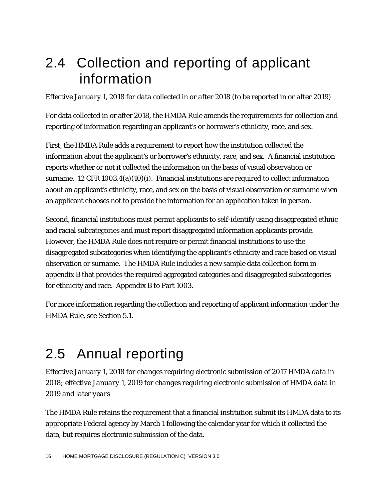### 2.4 Collection and reporting of applicant information

*Effective January 1, 2018 for data collected in or after 2018 (to be reported in or after 2019)*

For data collected in or after 2018, the HMDA Rule amends the requirements for collection and reporting of information regarding an applicant's or borrower's ethnicity, race, and sex.

First, the HMDA Rule adds a requirement to report how the institution collected the information about the applicant's or borrower's ethnicity, race, and sex. A financial institution reports whether or not it collected the information on the basis of visual observation or surname. 12 CFR 1003.4(a)(10)(i). Financial institutions are required to collect information about an applicant's ethnicity, race, and sex on the basis of visual observation or surname when an applicant chooses not to provide the information for an application taken in person.

Second, financial institutions must permit applicants to self-identify using disaggregated ethnic and racial subcategories and must report disaggregated information applicants provide. However, the HMDA Rule does not require or permit financial institutions to use the disaggregated subcategories when identifying the applicant's ethnicity and race based on visual observation or surname. The HMDA Rule includes a new sample data collection form in appendix B that provides the required aggregated categories and disaggregated subcategories for ethnicity and race. Appendix B to Part 1003.

For more information regarding the collection and reporting of applicant information under the HMDA Rule, see Section 5.1.

## 2.5 Annual reporting

*Effective January 1, 2018 for changes requiring electronic submission of 2017 HMDA data in 2018; effective January 1, 2019 for changes requiring electronic submission of HMDA data in 2019 and later years*

The HMDA Rule retains the requirement that a financial institution submit its HMDA data to its appropriate Federal agency by March 1 following the calendar year for which it collected the data, but requires electronic submission of the data.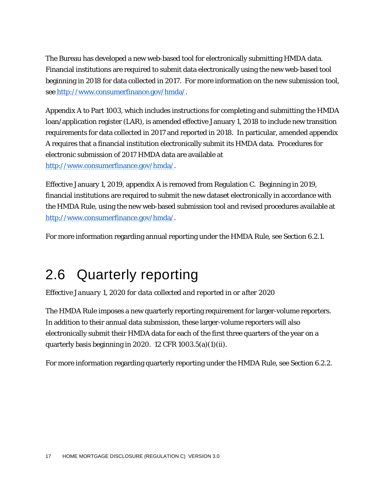The Bureau has developed a new web-based tool for electronically submitting HMDA data. Financial institutions are required to submit data electronically using the new web-based tool beginning in 2018 for data collected in 2017. For more information on the new submission tool, see [http://www.consumerfinance.gov/hmda/.](http://www.consumerfinance.gov/hmda/)

Appendix A to Part 1003, which includes instructions for completing and submitting the HMDA loan/application register (LAR), is amended effective January 1, 2018 to include new transition requirements for data collected in 2017 and reported in 2018. In particular, amended appendix A requires that a financial institution electronically submit its HMDA data. Procedures for electronic submission of 2017 HMDA data are available at [http://www.consumerfinance.gov/hmda/.](http://www.consumerfinance.gov/hmda/)

Effective January 1, 2019, appendix A is removed from Regulation C. Beginning in 2019, financial institutions are required to submit the new dataset electronically in accordance with the HMDA Rule, using the new web-based submission tool and revised procedures available at [http://www.consumerfinance.gov/hmda/.](http://www.consumerfinance.gov/hmda/)

For more information regarding annual reporting under the HMDA Rule, see Section 6.2.1.

## 2.6 Quarterly reporting

*Effective January 1, 2020 for data collected and reported in or after 2020* 

The HMDA Rule imposes a new quarterly reporting requirement for larger-volume reporters. In addition to their annual data submission, these larger-volume reporters will also electronically submit their HMDA data for each of the first three quarters of the year on a quarterly basis beginning in 2020. 12 CFR 1003.5(a)(1)(ii).

For more information regarding quarterly reporting under the HMDA Rule, see Section 6.2.2.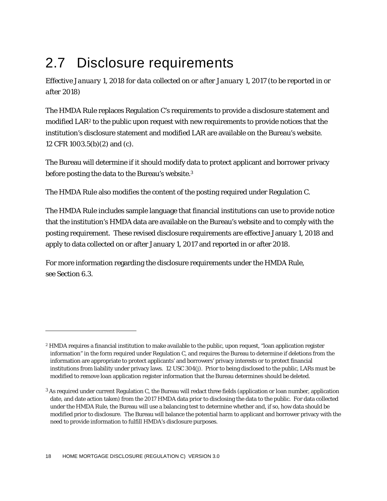## 2.7 Disclosure requirements

*Effective January 1, 2018 for data collected on or after January 1, 2017 (to be reported in or after 2018)*

The HMDA Rule replaces Regulation C's requirements to provide a disclosure statement and modified LAR2 to the public upon request with new requirements to provide notices that the institution's disclosure statement and modified LAR are available on the Bureau's website. 12 CFR 1003.5(b)(2) and (c).

The Bureau will determine if it should modify data to protect applicant and borrower privacy before posting the data to the Bureau's website.3

The HMDA Rule also modifies the content of the posting required under Regulation C.

The HMDA Rule includes sample language that financial institutions can use to provide notice that the institution's HMDA data are available on the Bureau's website and to comply with the posting requirement. These revised disclosure requirements are effective January 1, 2018 and apply to data collected on or after January 1, 2017 and reported in or after 2018.

For more information regarding the disclosure requirements under the HMDA Rule, see Section 6.3.

1

<sup>2</sup> HMDA requires a financial institution to make available to the public, upon request, "loan application register information" in the form required under Regulation C, and requires the Bureau to determine if deletions from the information are appropriate to protect applicants' and borrowers' privacy interests or to protect financial institutions from liability under privacy laws. 12 USC 304(j). Prior to being disclosed to the public, LARs must be modified to remove loan application register information that the Bureau determines should be deleted.

<sup>&</sup>lt;sup>3</sup> As required under current Regulation C, the Bureau will redact three fields (application or loan number, application date, and date action taken) from the 2017 HMDA data prior to disclosing the data to the public. For data collected under the HMDA Rule, the Bureau will use a balancing test to determine whether and, if so, how data should be modified prior to disclosure. The Bureau will balance the potential harm to applicant and borrower privacy with the need to provide information to fulfill HMDA's disclosure purposes.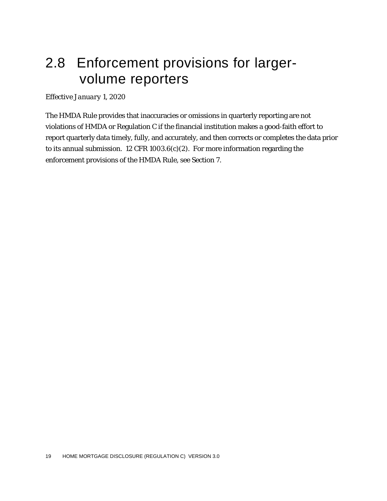### 2.8 Enforcement provisions for largervolume reporters

*Effective January 1, 2020*

The HMDA Rule provides that inaccuracies or omissions in quarterly reporting are not violations of HMDA or Regulation C if the financial institution makes a good-faith effort to report quarterly data timely, fully, and accurately, and then corrects or completes the data prior to its annual submission. 12 CFR 1003.6(c)(2). For more information regarding the enforcement provisions of the HMDA Rule, see Section 7.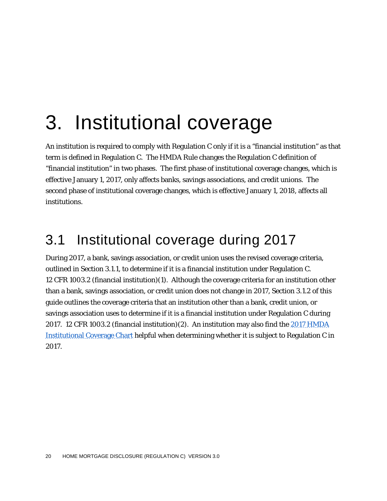## 3. Institutional coverage

An institution is required to comply with Regulation C only if it is a "financial institution" as that term is defined in Regulation C. The HMDA Rule changes the Regulation C definition of "financial institution" in two phases. The first phase of institutional coverage changes, which is effective January 1, 2017, only affects banks, savings associations, and credit unions. The second phase of institutional coverage changes, which is effective January 1, 2018, affects all institutions.

### 3.1 Institutional coverage during 2017

During 2017, a bank, savings association, or credit union uses the revised coverage criteria, outlined in Section 3.1.1, to determine if it is a financial institution under Regulation C. 12 CFR 1003.2 (financial institution)(1). Although the coverage criteria for an institution other than a bank, savings association, or credit union does not change in 2017, Section 3.1.2 of this guide outlines the coverage criteria that an institution other than a bank, credit union, or savings association uses to determine if it is a financial institution under Regulation C during 2017. 12 CFR 1003.2 (financial institution)(2). An institution may also find the 2017 HMDA [Institutional Coverage Chart](http://www.consumerfinance.gov/regulatory-implementation/hmda/) helpful when determining whether it is subject to Regulation C in 2017.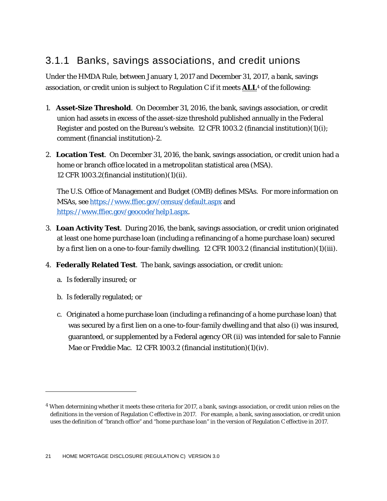#### 3.1.1 Banks, savings associations, and credit unions

Under the HMDA Rule, between January 1, 2017 and December 31, 2017, a bank, savings association, or credit union is subject to Regulation C if it meets **ALL**<sup>4</sup> of the following:

- 1. **Asset-Size Threshold**. On December 31, 2016, the bank, savings association, or credit union had assets in excess of the asset-size threshold published annually in the *Federal Register* and posted on the Bureau's website. 12 CFR 1003.2 (financial institution)(1)(i); comment (financial institution)-2.
- 2. **Location Test**. On December 31, 2016, the bank, savings association, or credit union had a home or branch office located in a metropolitan statistical area (MSA). 12 CFR 1003.2(financial institution)(1)(ii).

The U.S. Office of Management and Budget (OMB) defines MSAs. For more information on MSAs, see<https://www.ffiec.gov/census/default.aspx> and [https://www.ffiec.gov/geocode/help1.aspx.](https://www.ffiec.gov/geocode/help1.aspx)

- 3. **Loan Activity Test**. During 2016, the bank, savings association, or credit union originated at least one home purchase loan (including a refinancing of a home purchase loan) secured by a first lien on a one-to-four-family dwelling. 12 CFR 1003.2 (financial institution)(1)(iii).
- 4. **Federally Related Test**. The bank, savings association, or credit union:
	- a. Is federally insured; or
	- b. Is federally regulated; or

1

c. Originated a home purchase loan (including a refinancing of a home purchase loan) that was secured by a first lien on a one-to-four-family dwelling and that also (i) was insured, guaranteed, or supplemented by a Federal agency OR (ii) was intended for sale to Fannie Mae or Freddie Mac. 12 CFR 1003.2 (financial institution)(1)(iv).

<sup>4</sup> When determining whether it meets these criteria for 2017, a bank, savings association, or credit union relies on the definitions in the version of Regulation C effective in 2017. For example, a bank, saving association, or credit union uses the definition of "branch office" and "home purchase loan" in the version of Regulation C effective in 2017.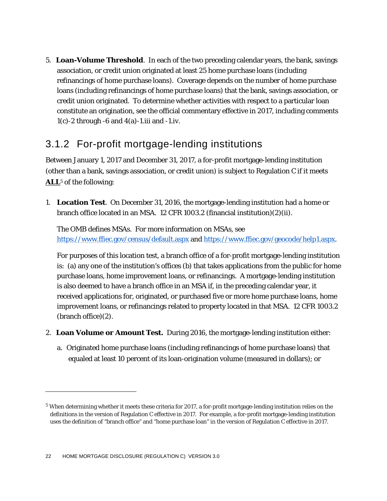5. **Loan-Volume Threshold**. In each of the two preceding calendar years, the bank, savings association, or credit union originated at least 25 home purchase loans (including refinancings of home purchase loans). Coverage depends on the number of home purchase loans (including refinancings of home purchase loans) that the bank, savings association, or credit union originated. To determine whether activities with respect to a particular loan constitute an origination, see the official commentary effective in 2017, including comments  $1(c)$ -2 through -6 and  $4(a)$ -1.iii and -1.iv.

#### 3.1.2 For-profit mortgage-lending institutions

Between January 1, 2017 and December 31, 2017, a for-profit mortgage-lending institution (other than a bank, savings association, or credit union) is subject to Regulation C if it meets **ALL**<sup>5</sup> of the following:

1. **Location Test**. On December 31, 2016, the mortgage-lending institution had a home or branch office located in an MSA. 12 CFR 1003.2 (financial institution)(2)(ii).

The OMB defines MSAs. For more information on MSAs, see <https://www.ffiec.gov/census/default.aspx> and [https://www.ffiec.gov/geocode/help1.aspx.](https://www.ffiec.gov/geocode/help1.aspx)

For purposes of this location test, a branch office of a for-profit mortgage-lending institution is: (a) any one of the institution's offices (b) that takes applications from the public for home purchase loans, home improvement loans, or refinancings. A mortgage-lending institution is also deemed to have a branch office in an MSA if, in the preceding calendar year, it received applications for, originated, or purchased five or more home purchase loans, home improvement loans, or refinancings related to property located in that MSA. 12 CFR 1003.2 (branch office)(2).

- 2. **Loan Volume or Amount Test.** During 2016, the mortgage-lending institution either:
	- a. Originated home purchase loans (including refinancings of home purchase loans) that equaled at least 10 percent of its loan-origination volume (measured in dollars); or

1

<sup>5</sup> When determining whether it meets these criteria for 2017, a for-profit mortgage-lending institution relies on the definitions in the version of Regulation C effective in 2017. For example, a for-profit mortgage-lending institution uses the definition of "branch office" and "home purchase loan" in the version of Regulation C effective in 2017.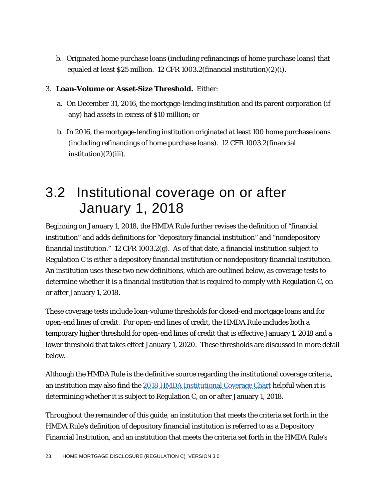b. Originated home purchase loans (including refinancings of home purchase loans) that equaled at least \$25 million. 12 CFR 1003.2(financial institution)(2)(i).

#### 3. **Loan-Volume or Asset-Size Threshold.** Either:

- a. On December 31, 2016, the mortgage-lending institution and its parent corporation (if any) had assets in excess of \$10 million; or
- b. In 2016, the mortgage-lending institution originated at least 100 home purchase loans (including refinancings of home purchase loans). 12 CFR 1003.2(financial  $institution(2)(iii)$ .

### 3.2 Institutional coverage on or after January 1, 2018

Beginning on January 1, 2018, the HMDA Rule further revises the definition of "financial institution" and adds definitions for "depository financial institution" and "nondepository financial institution." 12 CFR 1003.2(g). As of that date, a financial institution subject to Regulation C is either a depository financial institution or nondepository financial institution. An institution uses these two new definitions, which are outlined below, as coverage tests to determine whether it is a financial institution that is required to comply with Regulation C, on or after January 1, 2018.

These coverage tests include loan-volume thresholds for closed-end mortgage loans and for open-end lines of credit. For open-end lines of credit, the HMDA Rule includes both a temporary higher threshold for open-end lines of credit that is effective January 1, 2018 and a lower threshold that takes effect January 1, 2020. These thresholds are discussed in more detail below.

Although the HMDA Rule is the definitive source regarding the institutional coverage criteria, an institution may also find the [2018 HMDA Institutional Coverage Chart](http://www.consumerfinance.gov/regulatory-implementation/hmda/) helpful when it is determining whether it is subject to Regulation C, on or after January 1, 2018.

Throughout the remainder of this guide, an institution that meets the criteria set forth in the HMDA Rule's definition of depository financial institution is referred to as a Depository Financial Institution, and an institution that meets the criteria set forth in the HMDA Rule's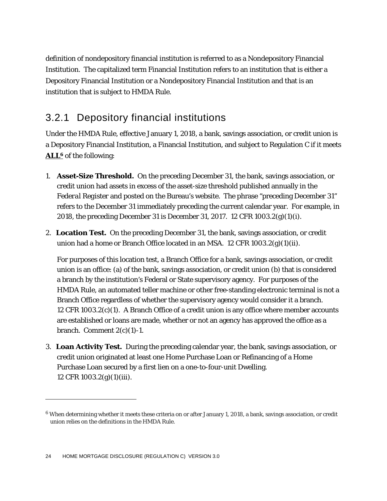definition of nondepository financial institution is referred to as a Nondepository Financial Institution. The capitalized term Financial Institution refers to an institution that is either a Depository Financial Institution or a Nondepository Financial Institution and that is an institution that is subject to HMDA Rule.

#### 3.2.1 Depository financial institutions

Under the HMDA Rule, effective January 1, 2018, a bank, savings association, or credit union is a Depository Financial Institution, a Financial Institution, and subject to Regulation C if it meets **ALL6** of the following:

- 1. **Asset-Size Threshold.** On the preceding December 31, the bank, savings association, or credit union had assets in excess of the asset-size threshold published annually in the *Federal Register* and posted on the Bureau's website. The phrase "preceding December 31" refers to the December 31 immediately preceding the current calendar year. For example, in 2018, the preceding December 31 is December 31, 2017. 12 CFR 1003.2(g)(1)(i).
- 2. **Location Test.** On the preceding December 31, the bank, savings association, or credit union had a home or Branch Office located in an MSA. 12 CFR 1003.2(g)(1)(ii).

For purposes of this location test, a Branch Office for a bank, savings association, or credit union is an office: (a) of the bank, savings association, or credit union (b) that is considered a branch by the institution's Federal or State supervisory agency. For purposes of the HMDA Rule, an automated teller machine or other free-standing electronic terminal is not a Branch Office regardless of whether the supervisory agency would consider it a branch. 12 CFR 1003.2(c)(1). A Branch Office of a credit union is any office where member accounts are established or loans are made, whether or not an agency has approved the office as a branch. Comment  $2(c)(1)-1$ .

3. **Loan Activity Test.** During the preceding calendar year, the bank, savings association, or credit union originated at least one Home Purchase Loan or Refinancing of a Home Purchase Loan secured by a first lien on a one-to-four-unit Dwelling. 12 CFR 1003.2(g)(1)(iii).

1

<sup>6</sup> When determining whether it meets these criteria on or after January 1, 2018, a bank, savings association, or credit union relies on the definitions in the HMDA Rule.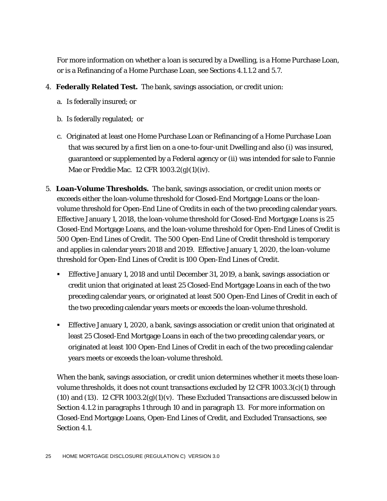For more information on whether a loan is secured by a Dwelling, is a Home Purchase Loan, or is a Refinancing of a Home Purchase Loan, see Sections 4.1.1.2 and 5.7.

- 4. **Federally Related Test.** The bank, savings association, or credit union:
	- a. Is federally insured; or
	- b. Is federally regulated; or
	- c. Originated at least one Home Purchase Loan or Refinancing of a Home Purchase Loan that was secured by a first lien on a one-to-four-unit Dwelling and also (i) was insured, guaranteed or supplemented by a Federal agency or (ii) was intended for sale to Fannie Mae or Freddie Mac. 12 CFR 1003.2(g)(1)(iv).
- 5. **Loan-Volume Thresholds.** The bank, savings association, or credit union meets or exceeds either the loan-volume threshold for Closed-End Mortgage Loans or the loanvolume threshold for Open-End Line of Credits in each of the two preceding calendar years. Effective January 1, 2018, the loan-volume threshold for Closed-End Mortgage Loans is 25 Closed-End Mortgage Loans, and the loan-volume threshold for Open-End Lines of Credit is 500 Open-End Lines of Credit. The 500 Open-End Line of Credit threshold is temporary and applies in calendar years 2018 and 2019. Effective January 1, 2020, the loan-volume threshold for Open-End Lines of Credit is 100 Open-End Lines of Credit.
	- Effective January 1, 2018 and until December 31, 2019, a bank, savings association or credit union that originated at least 25 Closed-End Mortgage Loans in each of the two preceding calendar years, or originated at least 500 Open-End Lines of Credit in each of the two preceding calendar years meets or exceeds the loan-volume threshold.
	- Effective January 1, 2020, a bank, savings association or credit union that originated at least 25 Closed-End Mortgage Loans in each of the two preceding calendar years, or originated at least 100 Open-End Lines of Credit in each of the two preceding calendar years meets or exceeds the loan-volume threshold.

When the bank, savings association, or credit union determines whether it meets these loanvolume thresholds, it does not count transactions excluded by 12 CFR 1003.3(c)(1) through (10) and (13). 12 CFR 1003.2(g)(1)(v). These Excluded Transactions are discussed below in Section 4.1.2 in paragraphs 1 through 10 and in paragraph 13. For more information on Closed-End Mortgage Loans, Open-End Lines of Credit, and Excluded Transactions, see Section 4.1.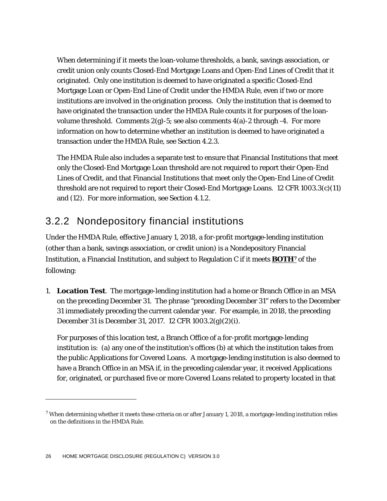When determining if it meets the loan-volume thresholds, a bank, savings association, or credit union only counts Closed-End Mortgage Loans and Open-End Lines of Credit that it originated. Only one institution is deemed to have originated a specific Closed-End Mortgage Loan or Open-End Line of Credit under the HMDA Rule, even if two or more institutions are involved in the origination process. Only the institution that is deemed to have originated the transaction under the HMDA Rule counts it for purposes of the loanvolume threshold. Comments  $2(g)$ -5; see also comments  $4(a)$ -2 through -4. For more information on how to determine whether an institution is deemed to have originated a transaction under the HMDA Rule, see Section 4.2.3.

The HMDA Rule also includes a separate test to ensure that Financial Institutions that meet only the Closed-End Mortgage Loan threshold are not required to report their Open-End Lines of Credit, and that Financial Institutions that meet only the Open-End Line of Credit threshold are not required to report their Closed-End Mortgage Loans. 12 CFR 1003.3(c)(11) and (12). For more information, see Section 4.1.2.

#### 3.2.2 Nondepository financial institutions

Under the HMDA Rule, effective January 1, 2018, a for-profit mortgage-lending institution (other than a bank, savings association, or credit union) is a Nondepository Financial Institution, a Financial Institution, and subject to Regulation C if it meets **BOTH7** of the following:

1. **Location Test**. The mortgage-lending institution had a home or Branch Office in an MSA on the preceding December 31. The phrase "preceding December 31" refers to the December 31 immediately preceding the current calendar year. For example, in 2018, the preceding December 31 is December 31, 2017. 12 CFR 1003.2(g)(2)(i).

For purposes of this location test, a Branch Office of a for-profit mortgage-lending institution is: (a) any one of the institution's offices (b) at which the institution takes from the public Applications for Covered Loans. A mortgage-lending institution is also deemed to have a Branch Office in an MSA if, in the preceding calendar year, it received Applications for, originated, or purchased five or more Covered Loans related to property located in that

1

<sup>7</sup> When determining whether it meets these criteria on or after January 1, 2018, a mortgage-lending institution relies on the definitions in the HMDA Rule.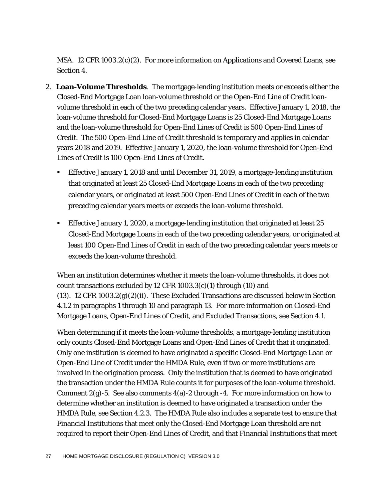MSA. 12 CFR 1003.2(c)(2). For more information on Applications and Covered Loans, see Section 4.

- 2. **Loan-Volume Thresholds**. The mortgage-lending institution meets or exceeds either the Closed-End Mortgage Loan loan-volume threshold or the Open-End Line of Credit loanvolume threshold in each of the two preceding calendar years. Effective January 1, 2018, the loan-volume threshold for Closed-End Mortgage Loans is 25 Closed-End Mortgage Loans and the loan-volume threshold for Open-End Lines of Credit is 500 Open-End Lines of Credit. The 500 Open-End Line of Credit threshold is temporary and applies in calendar years 2018 and 2019. Effective January 1, 2020, the loan-volume threshold for Open-End Lines of Credit is 100 Open-End Lines of Credit.
	- Effective January 1, 2018 and until December 31, 2019, a mortgage-lending institution that originated at least 25 Closed-End Mortgage Loans in each of the two preceding calendar years, or originated at least 500 Open-End Lines of Credit in each of the two preceding calendar years meets or exceeds the loan-volume threshold.
	- Effective January 1, 2020, a mortgage-lending institution that originated at least 25 Closed-End Mortgage Loans in each of the two preceding calendar years, or originated at least 100 Open-End Lines of Credit in each of the two preceding calendar years meets or exceeds the loan-volume threshold.

When an institution determines whether it meets the loan-volume thresholds, it does not count transactions excluded by 12 CFR 1003.3(c)(1) through (10) and (13). 12 CFR 1003.2(g)(2)(ii). These Excluded Transactions are discussed below in Section 4.1.2 in paragraphs 1 through 10 and paragraph 13. For more information on Closed-End Mortgage Loans, Open-End Lines of Credit, and Excluded Transactions, see Section 4.1.

When determining if it meets the loan-volume thresholds, a mortgage-lending institution only counts Closed-End Mortgage Loans and Open-End Lines of Credit that it originated. Only one institution is deemed to have originated a specific Closed-End Mortgage Loan or Open-End Line of Credit under the HMDA Rule, even if two or more institutions are involved in the origination process. Only the institution that is deemed to have originated the transaction under the HMDA Rule counts it for purposes of the loan-volume threshold. Comment  $2(g)$ -5. See also comments  $4(a)$ -2 through -4. For more information on how to determine whether an institution is deemed to have originated a transaction under the HMDA Rule, see Section 4.2.3. The HMDA Rule also includes a separate test to ensure that Financial Institutions that meet only the Closed-End Mortgage Loan threshold are not required to report their Open-End Lines of Credit, and that Financial Institutions that meet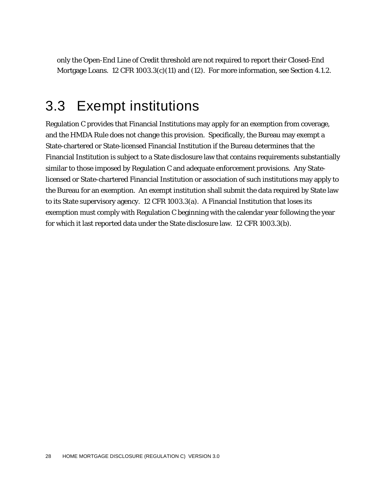only the Open-End Line of Credit threshold are not required to report their Closed-End Mortgage Loans. 12 CFR 1003.3(c)(11) and (12). For more information, see Section 4.1.2.

### 3.3 Exempt institutions

Regulation C provides that Financial Institutions may apply for an exemption from coverage, and the HMDA Rule does not change this provision. Specifically, the Bureau may exempt a State-chartered or State-licensed Financial Institution if the Bureau determines that the Financial Institution is subject to a State disclosure law that contains requirements substantially similar to those imposed by Regulation C and adequate enforcement provisions. Any Statelicensed or State-chartered Financial Institution or association of such institutions may apply to the Bureau for an exemption. An exempt institution shall submit the data required by State law to its State supervisory agency. 12 CFR 1003.3(a). A Financial Institution that loses its exemption must comply with Regulation C beginning with the calendar year following the year for which it last reported data under the State disclosure law. 12 CFR 1003.3(b).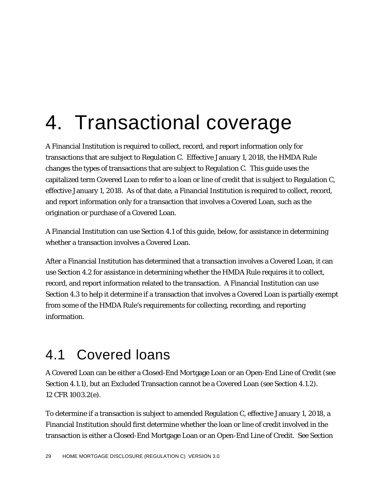## 4. Transactional coverage

A Financial Institution is required to collect, record, and report information only for transactions that are subject to Regulation C. Effective January 1, 2018, the HMDA Rule changes the types of transactions that are subject to Regulation C. This guide uses the capitalized term Covered Loan to refer to a loan or line of credit that is subject to Regulation C, effective January 1, 2018. As of that date, a Financial Institution is required to collect, record, and report information only for a transaction that involves a Covered Loan, such as the origination or purchase of a Covered Loan.

A Financial Institution can use Section 4.1 of this guide, below, for assistance in determining whether a transaction involves a Covered Loan.

After a Financial Institution has determined that a transaction involves a Covered Loan, it can use Section 4.2 for assistance in determining whether the HMDA Rule requires it to collect, record, and report information related to the transaction. A Financial Institution can use Section 4.3 to help it determine if a transaction that involves a Covered Loan is partially exempt from some of the HMDA Rule's requirements for collecting, recording, and reporting information.

## 4.1 Covered loans

A Covered Loan can be either a Closed-End Mortgage Loan or an Open-End Line of Credit (see Section 4.1.1), but an Excluded Transaction cannot be a Covered Loan (see Section 4.1.2). 12 CFR 1003.2(e).

To determine if a transaction is subject to amended Regulation C, effective January 1, 2018, a Financial Institution should first determine whether the loan or line of credit involved in the transaction is either a Closed-End Mortgage Loan or an Open-End Line of Credit. See Section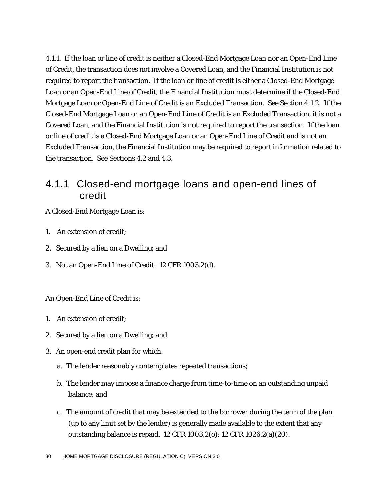4.1.1. If the loan or line of credit is neither a Closed-End Mortgage Loan nor an Open-End Line of Credit, the transaction does not involve a Covered Loan, and the Financial Institution is not required to report the transaction. If the loan or line of credit is either a Closed-End Mortgage Loan or an Open-End Line of Credit, the Financial Institution must determine if the Closed-End Mortgage Loan or Open-End Line of Credit is an Excluded Transaction. See Section 4.1.2. If the Closed-End Mortgage Loan or an Open-End Line of Credit is an Excluded Transaction, it is not a Covered Loan, and the Financial Institution is not required to report the transaction. If the loan or line of credit is a Closed-End Mortgage Loan or an Open-End Line of Credit and is not an Excluded Transaction, the Financial Institution may be required to report information related to the transaction. See Sections 4.2 and 4.3.

#### 4.1.1 Closed-end mortgage loans and open-end lines of credit

A Closed-End Mortgage Loan is:

- 1. An extension of credit;
- 2. Secured by a lien on a Dwelling; and
- 3. Not an Open-End Line of Credit. 12 CFR 1003.2(d).

#### An Open-End Line of Credit is:

- 1. An extension of credit;
- 2. Secured by a lien on a Dwelling; and
- 3. An open-end credit plan for which:
	- a. The lender reasonably contemplates repeated transactions;
	- b. The lender may impose a finance charge from time-to-time on an outstanding unpaid balance; and
	- c. The amount of credit that may be extended to the borrower during the term of the plan (up to any limit set by the lender) is generally made available to the extent that any outstanding balance is repaid. 12 CFR 1003.2(o); 12 CFR 1026.2(a)(20).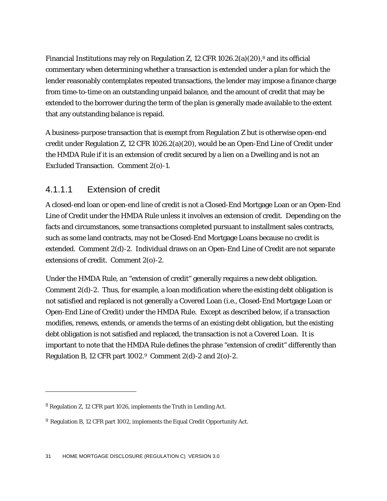Financial Institutions may rely on Regulation Z, 12 CFR 1026.2(a)(20),<sup>8</sup> and its official commentary when determining whether a transaction is extended under a plan for which the lender reasonably contemplates repeated transactions, the lender may impose a finance charge from time-to-time on an outstanding unpaid balance, and the amount of credit that may be extended to the borrower during the term of the plan is generally made available to the extent that any outstanding balance is repaid.

A business-purpose transaction that is exempt from Regulation Z but is otherwise open-end credit under Regulation Z, 12 CFR 1026.2(a)(20), would be an Open-End Line of Credit under the HMDA Rule if it is an extension of credit secured by a lien on a Dwelling and is not an Excluded Transaction. Comment 2(o)-1.

#### 4.1.1.1 Extension of credit

A closed-end loan or open-end line of credit is not a Closed-End Mortgage Loan or an Open-End Line of Credit under the HMDA Rule unless it involves an extension of credit. Depending on the facts and circumstances, some transactions completed pursuant to installment sales contracts, such as some land contracts, may not be Closed-End Mortgage Loans because no credit is extended. Comment 2(d)-2. Individual draws on an Open-End Line of Credit are not separate extensions of credit. Comment 2(o)-2.

Under the HMDA Rule, an "extension of credit" generally requires a new debt obligation. Comment 2(d)-2. Thus, for example, a loan modification where the existing debt obligation is not satisfied and replaced is not generally a Covered Loan (*i.e*., Closed-End Mortgage Loan or Open-End Line of Credit) under the HMDA Rule. Except as described below, if a transaction modifies, renews, extends, or amends the terms of an existing debt obligation, but the existing debt obligation is not satisfied and replaced, the transaction is not a Covered Loan. It is important to note that the HMDA Rule defines the phrase "extension of credit" differently than Regulation B, 12 CFR part  $1002.9$  Comment  $2(d)$ -2 and  $2(d)$ -2.

1

<sup>8</sup> Regulation Z, 12 CFR part 1026, implements the Truth in Lending Act.

<sup>9</sup> Regulation B, 12 CFR part 1002, implements the Equal Credit Opportunity Act.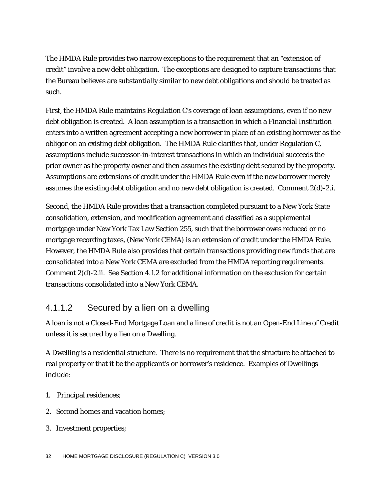The HMDA Rule provides two narrow exceptions to the requirement that an "extension of credit" involve a new debt obligation. The exceptions are designed to capture transactions that the Bureau believes are substantially similar to new debt obligations and should be treated as such.

First, the HMDA Rule maintains Regulation C's coverage of loan assumptions, even if no new debt obligation is created. A loan assumption is a transaction in which a Financial Institution enters into a written agreement accepting a new borrower in place of an existing borrower as the obligor on an existing debt obligation. The HMDA Rule clarifies that, under Regulation C, assumptions include successor-in-interest transactions in which an individual succeeds the prior owner as the property owner and then assumes the existing debt secured by the property. Assumptions are extensions of credit under the HMDA Rule even if the new borrower merely assumes the existing debt obligation and no new debt obligation is created. Comment 2(d)-2.i.

Second, the HMDA Rule provides that a transaction completed pursuant to a New York State consolidation, extension, and modification agreement and classified as a supplemental mortgage under New York Tax Law Section 255, such that the borrower owes reduced or no mortgage recording taxes, (New York CEMA) is an extension of credit under the HMDA Rule. However, the HMDA Rule also provides that certain transactions providing new funds that are consolidated into a New York CEMA are excluded from the HMDA reporting requirements. Comment 2(d)-2.ii. See Section 4.1.2 for additional information on the exclusion for certain transactions consolidated into a New York CEMA.

#### 4.1.1.2 Secured by a lien on a dwelling

A loan is not a Closed-End Mortgage Loan and a line of credit is not an Open-End Line of Credit unless it is secured by a lien on a Dwelling.

A Dwelling is a residential structure. There is no requirement that the structure be attached to real property or that it be the applicant's or borrower's residence. Examples of Dwellings include:

- 1. Principal residences;
- 2. Second homes and vacation homes;
- 3. Investment properties;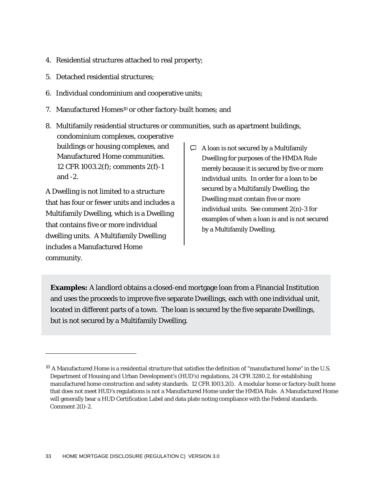- 4. Residential structures attached to real property;
- 5. Detached residential structures;

and -2.

1

- 6. Individual condominium and cooperative units;
- 7. Manufactured Homes<sup>10</sup> or other factory-built homes; and
- 8. Multifamily residential structures or communities, such as apartment buildings, condominium complexes, cooperative buildings or housing complexes, and Manufactured Home communities. 12 CFR 1003.2(f); comments 2(f)-1

A Dwelling is not limited to a structure that has four or fewer units and includes a Multifamily Dwelling, which is a Dwelling that contains five or more individual dwelling units. A Multifamily Dwelling includes a Manufactured Home community.

 $\Box$  A loan is not secured by a Multifamily Dwelling for purposes of the HMDA Rule merely because it is secured by five or more individual units. In order for a loan to be secured by a Multifamily Dwelling, the Dwelling must contain five or more individual units. See comment 2(n)-3 for examples of when a loan is and is not secured by a Multifamily Dwelling.

**Examples:** A landlord obtains a closed-end mortgage loan from a Financial Institution and uses the proceeds to improve five separate Dwellings, each with one individual unit, located in different parts of a town. The loan is secured by the five separate Dwellings, but is not secured by a Multifamily Dwelling.

<sup>&</sup>lt;sup>10</sup> A Manufactured Home is a residential structure that satisfies the definition of "manufactured home" in the U.S. Department of Housing and Urban Development's (HUD's) regulations, 24 CFR 3280.2, for establishing manufactured home construction and safety standards. 12 CFR 1003.2(l). A modular home or factory-built home that does not meet HUD's regulations is not a Manufactured Home under the HMDA Rule. A Manufactured Home will generally bear a HUD Certification Label and data plate noting compliance with the Federal standards. Comment 2(l)-2.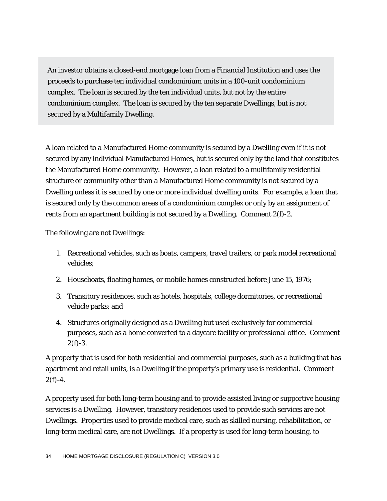An investor obtains a closed-end mortgage loan from a Financial Institution and uses the proceeds to purchase ten individual condominium units in a 100-unit condominium complex. The loan is secured by the ten individual units, but not by the entire condominium complex. The loan is secured by the ten separate Dwellings, but is not secured by a Multifamily Dwelling.

A loan related to a Manufactured Home community is secured by a Dwelling even if it is not secured by any individual Manufactured Homes, but is secured only by the land that constitutes the Manufactured Home community. However, a loan related to a multifamily residential structure or community other than a Manufactured Home community is not secured by a Dwelling unless it is secured by one or more individual dwelling units. For example, a loan that is secured only by the common areas of a condominium complex or only by an assignment of rents from an apartment building is not secured by a Dwelling. Comment 2(f)-2.

The following are not Dwellings:

- 1. Recreational vehicles, such as boats, campers, travel trailers, or park model recreational vehicles;
- 2. Houseboats, floating homes, or mobile homes constructed before June 15, 1976;
- 3. Transitory residences, such as hotels, hospitals, college dormitories, or recreational vehicle parks; and
- 4. Structures originally designed as a Dwelling but used exclusively for commercial purposes, such as a home converted to a daycare facility or professional office. Comment  $2(f)-3$ .

A property that is used for both residential and commercial purposes, such as a building that has apartment and retail units, is a Dwelling if the property's primary use is residential. Comment  $2(f)-4.$ 

A property used for both long-term housing and to provide assisted living or supportive housing services is a Dwelling. However, transitory residences used to provide such services are not Dwellings. Properties used to provide medical care, such as skilled nursing, rehabilitation, or long-term medical care, are not Dwellings. If a property is used for long-term housing, to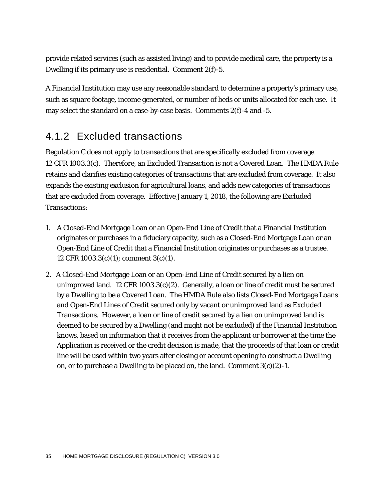provide related services (such as assisted living) and to provide medical care, the property is a Dwelling if its primary use is residential. Comment 2(f)-5.

A Financial Institution may use any reasonable standard to determine a property's primary use, such as square footage, income generated, or number of beds or units allocated for each use. It may select the standard on a case-by-case basis. Comments 2(f)-4 and -5.

#### 4.1.2 Excluded transactions

Regulation C does not apply to transactions that are specifically excluded from coverage. 12 CFR 1003.3(c). Therefore, an Excluded Transaction is not a Covered Loan. The HMDA Rule retains and clarifies existing categories of transactions that are excluded from coverage. It also expands the existing exclusion for agricultural loans, and adds new categories of transactions that are excluded from coverage. Effective January 1, 2018, the following are Excluded Transactions:

- 1. A Closed-End Mortgage Loan or an Open-End Line of Credit that a Financial Institution originates or purchases in a fiduciary capacity, such as a Closed-End Mortgage Loan or an Open-End Line of Credit that a Financial Institution originates or purchases as a trustee. 12 CFR 1003.3(c)(1); comment 3(c)(1).
- 2. A Closed-End Mortgage Loan or an Open-End Line of Credit secured by a lien on unimproved land. 12 CFR 1003.3(c)(2). Generally, a loan or line of credit must be secured by a Dwelling to be a Covered Loan. The HMDA Rule also lists Closed-End Mortgage Loans and Open-End Lines of Credit secured only by vacant or unimproved land as Excluded Transactions. However, a loan or line of credit secured by a lien on unimproved land is deemed to be secured by a Dwelling (and might not be excluded) if the Financial Institution knows, based on information that it receives from the applicant or borrower at the time the Application is received or the credit decision is made, that the proceeds of that loan or credit line will be used within two years after closing or account opening to construct a Dwelling on, or to purchase a Dwelling to be placed on, the land. Comment  $3(c)(2)-1$ .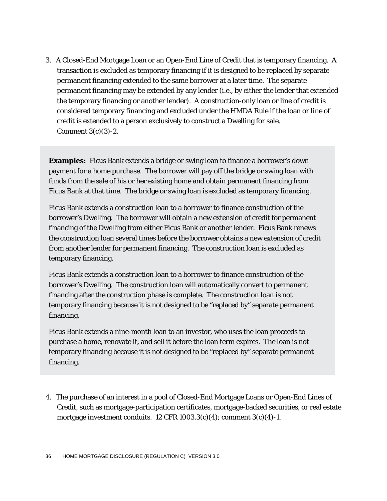3. A Closed-End Mortgage Loan or an Open-End Line of Credit that is temporary financing. A transaction is excluded as temporary financing if it is designed to be replaced by separate permanent financing extended to the same borrower at a later time. The separate permanent financing may be extended by any lender (*i.e.*, by either the lender that extended the temporary financing or another lender). A construction-only loan or line of credit is considered temporary financing and excluded under the HMDA Rule if the loan or line of credit is extended to a person exclusively to construct a Dwelling for sale. Comment  $3(c)(3)-2$ .

**Examples:** Ficus Bank extends a bridge or swing loan to finance a borrower's down payment for a home purchase. The borrower will pay off the bridge or swing loan with funds from the sale of his or her existing home and obtain permanent financing from Ficus Bank at that time. The bridge or swing loan is excluded as temporary financing.

Ficus Bank extends a construction loan to a borrower to finance construction of the borrower's Dwelling. The borrower will obtain a new extension of credit for permanent financing of the Dwelling from either Ficus Bank or another lender. Ficus Bank renews the construction loan several times before the borrower obtains a new extension of credit from another lender for permanent financing. The construction loan is excluded as temporary financing.

Ficus Bank extends a construction loan to a borrower to finance construction of the borrower's Dwelling. The construction loan will automatically convert to permanent financing after the construction phase is complete. The construction loan is not temporary financing because it is not designed to be "replaced by" separate permanent financing.

Ficus Bank extends a nine-month loan to an investor, who uses the loan proceeds to purchase a home, renovate it, and sell it before the loan term expires. The loan is not temporary financing because it is not designed to be "replaced by" separate permanent financing.

4. The purchase of an interest in a pool of Closed-End Mortgage Loans or Open-End Lines of Credit, such as mortgage-participation certificates, mortgage-backed securities, or real estate mortgage investment conduits. 12 CFR  $1003.3(c)(4)$ ; comment  $3(c)(4)-1$ .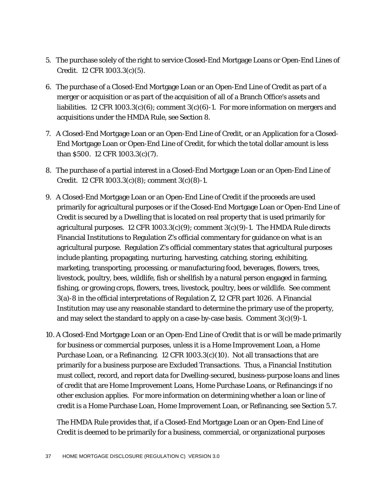- 5. The purchase solely of the right to service Closed-End Mortgage Loans or Open-End Lines of Credit. 12 CFR 1003.3(c)(5).
- 6. The purchase of a Closed-End Mortgage Loan or an Open-End Line of Credit as part of a merger or acquisition or as part of the acquisition of all of a Branch Office's assets and liabilities. 12 CFR 1003.3(c)(6); comment 3(c)(6)-1. For more information on mergers and acquisitions under the HMDA Rule, see Section 8.
- 7. A Closed-End Mortgage Loan or an Open-End Line of Credit, or an Application for a Closed-End Mortgage Loan or Open-End Line of Credit, for which the total dollar amount is less than \$500. 12 CFR 1003.3(c)(7).
- 8. The purchase of a partial interest in a Closed-End Mortgage Loan or an Open-End Line of Credit. 12 CFR 1003.3(c)(8); comment 3(c)(8)-1.
- 9. A Closed-End Mortgage Loan or an Open-End Line of Credit if the proceeds are used primarily for agricultural purposes or if the Closed-End Mortgage Loan or Open-End Line of Credit is secured by a Dwelling that is located on real property that is used primarily for agricultural purposes. 12 CFR 1003.3(c)(9); comment  $3(c)(9)$ -1. The HMDA Rule directs Financial Institutions to Regulation Z's official commentary for guidance on what is an agricultural purpose. Regulation Z's official commentary states that agricultural purposes include planting, propagating, nurturing, harvesting, catching, storing, exhibiting, marketing, transporting, processing, or manufacturing food, beverages, flowers, trees, livestock, poultry, bees, wildlife, fish or shellfish by a natural person engaged in farming, fishing, or growing crops, flowers, trees, livestock, poultry, bees or wildlife. See comment 3(a)-8 in the official interpretations of Regulation Z, 12 CFR part 1026. A Financial Institution may use any reasonable standard to determine the primary use of the property, and may select the standard to apply on a case-by-case basis. Comment  $3(c)(9)-1$ .
- 10. A Closed-End Mortgage Loan or an Open-End Line of Credit that is or will be made primarily for business or commercial purposes, unless it is a Home Improvement Loan, a Home Purchase Loan, or a Refinancing. 12 CFR 1003.3(c)(10). Not all transactions that are primarily for a business purpose are Excluded Transactions. Thus, a Financial Institution must collect, record, and report data for Dwelling-secured, business-purpose loans and lines of credit that are Home Improvement Loans, Home Purchase Loans, or Refinancings if no other exclusion applies. For more information on determining whether a loan or line of credit is a Home Purchase Loan, Home Improvement Loan, or Refinancing, see Section 5.7.

The HMDA Rule provides that, if a Closed-End Mortgage Loan or an Open-End Line of Credit is deemed to be primarily for a business, commercial, or organizational purposes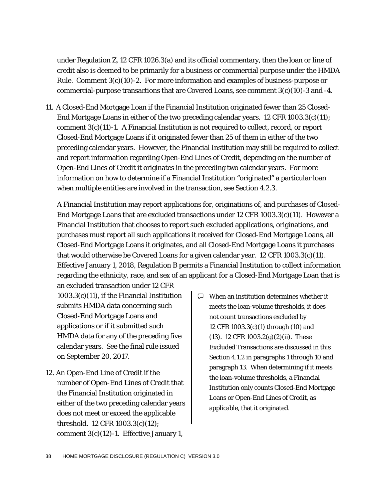under Regulation Z, 12 CFR 1026.3(a) and its official commentary, then the loan or line of credit also is deemed to be primarily for a business or commercial purpose under the HMDA Rule. Comment  $3(c)(10)-2$ . For more information and examples of business-purpose or commercial-purpose transactions that are Covered Loans, see comment 3(c)(10)-3 and -4.

11. A Closed-End Mortgage Loan if the Financial Institution originated fewer than 25 Closed-End Mortgage Loans in either of the two preceding calendar years. 12 CFR 1003.3(c)(11); comment 3(c)(11)-1. A Financial Institution is not required to collect, record, or report Closed-End Mortgage Loans if it originated fewer than 25 of them in either of the two preceding calendar years. However, the Financial Institution may still be required to collect and report information regarding Open-End Lines of Credit, depending on the number of Open-End Lines of Credit it originates in the preceding two calendar years. For more information on how to determine if a Financial Institution "originated" a particular loan when multiple entities are involved in the transaction, see Section 4.2.3.

A Financial Institution may report applications for, originations of, and purchases of Closed-End Mortgage Loans that are excluded transactions under 12 CFR 1003.3(c)(11). However a Financial Institution that chooses to report such excluded applications, originations, and purchases must report all such applications it received for Closed-End Mortgage Loans, all Closed-End Mortgage Loans it originates, and all Closed-End Mortgage Loans it purchases that would otherwise be Covered Loans for a given calendar year. 12 CFR 1003.3(c)(11). Effective January 1, 2018, Regulation B permits a Financial Institution to collect information regarding the ethnicity, race, and sex of an applicant for a Closed-End Mortgage Loan that is

an excluded transaction under 12 CFR 1003.3(c)(11), if the Financial Institution submits HMDA data concerning such Closed-End Mortgage Loans and applications or if it submitted such HMDA data for any of the preceding five calendar years. See the final rule issued on September 20, 2017.

- 12. An Open-End Line of Credit if the number of Open-End Lines of Credit that the Financial Institution originated in either of the two preceding calendar years does not meet or exceed the applicable threshold. 12 CFR 1003.3(c)(12); comment 3(c)(12)-1. Effective January 1,
- $\heartsuit$  When an institution determines whether it meets the loan-volume thresholds, it does not count transactions excluded by 12 CFR 1003.3(c)(1) through (10) and (13). 12 CFR  $1003.2(g)(2)(ii)$ . These Excluded Transactions are discussed in this Section 4.1.2 in paragraphs 1 through 10 and paragraph 13. When determining if it meets the loan-volume thresholds, a Financial Institution only counts Closed-End Mortgage Loans or Open-End Lines of Credit, as applicable, that it originated.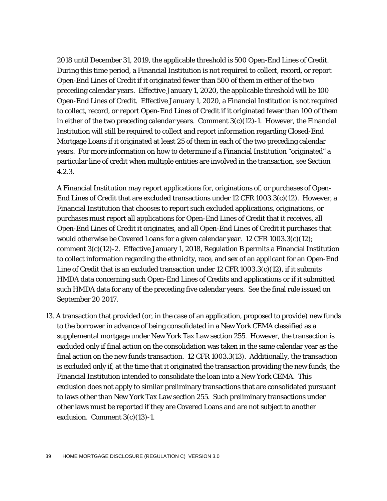2018 until December 31, 2019, the applicable threshold is 500 Open-End Lines of Credit. During this time period, a Financial Institution is not required to collect, record, or report Open-End Lines of Credit if it originated fewer than 500 of them in either of the two preceding calendar years. Effective January 1, 2020, the applicable threshold will be 100 Open-End Lines of Credit. Effective January 1, 2020, a Financial Institution is not required to collect, record, or report Open-End Lines of Credit if it originated fewer than 100 of them in either of the two preceding calendar years. Comment  $3(c)(12)-1$ . However, the Financial Institution will still be required to collect and report information regarding Closed-End Mortgage Loans if it originated at least 25 of them in each of the two preceding calendar years. For more information on how to determine if a Financial Institution "originated" a particular line of credit when multiple entities are involved in the transaction, see Section 4.2.3.

A Financial Institution may report applications for, originations of, or purchases of Open-End Lines of Credit that are excluded transactions under 12 CFR 1003.3(c)(12). However, a Financial Institution that chooses to report such excluded applications, originations, or purchases must report all applications for Open-End Lines of Credit that it receives, all Open-End Lines of Credit it originates, and all Open-End Lines of Credit it purchases that would otherwise be Covered Loans for a given calendar year. 12 CFR 1003.3(c)(12); comment 3(c)(12)-2. Effective January 1, 2018, Regulation B permits a Financial Institution to collect information regarding the ethnicity, race, and sex of an applicant for an Open-End Line of Credit that is an excluded transaction under 12 CFR 1003.3(c)(12), if it submits HMDA data concerning such Open-End Lines of Credits and applications or if it submitted such HMDA data for any of the preceding five calendar years. See the final rule issued on September 20 2017.

13. A transaction that provided (or, in the case of an application, proposed to provide) new funds to the borrower in advance of being consolidated in a New York CEMA classified as a supplemental mortgage under New York Tax Law section 255. However, the transaction is excluded only if final action on the consolidation was taken in the same calendar year as the final action on the new funds transaction. 12 CFR 1003.3(13). Additionally, the transaction is excluded only if, at the time that it originated the transaction providing the new funds, the Financial Institution intended to consolidate the loan into a New York CEMA. This exclusion does not apply to similar preliminary transactions that are consolidated pursuant to laws other than New York Tax Law section 255. Such preliminary transactions under other laws must be reported if they are Covered Loans and are not subject to another exclusion. Comment 3(c)(13)-1.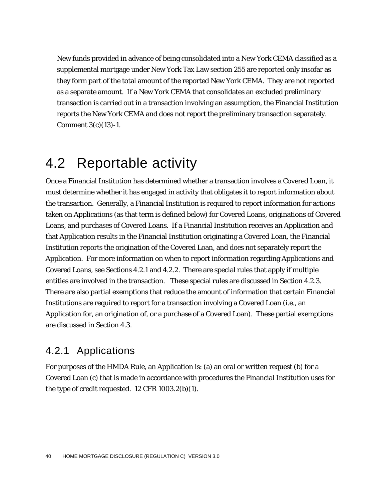New funds provided in advance of being consolidated into a New York CEMA classified as a supplemental mortgage under New York Tax Law section 255 are reported only insofar as they form part of the total amount of the reported New York CEMA. They are not reported as a separate amount. If a New York CEMA that consolidates an excluded preliminary transaction is carried out in a transaction involving an assumption, the Financial Institution reports the New York CEMA and does not report the preliminary transaction separately. Comment 3(c)(13)-1.

## 4.2 Reportable activity

Once a Financial Institution has determined whether a transaction involves a Covered Loan, it must determine whether it has engaged in activity that obligates it to report information about the transaction. Generally, a Financial Institution is required to report information for actions taken on Applications (as that term is defined below) for Covered Loans, originations of Covered Loans, and purchases of Covered Loans. If a Financial Institution receives an Application and that Application results in the Financial Institution originating a Covered Loan, the Financial Institution reports the origination of the Covered Loan, and does not separately report the Application. For more information on when to report information regarding Applications and Covered Loans, see Sections 4.2.1 and 4.2.2. There are special rules that apply if multiple entities are involved in the transaction. These special rules are discussed in Section 4.2.3. There are also partial exemptions that reduce the amount of information that certain Financial Institutions are required to report for a transaction involving a Covered Loan (*i.e.*, an Application for, an origination of, or a purchase of a Covered Loan). These partial exemptions are discussed in Section 4.3.

### 4.2.1 Applications

For purposes of the HMDA Rule, an Application is: (a) an oral or written request (b) for a Covered Loan (c) that is made in accordance with procedures the Financial Institution uses for the type of credit requested. 12 CFR 1003.2(b)(1).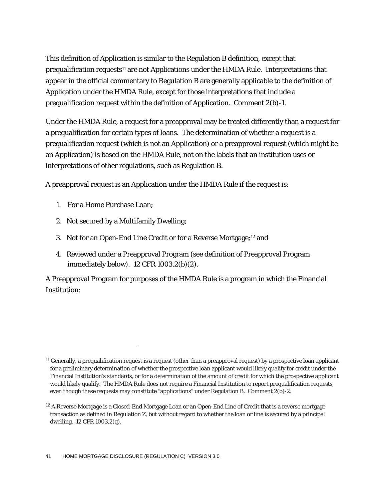This definition of Application is similar to the Regulation B definition, except that prequalification requests<sup>11</sup> are not Applications under the HMDA Rule. Interpretations that appear in the official commentary to Regulation B are generally applicable to the definition of Application under the HMDA Rule, except for those interpretations that include a prequalification request within the definition of Application. Comment 2(b)-1.

Under the HMDA Rule, a request for a preapproval may be treated differently than a request for a prequalification for certain types of loans. The determination of whether a request is a prequalification request (which is not an Application) or a preapproval request (which might be an Application) is based on the HMDA Rule, not on the labels that an institution uses or interpretations of other regulations, such as Regulation B.

A preapproval request is an Application under the HMDA Rule if the request is:

1. For a Home Purchase Loan;

1

- 2. Not secured by a Multifamily Dwelling;
- 3. Not for an Open-End Line Credit or for a Reverse Mortgage;<sup>12</sup> and
- 4. Reviewed under a Preapproval Program (see definition of Preapproval Program immediately below). 12 CFR 1003.2(b)(2).

A Preapproval Program for purposes of the HMDA Rule is a program in which the Financial Institution:

<sup>&</sup>lt;sup>11</sup> Generally, a prequalification request is a request (other than a preapproval request) by a prospective loan applicant for a preliminary determination of whether the prospective loan applicant would likely qualify for credit under the Financial Institution's standards, or for a determination of the amount of credit for which the prospective applicant would likely qualify. The HMDA Rule does not require a Financial Institution to report prequalification requests, even though these requests may constitute "applications" under Regulation B. Comment 2(b)-2.

<sup>&</sup>lt;sup>12</sup> A Reverse Mortgage is a Closed-End Mortgage Loan or an Open-End Line of Credit that is a reverse mortgage transaction as defined in Regulation Z, but without regard to whether the loan or line is secured by a principal dwelling. 12 CFR 1003.2(q).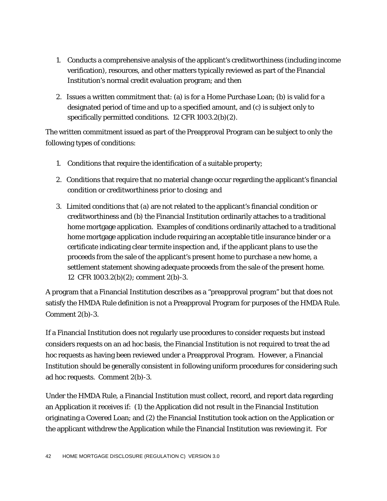- 1. Conducts a comprehensive analysis of the applicant's creditworthiness (including income verification), resources, and other matters typically reviewed as part of the Financial Institution's normal credit evaluation program; and then
- 2. Issues a written commitment that: (a) is for a Home Purchase Loan; (b) is valid for a designated period of time and up to a specified amount, and (c) is subject only to specifically permitted conditions. 12 CFR 1003.2(b)(2).

The written commitment issued as part of the Preapproval Program can be subject to only the following types of conditions:

- 1. Conditions that require the identification of a suitable property;
- 2. Conditions that require that no material change occur regarding the applicant's financial condition or creditworthiness prior to closing; and
- 3. Limited conditions that (a) are not related to the applicant's financial condition or creditworthiness and (b) the Financial Institution ordinarily attaches to a traditional home mortgage application. Examples of conditions ordinarily attached to a traditional home mortgage application include requiring an acceptable title insurance binder or a certificate indicating clear termite inspection and, if the applicant plans to use the proceeds from the sale of the applicant's present home to purchase a new home, a settlement statement showing adequate proceeds from the sale of the present home. 12 CFR 1003.2(b)(2); comment 2(b)-3.

A program that a Financial Institution describes as a "preapproval program" but that does not satisfy the HMDA Rule definition is not a Preapproval Program for purposes of the HMDA Rule. Comment 2(b)-3.

If a Financial Institution does not regularly use procedures to consider requests but instead considers requests on an ad hoc basis, the Financial Institution is not required to treat the ad hoc requests as having been reviewed under a Preapproval Program. However, a Financial Institution should be generally consistent in following uniform procedures for considering such ad hoc requests. Comment 2(b)-3.

Under the HMDA Rule, a Financial Institution must collect, record, and report data regarding an Application it receives if: (1) the Application did not result in the Financial Institution originating a Covered Loan; and (2) the Financial Institution took action on the Application or the applicant withdrew the Application while the Financial Institution was reviewing it. For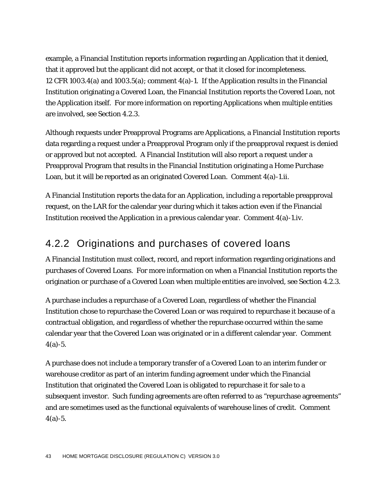example, a Financial Institution reports information regarding an Application that it denied, that it approved but the applicant did not accept, or that it closed for incompleteness. 12 CFR 1003.4(a) and 1003.5(a); comment 4(a)-1. If the Application results in the Financial Institution originating a Covered Loan, the Financial Institution reports the Covered Loan, not the Application itself. For more information on reporting Applications when multiple entities are involved, see Section 4.2.3.

Although requests under Preapproval Programs are Applications, a Financial Institution reports data regarding a request under a Preapproval Program only if the preapproval request is denied or approved but not accepted. A Financial Institution will also report a request under a Preapproval Program that results in the Financial Institution originating a Home Purchase Loan, but it will be reported as an originated Covered Loan. Comment 4(a)-1.ii.

A Financial Institution reports the data for an Application, including a reportable preapproval request, on the LAR for the calendar year during which it takes action even if the Financial Institution received the Application in a previous calendar year. Comment 4(a)-1.iv.

## 4.2.2 Originations and purchases of covered loans

A Financial Institution must collect, record, and report information regarding originations and purchases of Covered Loans. For more information on when a Financial Institution reports the origination or purchase of a Covered Loan when multiple entities are involved, see Section 4.2.3.

A purchase includes a repurchase of a Covered Loan, regardless of whether the Financial Institution chose to repurchase the Covered Loan or was required to repurchase it because of a contractual obligation, and regardless of whether the repurchase occurred within the same calendar year that the Covered Loan was originated or in a different calendar year. Comment  $4(a) - 5.$ 

A purchase does not include a temporary transfer of a Covered Loan to an interim funder or warehouse creditor as part of an interim funding agreement under which the Financial Institution that originated the Covered Loan is obligated to repurchase it for sale to a subsequent investor. Such funding agreements are often referred to as "repurchase agreements" and are sometimes used as the functional equivalents of warehouse lines of credit. Comment  $4(a) - 5.$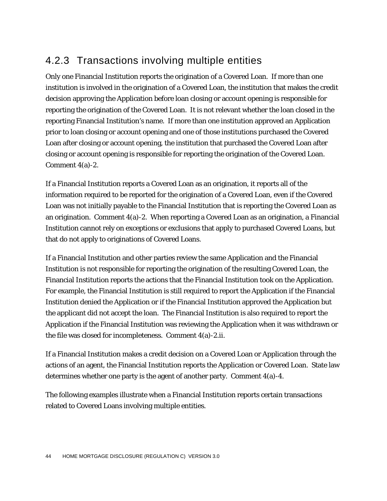## 4.2.3 Transactions involving multiple entities

Only one Financial Institution reports the origination of a Covered Loan. If more than one institution is involved in the origination of a Covered Loan, the institution that makes the credit decision approving the Application before loan closing or account opening is responsible for reporting the origination of the Covered Loan. It is not relevant whether the loan closed in the reporting Financial Institution's name. If more than one institution approved an Application prior to loan closing or account opening and one of those institutions purchased the Covered Loan after closing or account opening, the institution that purchased the Covered Loan after closing or account opening is responsible for reporting the origination of the Covered Loan. Comment 4(a)-2.

If a Financial Institution reports a Covered Loan as an origination, it reports all of the information required to be reported for the origination of a Covered Loan, even if the Covered Loan was not initially payable to the Financial Institution that is reporting the Covered Loan as an origination. Comment 4(a)-2. When reporting a Covered Loan as an origination, a Financial Institution cannot rely on exceptions or exclusions that apply to purchased Covered Loans, but that do not apply to originations of Covered Loans.

If a Financial Institution and other parties review the same Application and the Financial Institution is not responsible for reporting the origination of the resulting Covered Loan, the Financial Institution reports the actions that the Financial Institution took on the Application. For example, the Financial Institution is still required to report the Application if the Financial Institution denied the Application or if the Financial Institution approved the Application but the applicant did not accept the loan. The Financial Institution is also required to report the Application if the Financial Institution was reviewing the Application when it was withdrawn or the file was closed for incompleteness. Comment 4(a)-2.ii.

If a Financial Institution makes a credit decision on a Covered Loan or Application through the actions of an agent, the Financial Institution reports the Application or Covered Loan. State law determines whether one party is the agent of another party. Comment  $4(a)-4$ .

The following examples illustrate when a Financial Institution reports certain transactions related to Covered Loans involving multiple entities.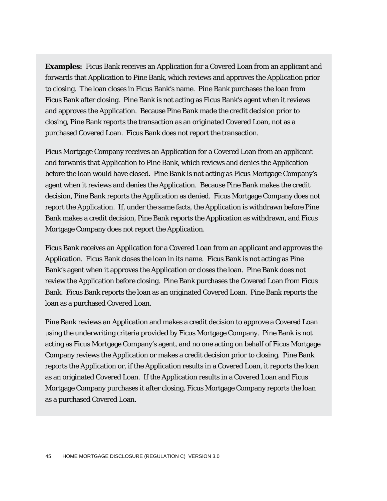**Examples:** Ficus Bank receives an Application for a Covered Loan from an applicant and forwards that Application to Pine Bank, which reviews and approves the Application prior to closing. The loan closes in Ficus Bank's name. Pine Bank purchases the loan from Ficus Bank after closing. Pine Bank is not acting as Ficus Bank's agent when it reviews and approves the Application. Because Pine Bank made the credit decision prior to closing, Pine Bank reports the transaction as an originated Covered Loan, not as a purchased Covered Loan. Ficus Bank does not report the transaction.

Ficus Mortgage Company receives an Application for a Covered Loan from an applicant and forwards that Application to Pine Bank, which reviews and denies the Application before the loan would have closed. Pine Bank is not acting as Ficus Mortgage Company's agent when it reviews and denies the Application. Because Pine Bank makes the credit decision, Pine Bank reports the Application as denied. Ficus Mortgage Company does not report the Application. If, under the same facts, the Application is withdrawn before Pine Bank makes a credit decision, Pine Bank reports the Application as withdrawn, and Ficus Mortgage Company does not report the Application.

Ficus Bank receives an Application for a Covered Loan from an applicant and approves the Application. Ficus Bank closes the loan in its name. Ficus Bank is not acting as Pine Bank's agent when it approves the Application or closes the loan. Pine Bank does not review the Application before closing. Pine Bank purchases the Covered Loan from Ficus Bank. Ficus Bank reports the loan as an originated Covered Loan. Pine Bank reports the loan as a purchased Covered Loan.

Pine Bank reviews an Application and makes a credit decision to approve a Covered Loan using the underwriting criteria provided by Ficus Mortgage Company. Pine Bank is not acting as Ficus Mortgage Company's agent, and no one acting on behalf of Ficus Mortgage Company reviews the Application or makes a credit decision prior to closing. Pine Bank reports the Application or, if the Application results in a Covered Loan, it reports the loan as an originated Covered Loan. If the Application results in a Covered Loan and Ficus Mortgage Company purchases it after closing, Ficus Mortgage Company reports the loan as a purchased Covered Loan.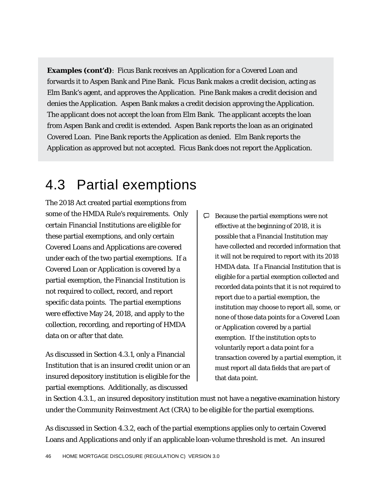**Examples (cont'd)**: Ficus Bank receives an Application for a Covered Loan and forwards it to Aspen Bank and Pine Bank. Ficus Bank makes a credit decision, acting as Elm Bank's agent, and approves the Application. Pine Bank makes a credit decision and denies the Application. Aspen Bank makes a credit decision approving the Application. The applicant does not accept the loan from Elm Bank. The applicant accepts the loan from Aspen Bank and credit is extended. Aspen Bank reports the loan as an originated Covered Loan. Pine Bank reports the Application as denied. Elm Bank reports the Application as approved but not accepted. Ficus Bank does not report the Application.

## 4.3 Partial exemptions

The 2018 Act created partial exemptions from some of the HMDA Rule's requirements. Only certain Financial Institutions are eligible for these partial exemptions, and only certain Covered Loans and Applications are covered under each of the two partial exemptions. If a Covered Loan or Application is covered by a partial exemption, the Financial Institution is not required to collect, record, and report specific data points. The partial exemptions were effective May 24, 2018, and apply to the collection, recording, and reporting of HMDA data on or after that date.

As discussed in Section 4.3.1, only a Financial Institution that is an insured credit union or an insured depository institution is eligible for the partial exemptions. Additionally, as discussed

 $\Box$  Because the partial exemptions were not effective at the beginning of 2018, it is possible that a Financial Institution may have collected and recorded information that it will not be required to report with its 2018 HMDA data. If a Financial Institution that is eligible for a partial exemption collected and recorded data points that it is not required to report due to a partial exemption, the institution may choose to report all, some, or none of those data points for a Covered Loan or Application covered by a partial exemption. If the institution opts to voluntarily report a data point for a transaction covered by a partial exemption, it must report all data fields that are part of that data point.

in Section 4.3.1., an insured depository institution must not have a negative examination history under the Community Reinvestment Act (CRA) to be eligible for the partial exemptions.

As discussed in Section 4.3.2, each of the partial exemptions applies only to certain Covered Loans and Applications and only if an applicable loan-volume threshold is met. An insured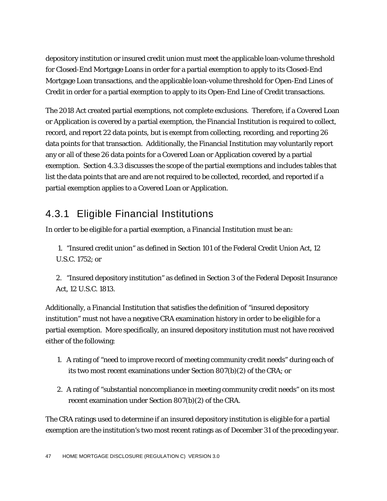depository institution or insured credit union must meet the applicable loan-volume threshold for Closed-End Mortgage Loans in order for a partial exemption to apply to its Closed-End Mortgage Loan transactions, and the applicable loan-volume threshold for Open-End Lines of Credit in order for a partial exemption to apply to its Open-End Line of Credit transactions.

The 2018 Act created partial exemptions, not complete exclusions. Therefore, if a Covered Loan or Application is covered by a partial exemption, the Financial Institution is required to collect, record, and report 22 data points, but is exempt from collecting, recording, and reporting 26 data points for that transaction. Additionally, the Financial Institution may voluntarily report any or all of these 26 data points for a Covered Loan or Application covered by a partial exemption. Section 4.3.3 discusses the scope of the partial exemptions and includes tables that list the data points that are and are not required to be collected, recorded, and reported if a partial exemption applies to a Covered Loan or Application.

## 4.3.1 Eligible Financial Institutions

In order to be eligible for a partial exemption, a Financial Institution must be an:

1. "Insured credit union" as defined in Section 101 of the Federal Credit Union Act, 12 U.S.C. 1752; or

2. "Insured depository institution" as defined in Section 3 of the Federal Deposit Insurance Act, 12 U.S.C. 1813.

Additionally, a Financial Institution that satisfies the definition of "insured depository institution" must not have a negative CRA examination history in order to be eligible for a partial exemption. More specifically, an insured depository institution must not have received either of the following:

- 1. A rating of "need to improve record of meeting community credit needs" during each of its two most recent examinations under Section 807(b)(2) of the CRA; or
- 2. A rating of "substantial noncompliance in meeting community credit needs" on its most recent examination under Section 807(b)(2) of the CRA.

The CRA ratings used to determine if an insured depository institution is eligible for a partial exemption are the institution's two most recent ratings as of December 31 of the preceding year.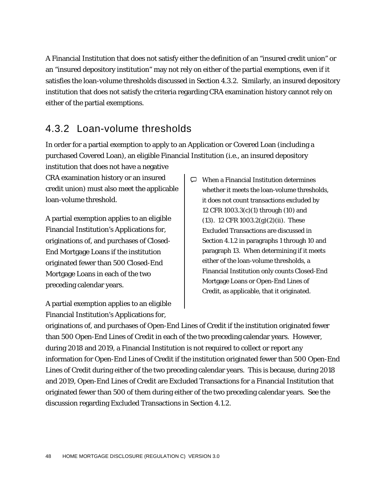A Financial Institution that does not satisfy either the definition of an "insured credit union" or an "insured depository institution" may not rely on either of the partial exemptions, even if it satisfies the loan-volume thresholds discussed in Section 4.3.2. Similarly, an insured depository institution that does not satisfy the criteria regarding CRA examination history cannot rely on either of the partial exemptions.

### 4.3.2 Loan-volume thresholds

In order for a partial exemption to apply to an Application or Covered Loan (including a purchased Covered Loan), an eligible Financial Institution (*i.e.*, an insured depository

institution that does not have a negative CRA examination history or an insured credit union) must also meet the applicable loan-volume threshold.

A partial exemption applies to an eligible Financial Institution's Applications for, originations of, and purchases of Closed-End Mortgage Loans if the institution originated fewer than 500 Closed-End Mortgage Loans in each of the two preceding calendar years.

 $\Box$  When a Financial Institution determines whether it meets the loan-volume thresholds, it does not count transactions excluded by 12 CFR 1003.3(c)(1) through (10) and  $(13)$ . 12 CFR 1003.2(g)(2)(ii). These Excluded Transactions are discussed in Section 4.1.2 in paragraphs 1 through 10 and paragraph 13. When determining if it meets either of the loan-volume thresholds, a Financial Institution only counts Closed-End Mortgage Loans or Open-End Lines of Credit, as applicable, that it originated.

A partial exemption applies to an eligible Financial Institution's Applications for,

originations of, and purchases of Open-End Lines of Credit if the institution originated fewer than 500 Open-End Lines of Credit in each of the two preceding calendar years. However, during 2018 and 2019, a Financial Institution is not required to collect or report any information for Open-End Lines of Credit if the institution originated fewer than 500 Open-End Lines of Credit during either of the two preceding calendar years. This is because, during 2018 and 2019, Open-End Lines of Credit are Excluded Transactions for a Financial Institution that originated fewer than 500 of them during either of the two preceding calendar years. See the discussion regarding Excluded Transactions in Section 4.1.2.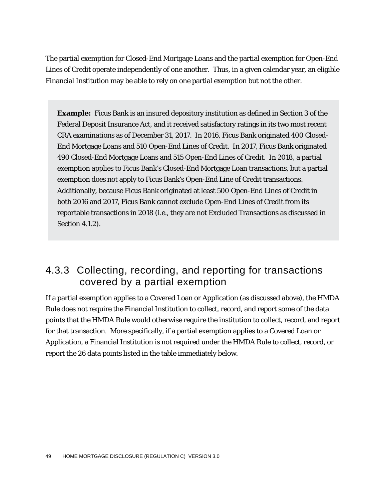The partial exemption for Closed-End Mortgage Loans and the partial exemption for Open-End Lines of Credit operate independently of one another. Thus, in a given calendar year, an eligible Financial Institution may be able to rely on one partial exemption but not the other.

**Example:** Ficus Bank is an insured depository institution as defined in Section 3 of the Federal Deposit Insurance Act, and it received satisfactory ratings in its two most recent CRA examinations as of December 31, 2017. In 2016, Ficus Bank originated 400 Closed-End Mortgage Loans and 510 Open-End Lines of Credit. In 2017, Ficus Bank originated 490 Closed-End Mortgage Loans and 515 Open-End Lines of Credit. In 2018, a partial exemption applies to Ficus Bank's Closed-End Mortgage Loan transactions, but a partial exemption does not apply to Ficus Bank's Open-End Line of Credit transactions. Additionally, because Ficus Bank originated at least 500 Open-End Lines of Credit in both 2016 and 2017, Ficus Bank cannot exclude Open-End Lines of Credit from its reportable transactions in 2018 (*i.e.*, they are not Excluded Transactions as discussed in Section 4.1.2).

### 4.3.3 Collecting, recording, and reporting for transactions covered by a partial exemption

If a partial exemption applies to a Covered Loan or Application (as discussed above), the HMDA Rule does not require the Financial Institution to collect, record, and report some of the data points that the HMDA Rule would otherwise require the institution to collect, record, and report for that transaction. More specifically, if a partial exemption applies to a Covered Loan or Application, a Financial Institution is not required under the HMDA Rule to collect, record, or report the 26 data points listed in the table immediately below.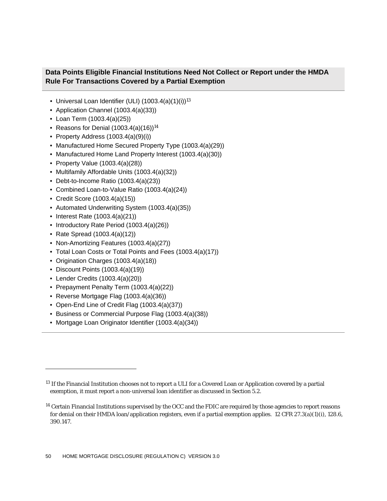### **Data Points Eligible Financial Institutions Need Not Collect or Report under the HMDA Rule For Transactions Covered by a Partial Exemption**

- Universal Loan Identifier (ULI) (1003.4(a)(1)(i))<sup>13</sup>
- Application Channel (1003.4(a)(33))
- Loan Term (1003.4(a)(25))
- Reasons for Denial  $(1003.4(a)(16))^{14}$
- Property Address (1003.4(a)(9)(i))
- Manufactured Home Secured Property Type (1003.4(a)(29))
- Manufactured Home Land Property Interest (1003.4(a)(30))
- Property Value (1003.4(a)(28))
- Multifamily Affordable Units (1003.4(a)(32))
- Debt-to-Income Ratio (1003.4(a)(23))
- Combined Loan-to-Value Ratio (1003.4(a)(24))
- Credit Score (1003.4(a)(15))
- Automated Underwriting System (1003.4(a)(35))
- Interest Rate (1003.4(a)(21))
- Introductory Rate Period (1003.4(a)(26))
- Rate Spread (1003.4(a)(12))
- Non-Amortizing Features (1003.4(a)(27))
- Total Loan Costs or Total Points and Fees (1003.4(a)(17))
- Origination Charges (1003.4(a)(18))
- Discount Points (1003.4(a)(19))
- Lender Credits (1003.4(a)(20))

1

- Prepayment Penalty Term (1003.4(a)(22))
- Reverse Mortgage Flag (1003.4(a)(36))
- Open-End Line of Credit Flag (1003.4(a)(37))
- Business or Commercial Purpose Flag (1003.4(a)(38))
- Mortgage Loan Originator Identifier (1003.4(a)(34))

<sup>&</sup>lt;sup>13</sup> If the Financial Institution chooses not to report a ULI for a Covered Loan or Application covered by a partial exemption, it must report a non-universal loan identifier as discussed in Section 5.2.

<sup>&</sup>lt;sup>14</sup> Certain Financial Institutions supervised by the OCC and the FDIC are required by those agencies to report reasons for denial on their HMDA loan/application registers, even if a partial exemption applies. 12 CFR 27.3(a)(1)(i), 128.6, 390.147.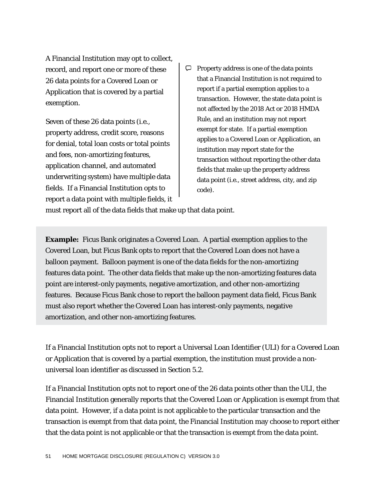A Financial Institution may opt to collect, record, and report one or more of these 26 data points for a Covered Loan or Application that is covered by a partial exemption.

Seven of these 26 data points (*i.e.*, property address, credit score, reasons for denial, total loan costs or total points and fees, non-amortizing features, application channel, and automated underwriting system) have multiple data fields. If a Financial Institution opts to report a data point with multiple fields, it  $\heartsuit$  Property address is one of the data points that a Financial Institution is not required to report if a partial exemption applies to a transaction. However, the state data point is not affected by the 2018 Act or 2018 HMDA Rule, and an institution may not report exempt for state. If a partial exemption applies to a Covered Loan or Application, an institution may report state for the transaction without reporting the other data fields that make up the property address data point (*i.e.*, street address, city, and zip code).

must report all of the data fields that make up that data point.

**Example:** Ficus Bank originates a Covered Loan. A partial exemption applies to the Covered Loan, but Ficus Bank opts to report that the Covered Loan does not have a balloon payment. Balloon payment is one of the data fields for the non-amortizing features data point. The other data fields that make up the non-amortizing features data point are interest-only payments, negative amortization, and other non-amortizing features. Because Ficus Bank chose to report the balloon payment data field, Ficus Bank must also report whether the Covered Loan has interest-only payments, negative amortization, and other non-amortizing features.

If a Financial Institution opts not to report a Universal Loan Identifier (ULI) for a Covered Loan or Application that is covered by a partial exemption, the institution must provide a nonuniversal loan identifier as discussed in Section 5.2.

If a Financial Institution opts not to report one of the 26 data points other than the ULI, the Financial Institution generally reports that the Covered Loan or Application is exempt from that data point. However, if a data point is not applicable to the particular transaction and the transaction is exempt from that data point, the Financial Institution may choose to report either that the data point is not applicable or that the transaction is exempt from the data point.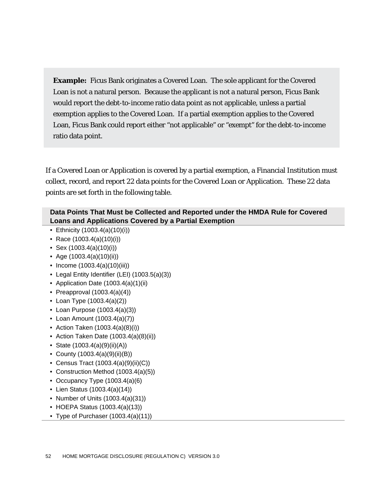**Example:** Ficus Bank originates a Covered Loan. The sole applicant for the Covered Loan is not a natural person. Because the applicant is not a natural person, Ficus Bank would report the debt-to-income ratio data point as not applicable, unless a partial exemption applies to the Covered Loan. If a partial exemption applies to the Covered Loan, Ficus Bank could report either "not applicable" or "exempt" for the debt-to-income ratio data point.

If a Covered Loan or Application is covered by a partial exemption, a Financial Institution must collect, record, and report 22 data points for the Covered Loan or Application. These 22 data points are set forth in the following table.

### **Data Points That Must be Collected and Reported under the HMDA Rule for Covered Loans and Applications Covered by a Partial Exemption**

- Ethnicity (1003.4(a)(10)(i))
- Race (1003.4(a)(10)(i))
- Sex (1003.4(a)(10)(i))
- Age (1003.4(a)(10)(ii))
- Income (1003.4(a)(10)(iii))
- Legal Entity Identifier (LEI) (1003.5(a)(3))
- Application Date (1003.4(a)(1)(ii)
- Preapproval  $(1003.4(a)(4))$
- Loan Type (1003.4(a)(2))
- Loan Purpose (1003.4(a)(3))
- Loan Amount (1003.4(a)(7))
- Action Taken (1003.4(a)(8)(i))
- Action Taken Date  $(1003.4(a)(8)(ii))$
- State (1003.4(a)(9)(ii)(A))
- County (1003.4(a)(9)(ii)(B))
- Census Tract (1003.4(a)(9)(ii)(C))
- Construction Method (1003.4(a)(5))
- Occupancy Type (1003.4(a)(6)
- Lien Status (1003.4(a)(14))
- Number of Units (1003.4(a)(31))
- HOEPA Status (1003.4(a)(13))
- Type of Purchaser (1003.4(a)(11))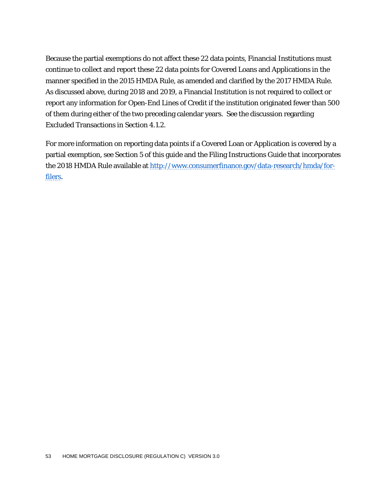Because the partial exemptions do not affect these 22 data points, Financial Institutions must continue to collect and report these 22 data points for Covered Loans and Applications in the manner specified in the 2015 HMDA Rule, as amended and clarified by the 2017 HMDA Rule. As discussed above, during 2018 and 2019, a Financial Institution is not required to collect or report any information for Open-End Lines of Credit if the institution originated fewer than 500 of them during either of the two preceding calendar years. See the discussion regarding Excluded Transactions in Section 4.1.2.

For more information on reporting data points if a Covered Loan or Application is covered by a partial exemption, see Section 5 of this guide and the Filing Instructions Guide that incorporates the 2018 HMDA Rule available at [http://www.consumerfinance.gov/data-research/hmda/for](http://www.consumerfinance.gov/data-research/hmda/for-filers)[filers.](http://www.consumerfinance.gov/data-research/hmda/for-filers)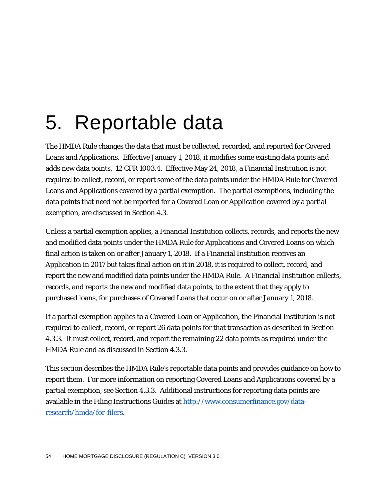# 5. Reportable data

The HMDA Rule changes the data that must be collected, recorded, and reported for Covered Loans and Applications. Effective January 1, 2018, it modifies some existing data points and adds new data points. 12 CFR 1003.4. Effective May 24, 2018, a Financial Institution is not required to collect, record, or report some of the data points under the HMDA Rule for Covered Loans and Applications covered by a partial exemption. The partial exemptions, including the data points that need not be reported for a Covered Loan or Application covered by a partial exemption, are discussed in Section 4.3.

Unless a partial exemption applies, a Financial Institution collects, records, and reports the new and modified data points under the HMDA Rule for Applications and Covered Loans on which final action is taken on or after January 1, 2018. If a Financial Institution receives an Application in 2017 but takes final action on it in 2018, it is required to collect, record, and report the new and modified data points under the HMDA Rule. A Financial Institution collects, records, and reports the new and modified data points, to the extent that they apply to purchased loans, for purchases of Covered Loans that occur on or after January 1, 2018.

If a partial exemption applies to a Covered Loan or Application, the Financial Institution is not required to collect, record, or report 26 data points for that transaction as described in Section 4.3.3. It must collect, record, and report the remaining 22 data points as required under the HMDA Rule and as discussed in Section 4.3.3.

This section describes the HMDA Rule's reportable data points and provides guidance on how to report them. For more information on reporting Covered Loans and Applications covered by a partial exemption, see Section 4.3.3. Additional instructions for reporting data points are available in the Filing Instructions Guides at [http://www.consumerfinance.gov/data](http://www.consumerfinance.gov/data-research/hmda/for-filers)[research/hmda/for-filers.](http://www.consumerfinance.gov/data-research/hmda/for-filers)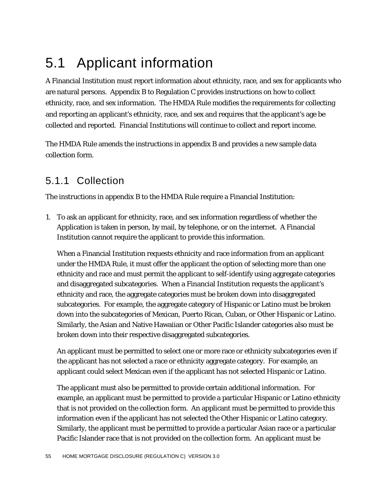# 5.1 Applicant information

A Financial Institution must report information about ethnicity, race, and sex for applicants who are natural persons. Appendix B to Regulation C provides instructions on how to collect ethnicity, race, and sex information. The HMDA Rule modifies the requirements for collecting and reporting an applicant's ethnicity, race, and sex and requires that the applicant's age be collected and reported. Financial Institutions will continue to collect and report income.

The HMDA Rule amends the instructions in appendix B and provides a new sample data collection form.

## 5.1.1 Collection

The instructions in appendix B to the HMDA Rule require a Financial Institution:

1. To ask an applicant for ethnicity, race, and sex information regardless of whether the Application is taken in person, by mail, by telephone, or on the internet. A Financial Institution cannot require the applicant to provide this information.

When a Financial Institution requests ethnicity and race information from an applicant under the HMDA Rule, it must offer the applicant the option of selecting more than one ethnicity and race and must permit the applicant to self-identify using aggregate categories and disaggregated subcategories. When a Financial Institution requests the applicant's ethnicity and race, the aggregate categories must be broken down into disaggregated subcategories. For example, the aggregate category of Hispanic or Latino must be broken down into the subcategories of Mexican, Puerto Rican, Cuban, or Other Hispanic or Latino. Similarly, the Asian and Native Hawaiian or Other Pacific Islander categories also must be broken down into their respective disaggregated subcategories.

An applicant must be permitted to select one or more race or ethnicity subcategories even if the applicant has not selected a race or ethnicity aggregate category. For example, an applicant could select Mexican even if the applicant has not selected Hispanic or Latino.

The applicant must also be permitted to provide certain additional information. For example, an applicant must be permitted to provide a particular Hispanic or Latino ethnicity that is not provided on the collection form. An applicant must be permitted to provide this information even if the applicant has not selected the Other Hispanic or Latino category. Similarly, the applicant must be permitted to provide a particular Asian race or a particular Pacific Islander race that is not provided on the collection form. An applicant must be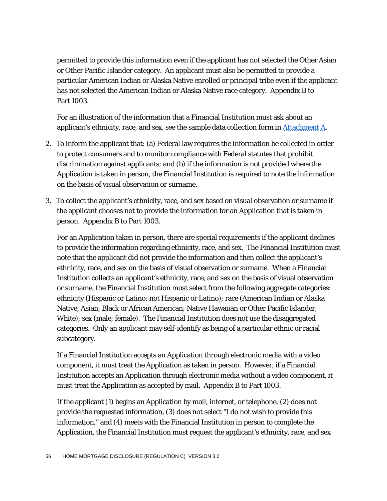permitted to provide this information even if the applicant has not selected the Other Asian or Other Pacific Islander category. An applicant must also be permitted to provide a particular American Indian or Alaska Native enrolled or principal tribe even if the applicant has not selected the American Indian or Alaska Native race category. Appendix B to Part 1003.

For an illustration of the information that a Financial Institution must ask about an applicant's ethnicity, race, and sex, see the sample data collection form in  $\frac{Attention}{data}$ .

- 2. To inform the applicant that: (a) Federal law requires the information be collected in order to protect consumers and to monitor compliance with Federal statutes that prohibit discrimination against applicants; and (b) if the information is not provided where the Application is taken in person, the Financial Institution is required to note the information on the basis of visual observation or surname.
- 3. To collect the applicant's ethnicity, race, and sex based on visual observation or surname if the applicant chooses not to provide the information for an Application that is taken in person. Appendix B to Part 1003.

For an Application taken in person, there are special requirements if the applicant declines to provide the information regarding ethnicity, race, and sex. The Financial Institution must note that the applicant did not provide the information and then collect the applicant's ethnicity, race, and sex on the basis of visual observation or surname. When a Financial Institution collects an applicant's ethnicity, race, and sex on the basis of visual observation or surname, the Financial Institution must select from the following aggregate categories: ethnicity (Hispanic or Latino; not Hispanic or Latino); race (American Indian or Alaska Native; Asian; Black or African American; Native Hawaiian or Other Pacific Islander; White); sex (male; female). The Financial Institution does not use the disaggregated categories. Only an applicant may self-identify as being of a particular ethnic or racial subcategory.

If a Financial Institution accepts an Application through electronic media with a video component, it must treat the Application as taken in person. However, if a Financial Institution accepts an Application through electronic media without a video component, it must treat the Application as accepted by mail. Appendix B to Part 1003.

If the applicant (1) begins an Application by mail, internet, or telephone, (2) does not provide the requested information, (3) does not select "I do not wish to provide this information," and (4) meets with the Financial Institution in person to complete the Application, the Financial Institution must request the applicant's ethnicity, race, and sex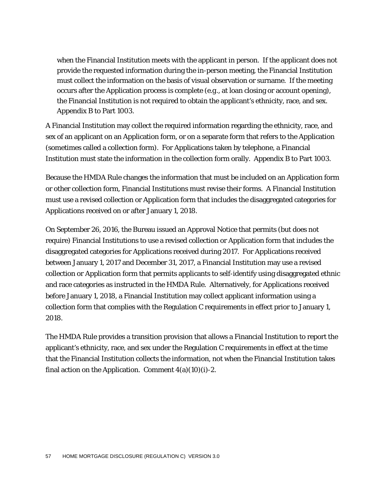when the Financial Institution meets with the applicant in person. If the applicant does not provide the requested information during the in-person meeting, the Financial Institution must collect the information on the basis of visual observation or surname. If the meeting occurs after the Application process is complete (*e.g.*, at loan closing or account opening), the Financial Institution is not required to obtain the applicant's ethnicity, race, and sex. Appendix B to Part 1003.

A Financial Institution may collect the required information regarding the ethnicity, race, and sex of an applicant on an Application form, or on a separate form that refers to the Application (sometimes called a collection form). For Applications taken by telephone, a Financial Institution must state the information in the collection form orally. Appendix B to Part 1003.

Because the HMDA Rule changes the information that must be included on an Application form or other collection form, Financial Institutions must revise their forms. A Financial Institution must use a revised collection or Application form that includes the disaggregated categories for Applications received on or after January 1, 2018.

On September 26, 2016, the Bureau issued an Approval Notice that permits (but does not require) Financial Institutions to use a revised collection or Application form that includes the disaggregated categories for Applications received during 2017. For Applications received between January 1, 2017 and December 31, 2017, a Financial Institution may use a revised collection or Application form that permits applicants to self-identify using disaggregated ethnic and race categories as instructed in the HMDA Rule. Alternatively, for Applications received before January 1, 2018, a Financial Institution may collect applicant information using a collection form that complies with the Regulation C requirements in effect prior to January 1, 2018.

The HMDA Rule provides a transition provision that allows a Financial Institution to report the applicant's ethnicity, race, and sex under the Regulation C requirements in effect at the time that the Financial Institution collects the information, not when the Financial Institution takes final action on the Application. Comment  $4(a)(10)(i)-2$ .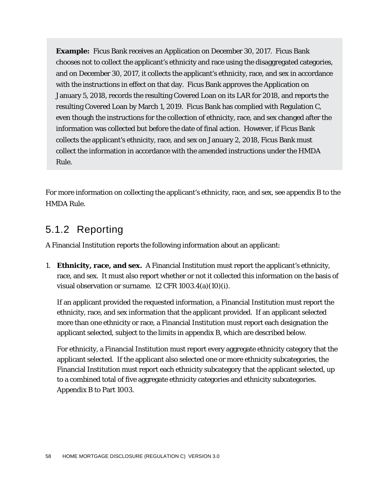**Example:** Ficus Bank receives an Application on December 30, 2017. Ficus Bank chooses not to collect the applicant's ethnicity and race using the disaggregated categories, and on December 30, 2017, it collects the applicant's ethnicity, race, and sex in accordance with the instructions in effect on that day. Ficus Bank approves the Application on January 5, 2018, records the resulting Covered Loan on its LAR for 2018, and reports the resulting Covered Loan by March 1, 2019. Ficus Bank has complied with Regulation C, even though the instructions for the collection of ethnicity, race, and sex changed after the information was collected but before the date of final action. However, if Ficus Bank collects the applicant's ethnicity, race, and sex on January 2, 2018, Ficus Bank must collect the information in accordance with the amended instructions under the HMDA Rule.

For more information on collecting the applicant's ethnicity, race, and sex, see appendix B to the HMDA Rule.

### 5.1.2 Reporting

A Financial Institution reports the following information about an applicant:

1. **Ethnicity, race, and sex.** A Financial Institution must report the applicant's ethnicity, race, and sex. It must also report whether or not it collected this information on the basis of visual observation or surname. 12 CFR 1003.4(a)(10)(i).

If an applicant provided the requested information, a Financial Institution must report the ethnicity, race, and sex information that the applicant provided. If an applicant selected more than one ethnicity or race, a Financial Institution must report each designation the applicant selected, subject to the limits in appendix B, which are described below.

For ethnicity, a Financial Institution must report every aggregate ethnicity category that the applicant selected. If the applicant also selected one or more ethnicity subcategories, the Financial Institution must report each ethnicity subcategory that the applicant selected, up to a combined total of five aggregate ethnicity categories and ethnicity subcategories. Appendix B to Part 1003.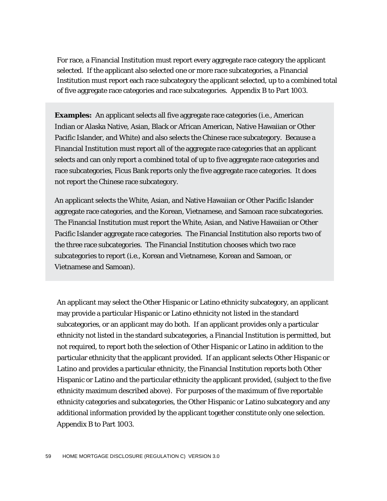For race, a Financial Institution must report every aggregate race category the applicant selected. If the applicant also selected one or more race subcategories, a Financial Institution must report each race subcategory the applicant selected, up to a combined total of five aggregate race categories and race subcategories. Appendix B to Part 1003.

**Examples:** An applicant selects all five aggregate race categories (*i.e.,* American Indian or Alaska Native, Asian, Black or African American, Native Hawaiian or Other Pacific Islander, and White) and also selects the Chinese race subcategory. Because a Financial Institution must report all of the aggregate race categories that an applicant selects and can only report a combined total of up to five aggregate race categories and race subcategories, Ficus Bank reports only the five aggregate race categories. It does not report the Chinese race subcategory.

An applicant selects the White, Asian, and Native Hawaiian or Other Pacific Islander aggregate race categories, and the Korean, Vietnamese, and Samoan race subcategories. The Financial Institution must report the White, Asian, and Native Hawaiian or Other Pacific Islander aggregate race categories. The Financial Institution also reports two of the three race subcategories. The Financial Institution chooses which two race subcategories to report (*i.e.*, Korean and Vietnamese, Korean and Samoan, or Vietnamese and Samoan).

An applicant may select the Other Hispanic or Latino ethnicity subcategory, an applicant may provide a particular Hispanic or Latino ethnicity not listed in the standard subcategories, or an applicant may do both. If an applicant provides only a particular ethnicity not listed in the standard subcategories, a Financial Institution is permitted, but not required, to report both the selection of Other Hispanic or Latino in addition to the particular ethnicity that the applicant provided. If an applicant selects Other Hispanic or Latino and provides a particular ethnicity, the Financial Institution reports both Other Hispanic or Latino and the particular ethnicity the applicant provided, (subject to the five ethnicity maximum described above). For purposes of the maximum of five reportable ethnicity categories and subcategories, the Other Hispanic or Latino subcategory and any additional information provided by the applicant together constitute only one selection. Appendix B to Part 1003.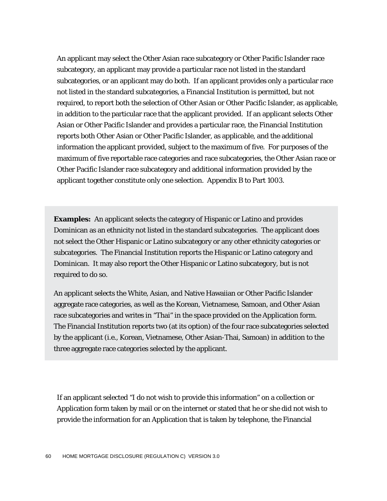An applicant may select the Other Asian race subcategory or Other Pacific Islander race subcategory, an applicant may provide a particular race not listed in the standard subcategories, or an applicant may do both. If an applicant provides only a particular race not listed in the standard subcategories, a Financial Institution is permitted, but not required, to report both the selection of Other Asian or Other Pacific Islander, as applicable, in addition to the particular race that the applicant provided. If an applicant selects Other Asian or Other Pacific Islander and provides a particular race, the Financial Institution reports both Other Asian or Other Pacific Islander, as applicable, and the additional information the applicant provided, subject to the maximum of five. For purposes of the maximum of five reportable race categories and race subcategories, the Other Asian race or Other Pacific Islander race subcategory and additional information provided by the applicant together constitute only one selection. Appendix B to Part 1003.

**Examples:** An applicant selects the category of Hispanic or Latino and provides Dominican as an ethnicity not listed in the standard subcategories. The applicant does not select the Other Hispanic or Latino subcategory or any other ethnicity categories or subcategories. The Financial Institution reports the Hispanic or Latino category and Dominican. It may also report the Other Hispanic or Latino subcategory, but is not required to do so.

An applicant selects the White, Asian, and Native Hawaiian or Other Pacific Islander aggregate race categories, as well as the Korean, Vietnamese, Samoan, and Other Asian race subcategories and writes in "Thai" in the space provided on the Application form. The Financial Institution reports two (at its option) of the four race subcategories selected by the applicant (*i.e.*, Korean, Vietnamese, Other Asian-Thai, Samoan) in addition to the three aggregate race categories selected by the applicant.

If an applicant selected "I do not wish to provide this information" on a collection or Application form taken by mail or on the internet or stated that he or she did not wish to provide the information for an Application that is taken by telephone, the Financial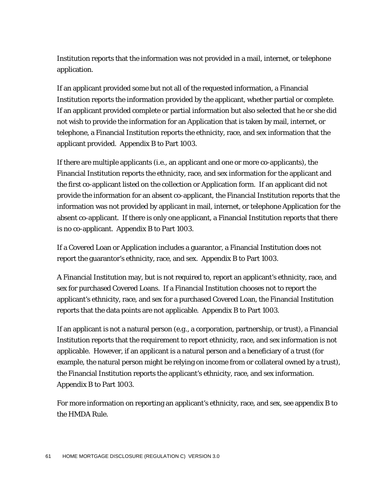Institution reports that the information was not provided in a mail, internet, or telephone application.

If an applicant provided some but not all of the requested information, a Financial Institution reports the information provided by the applicant, whether partial or complete. If an applicant provided complete or partial information but also selected that he or she did not wish to provide the information for an Application that is taken by mail, internet, or telephone, a Financial Institution reports the ethnicity, race, and sex information that the applicant provided. Appendix B to Part 1003.

If there are multiple applicants (*i.e.*, an applicant and one or more co-applicants), the Financial Institution reports the ethnicity, race, and sex information for the applicant and the first co-applicant listed on the collection or Application form. If an applicant did not provide the information for an absent co-applicant, the Financial Institution reports that the information was not provided by applicant in mail, internet, or telephone Application for the absent co-applicant. If there is only one applicant, a Financial Institution reports that there is no co-applicant. Appendix B to Part 1003.

If a Covered Loan or Application includes a guarantor, a Financial Institution does not report the guarantor's ethnicity, race, and sex. Appendix B to Part 1003.

A Financial Institution may, but is not required to, report an applicant's ethnicity, race, and sex for purchased Covered Loans. If a Financial Institution chooses not to report the applicant's ethnicity, race, and sex for a purchased Covered Loan, the Financial Institution reports that the data points are not applicable. Appendix B to Part 1003.

If an applicant is not a natural person (*e.g.*, a corporation, partnership, or trust), a Financial Institution reports that the requirement to report ethnicity, race, and sex information is not applicable. However, if an applicant is a natural person and a beneficiary of a trust (for example, the natural person might be relying on income from or collateral owned by a trust), the Financial Institution reports the applicant's ethnicity, race, and sex information. Appendix B to Part 1003.

For more information on reporting an applicant's ethnicity, race, and sex, see appendix B to the HMDA Rule.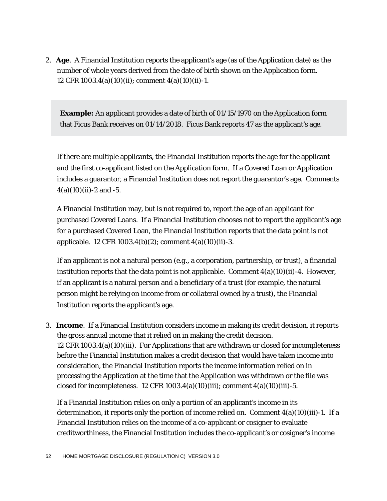2. **Age**. A Financial Institution reports the applicant's age (as of the Application date) as the number of whole years derived from the date of birth shown on the Application form. 12 CFR 1003.4(a)(10)(ii); comment 4(a)(10)(ii)-1.

**Example:** An applicant provides a date of birth of 01/15/1970 on the Application form that Ficus Bank receives on 01/14/2018. Ficus Bank reports 47 as the applicant's age.

If there are multiple applicants, the Financial Institution reports the age for the applicant and the first co-applicant listed on the Application form. If a Covered Loan or Application includes a guarantor, a Financial Institution does not report the guarantor's age. Comments  $4(a)(10)(ii) - 2$  and  $-5$ .

A Financial Institution may, but is not required to, report the age of an applicant for purchased Covered Loans. If a Financial Institution chooses not to report the applicant's age for a purchased Covered Loan, the Financial Institution reports that the data point is not applicable. 12 CFR 1003.4(b)(2); comment 4(a)(10)(ii)-3.

If an applicant is not a natural person (*e.g.*, a corporation, partnership, or trust), a financial institution reports that the data point is not applicable. Comment  $4(a)(10)(ii)-4$ . However, if an applicant is a natural person and a beneficiary of a trust (for example, the natural person might be relying on income from or collateral owned by a trust), the Financial Institution reports the applicant's age.

3. **Income**. If a Financial Institution considers income in making its credit decision, it reports the gross annual income that it relied on in making the credit decision. 12 CFR 1003.4(a)(10)(iii). For Applications that are withdrawn or closed for incompleteness before the Financial Institution makes a credit decision that would have taken income into consideration, the Financial Institution reports the income information relied on in processing the Application at the time that the Application was withdrawn or the file was closed for incompleteness. 12 CFR 1003.4(a)(10)(iii); comment  $4(a)(10)(iii)$ -5.

If a Financial Institution relies on only a portion of an applicant's income in its determination, it reports only the portion of income relied on. Comment 4(a)(10)(iii)-1. If a Financial Institution relies on the income of a co-applicant or cosigner to evaluate creditworthiness, the Financial Institution includes the co-applicant's or cosigner's income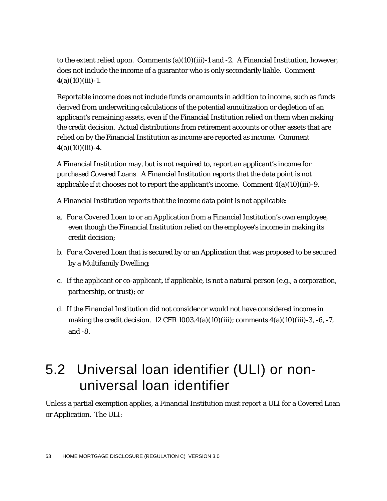to the extent relied upon. Comments (a)(10)(iii)-1 and -2. A Financial Institution, however, does not include the income of a guarantor who is only secondarily liable. Comment  $4(a)(10)(iii) - 1.$ 

Reportable income does not include funds or amounts in addition to income, such as funds derived from underwriting calculations of the potential annuitization or depletion of an applicant's remaining assets, even if the Financial Institution relied on them when making the credit decision. Actual distributions from retirement accounts or other assets that are relied on by the Financial Institution as income are reported as income. Comment  $4(a)(10)(iii) - 4.$ 

A Financial Institution may, but is not required to, report an applicant's income for purchased Covered Loans. A Financial Institution reports that the data point is not applicable if it chooses not to report the applicant's income. Comment  $4(a)(10)(iii)-9$ .

A Financial Institution reports that the income data point is not applicable:

- a. For a Covered Loan to or an Application from a Financial Institution's own employee, even though the Financial Institution relied on the employee's income in making its credit decision;
- b. For a Covered Loan that is secured by or an Application that was proposed to be secured by a Multifamily Dwelling;
- c. If the applicant or co-applicant, if applicable, is not a natural person (*e.g.*, a corporation, partnership, or trust); or
- d. If the Financial Institution did not consider or would not have considered income in making the credit decision. 12 CFR 1003.4(a)(10)(iii); comments 4(a)(10)(iii)-3, -6, -7, and -8.

## 5.2 Universal loan identifier (ULI) or nonuniversal loan identifier

Unless a partial exemption applies, a Financial Institution must report a ULI for a Covered Loan or Application. The ULI: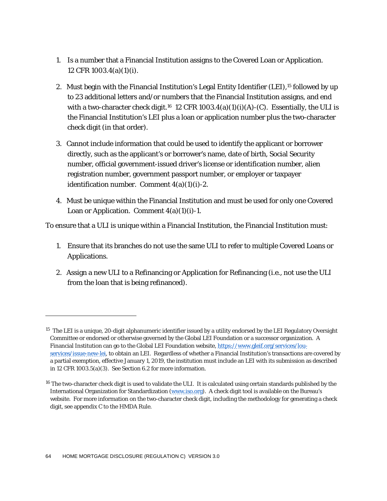- 1. Is a number that a Financial Institution assigns to the Covered Loan or Application. 12 CFR 1003.4(a)(1)(i).
- 2. Must begin with the Financial Institution's Legal Entity Identifier (LEI),<sup>15</sup> followed by up to 23 additional letters and/or numbers that the Financial Institution assigns, and end with a two-character check digit.<sup>16</sup> 12 CFR 1003.4(a)(1)(i)(A)-(C). Essentially, the ULI is the Financial Institution's LEI plus a loan or application number plus the two-character check digit (in that order).
- 3. Cannot include information that could be used to identify the applicant or borrower directly, such as the applicant's or borrower's name, date of birth, Social Security number, official government-issued driver's license or identification number, alien registration number, government passport number, or employer or taxpayer identification number. Comment  $4(a)(1)(i)-2$ .
- 4. Must be unique within the Financial Institution and must be used for only one Covered Loan or Application. Comment  $4(a)(1)(i)-1$ .

To ensure that a ULI is unique within a Financial Institution, the Financial Institution must:

- 1. Ensure that its branches do not use the same ULI to refer to multiple Covered Loans or Applications.
- 2. Assign a new ULI to a Refinancing or Application for Refinancing (*i.e.*, not use the ULI from the loan that is being refinanced).

1

<sup>&</sup>lt;sup>15</sup> The LEI is a unique, 20-digit alphanumeric identifier issued by a utility endorsed by the LEI Regulatory Oversight Committee or endorsed or otherwise governed by the Global LEI Foundation or a successor organization. A Financial Institution can go to the Global LEI Foundation website[, https://www.gleif.org/services/lou](https://www.gleif.org/services/lou-services/issue-new-lei)[services/issue-new-lei,](https://www.gleif.org/services/lou-services/issue-new-lei) to obtain an LEI. Regardless of whether a Financial Institution's transactions are covered by a partial exemption, effective January 1, 2019, the institution must include an LEI with its submission as described in 12 CFR 1003.5(a)(3). See Section 6.2 for more information.

 $16$  The two-character check digit is used to validate the ULI. It is calculated using certain standards published by the International Organization for Standardization [\(www.iso.org\)](http://www.iso.org/). A check digit tool is available on the Bureau's website. For more information on the two-character check digit, including the methodology for generating a check digit, see appendix C to the HMDA Rule.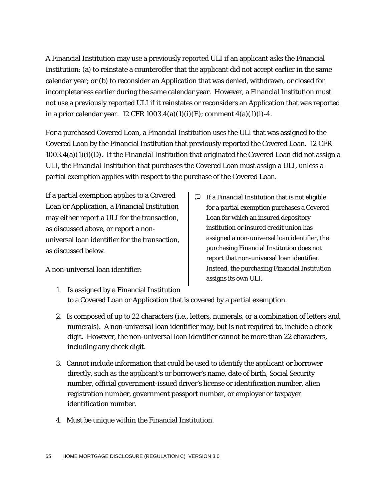A Financial Institution may use a previously reported ULI if an applicant asks the Financial Institution: (a) to reinstate a counteroffer that the applicant did not accept earlier in the same calendar year; or (b) to reconsider an Application that was denied, withdrawn, or closed for incompleteness earlier during the same calendar year. However, a Financial Institution must not use a previously reported ULI if it reinstates or reconsiders an Application that was reported in a prior calendar year. 12 CFR  $1003.4(a)(1)(i)(E)$ ; comment  $4(a)(1)(i)-4$ .

For a purchased Covered Loan, a Financial Institution uses the ULI that was assigned to the Covered Loan by the Financial Institution that previously reported the Covered Loan. 12 CFR  $1003.4(a)(1)(i)(D)$ . If the Financial Institution that originated the Covered Loan did not assign a ULI, the Financial Institution that purchases the Covered Loan must assign a ULI, unless a partial exemption applies with respect to the purchase of the Covered Loan.

If a partial exemption applies to a Covered Loan or Application, a Financial Institution may either report a ULI for the transaction, as discussed above, or report a nonuniversal loan identifier for the transaction, as discussed below.

A non-universal loan identifier:

- $\Box$  If a Financial Institution that is not eligible for a partial exemption purchases a Covered Loan for which an insured depository institution or insured credit union has assigned a non-universal loan identifier, the purchasing Financial Institution does not report that non-universal loan identifier. Instead, the purchasing Financial Institution assigns its own ULI.
- 1. Is assigned by a Financial Institution to a Covered Loan or Application that is covered by a partial exemption.
- 2. Is composed of up to 22 characters (*i.e.*, letters, numerals, or a combination of letters and numerals). A non-universal loan identifier may, but is not required to, include a check digit. However, the non-universal loan identifier cannot be more than 22 characters, including any check digit.
- 3. Cannot include information that could be used to identify the applicant or borrower directly, such as the applicant's or borrower's name, date of birth, Social Security number, official government-issued driver's license or identification number, alien registration number, government passport number, or employer or taxpayer identification number.
- 4. Must be unique within the Financial Institution.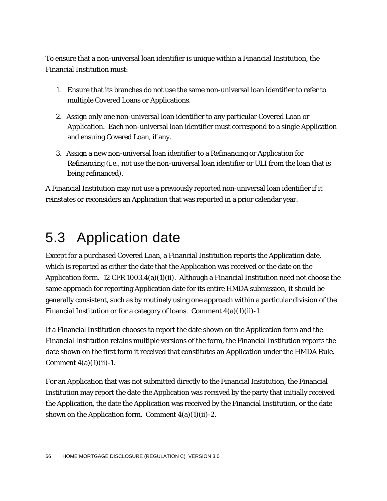To ensure that a non-universal loan identifier is unique within a Financial Institution, the Financial Institution must:

- 1. Ensure that its branches do not use the same non-universal loan identifier to refer to multiple Covered Loans or Applications.
- 2. Assign only one non-universal loan identifier to any particular Covered Loan or Application. Each non-universal loan identifier must correspond to a single Application and ensuing Covered Loan, if any.
- 3. Assign a new non-universal loan identifier to a Refinancing or Application for Refinancing (*i.e.*, not use the non-universal loan identifier or ULI from the loan that is being refinanced).

A Financial Institution may not use a previously reported non-universal loan identifier if it reinstates or reconsiders an Application that was reported in a prior calendar year.

# 5.3 Application date

Except for a purchased Covered Loan, a Financial Institution reports the Application date, which is reported as either the date that the Application was received or the date on the Application form. 12 CFR 1003.4(a)(1)(ii). Although a Financial Institution need not choose the same approach for reporting Application date for its entire HMDA submission, it should be generally consistent, such as by routinely using one approach within a particular division of the Financial Institution or for a category of loans. Comment  $4(a)(1)(ii)-1$ .

If a Financial Institution chooses to report the date shown on the Application form and the Financial Institution retains multiple versions of the form, the Financial Institution reports the date shown on the first form it received that constitutes an Application under the HMDA Rule. Comment  $4(a)(1)(ii) -1$ .

For an Application that was not submitted directly to the Financial Institution, the Financial Institution may report the date the Application was received by the party that initially received the Application, the date the Application was received by the Financial Institution, or the date shown on the Application form. Comment  $4(a)(1)(ii)-2$ .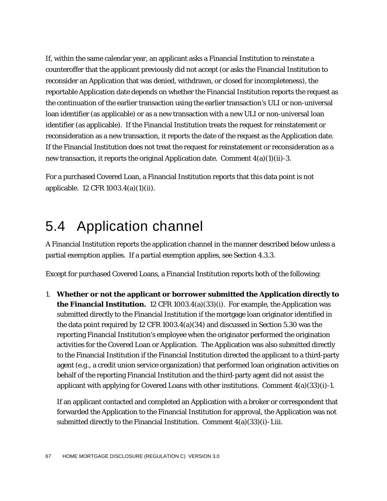If, within the same calendar year, an applicant asks a Financial Institution to reinstate a counteroffer that the applicant previously did not accept (or asks the Financial Institution to reconsider an Application that was denied, withdrawn, or closed for incompleteness), the reportable Application date depends on whether the Financial Institution reports the request as the continuation of the earlier transaction using the earlier transaction's ULI or non-universal loan identifier (as applicable) or as a new transaction with a new ULI or non-universal loan identifier (as applicable). If the Financial Institution treats the request for reinstatement or reconsideration as a new transaction, it reports the date of the request as the Application date. If the Financial Institution does not treat the request for reinstatement or reconsideration as a new transaction, it reports the original Application date. Comment  $4(a)(1)(ii)-3$ .

For a purchased Covered Loan, a Financial Institution reports that this data point is not applicable. 12 CFR 1003.4(a)(1)(ii).

## 5.4 Application channel

A Financial Institution reports the application channel in the manner described below unless a partial exemption applies. If a partial exemption applies, see Section 4.3.3.

Except for purchased Covered Loans, a Financial Institution reports both of the following:

1. **Whether or not the applicant or borrower submitted the Application directly to the Financial Institution.** 12 CFR 1003.4(a)(33)(i). For example, the Application was submitted directly to the Financial Institution if the mortgage loan originator identified in the data point required by 12 CFR 1003.4(a)(34) and discussed in Section 5.30 was the reporting Financial Institution's employee when the originator performed the origination activities for the Covered Loan or Application. The Application was also submitted directly to the Financial Institution if the Financial Institution directed the applicant to a third-party agent (*e.g.*, a credit union service organization) that performed loan origination activities on behalf of the reporting Financial Institution and the third-party agent did not assist the applicant with applying for Covered Loans with other institutions. Comment  $4(a)(33)(i)$ -1.

If an applicant contacted and completed an Application with a broker or correspondent that forwarded the Application to the Financial Institution for approval, the Application was not submitted directly to the Financial Institution. Comment  $4(a)(33)(i)$ -1.iii.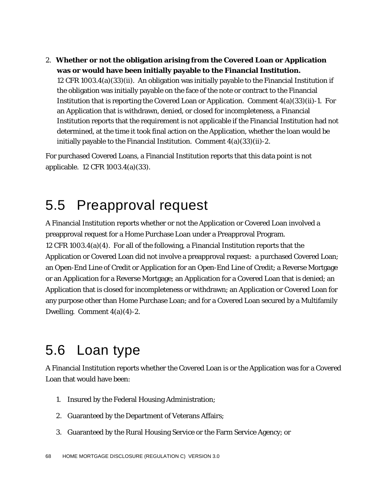2. **Whether or not the obligation arising from the Covered Loan or Application was or would have been initially payable to the Financial Institution.** 12 CFR 1003.4(a)(33)(ii). An obligation was initially payable to the Financial Institution if the obligation was initially payable on the face of the note or contract to the Financial Institution that is reporting the Covered Loan or Application. Comment 4(a)(33)(ii)-1. For an Application that is withdrawn, denied, or closed for incompleteness, a Financial Institution reports that the requirement is not applicable if the Financial Institution had not determined, at the time it took final action on the Application, whether the loan would be initially payable to the Financial Institution. Comment  $4(a)(33)(ii)-2$ .

For purchased Covered Loans, a Financial Institution reports that this data point is not applicable. 12 CFR 1003.4(a)(33).

## 5.5 Preapproval request

A Financial Institution reports whether or not the Application or Covered Loan involved a preapproval request for a Home Purchase Loan under a Preapproval Program. 12 CFR 1003.4(a)(4). For all of the following, a Financial Institution reports that the Application or Covered Loan did not involve a preapproval request: a purchased Covered Loan; an Open-End Line of Credit or Application for an Open-End Line of Credit; a Reverse Mortgage or an Application for a Reverse Mortgage; an Application for a Covered Loan that is denied; an Application that is closed for incompleteness or withdrawn; an Application or Covered Loan for any purpose other than Home Purchase Loan; and for a Covered Loan secured by a Multifamily Dwelling. Comment 4(a)(4)-2.

## 5.6 Loan type

A Financial Institution reports whether the Covered Loan is or the Application was for a Covered Loan that would have been:

- 1. Insured by the Federal Housing Administration;
- 2. Guaranteed by the Department of Veterans Affairs;
- 3. Guaranteed by the Rural Housing Service or the Farm Service Agency; or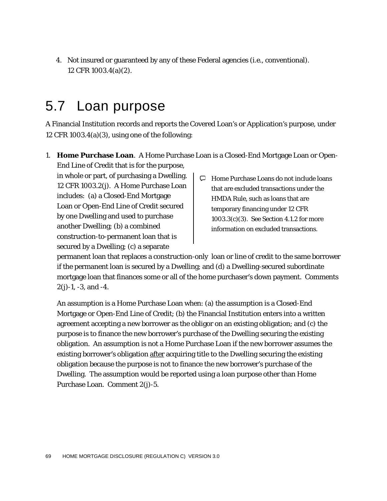4. Not insured or guaranteed by any of these Federal agencies (*i.e.*, conventional). 12 CFR 1003.4(a)(2).

## 5.7 Loan purpose

A Financial Institution records and reports the Covered Loan's or Application's purpose, under 12 CFR 1003.4(a)(3), using one of the following:

1. **Home Purchase Loan**. A Home Purchase Loan is a Closed-End Mortgage Loan or Open-End Line of Credit that is for the purpose,

in whole or part, of purchasing a Dwelling. 12 CFR 1003.2(j). A Home Purchase Loan includes: (a) a Closed-End Mortgage Loan or Open-End Line of Credit secured by one Dwelling and used to purchase another Dwelling; (b) a combined construction-to-permanent loan that is secured by a Dwelling; (c) a separate

 $\Box$  Home Purchase Loans do not include loans that are excluded transactions under the HMDA Rule, such as loans that are temporary financing under 12 CFR 1003.3(c)(3). See Section 4.1.2 for more information on excluded transactions.

permanent loan that replaces a construction-only loan or line of credit to the same borrower if the permanent loan is secured by a Dwelling; and (d) a Dwelling-secured subordinate mortgage loan that finances some or all of the home purchaser's down payment. Comments 2(j)-1, -3, and -4.

An assumption is a Home Purchase Loan when: (a) the assumption is a Closed-End Mortgage or Open-End Line of Credit; (b) the Financial Institution enters into a written agreement accepting a new borrower as the obligor on an existing obligation; and (c) the purpose is to finance the new borrower's purchase of the Dwelling securing the existing obligation. An assumption is not a Home Purchase Loan if the new borrower assumes the existing borrower's obligation after acquiring title to the Dwelling securing the existing obligation because the purpose is not to finance the new borrower's purchase of the Dwelling. The assumption would be reported using a loan purpose other than Home Purchase Loan. Comment 2(j)-5.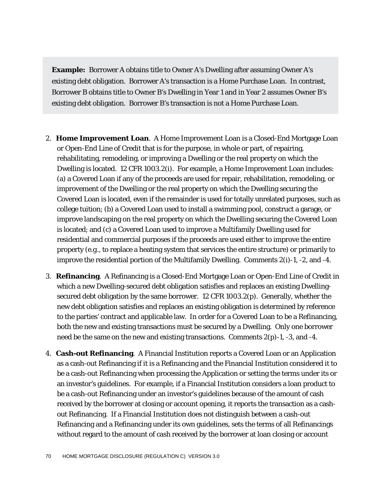**Example:** Borrower A obtains title to Owner A's Dwelling after assuming Owner A's existing debt obligation. Borrower A's transaction is a Home Purchase Loan. In contrast, Borrower B obtains title to Owner B's Dwelling in Year 1 and in Year 2 assumes Owner B's existing debt obligation. Borrower B's transaction is not a Home Purchase Loan.

- 2. **Home Improvement Loan**. A Home Improvement Loan is a Closed-End Mortgage Loan or Open-End Line of Credit that is for the purpose, in whole or part, of repairing, rehabilitating, remodeling, or improving a Dwelling or the real property on which the Dwelling is located. 12 CFR 1003.2(i). For example, a Home Improvement Loan includes: (a) a Covered Loan if any of the proceeds are used for repair, rehabilitation, remodeling, or improvement of the Dwelling or the real property on which the Dwelling securing the Covered Loan is located, even if the remainder is used for totally unrelated purposes, such as college tuition; (b) a Covered Loan used to install a swimming pool, construct a garage, or improve landscaping on the real property on which the Dwelling securing the Covered Loan is located; and (c) a Covered Loan used to improve a Multifamily Dwelling used for residential and commercial purposes if the proceeds are used either to improve the entire property (*e.g.*, to replace a heating system that services the entire structure) or primarily to improve the residential portion of the Multifamily Dwelling. Comments 2(i)-1, -2, and -4.
- 3. **Refinancing**. A Refinancing is a Closed-End Mortgage Loan or Open-End Line of Credit in which a new Dwelling-secured debt obligation satisfies and replaces an existing Dwellingsecured debt obligation by the same borrower. 12 CFR 1003.2(p). Generally, whether the new debt obligation satisfies and replaces an existing obligation is determined by reference to the parties' contract and applicable law. In order for a Covered Loan to be a Refinancing, both the new and existing transactions must be secured by a Dwelling. Only one borrower need be the same on the new and existing transactions. Comments  $2(p)-1$ ,  $-3$ , and  $-4$ .
- 4. **Cash-out Refinancing**. A Financial Institution reports a Covered Loan or an Application as a cash-out Refinancing if it is a Refinancing and the Financial Institution considered it to be a cash-out Refinancing when processing the Application or setting the terms under its or an investor's guidelines. For example, if a Financial Institution considers a loan product to be a cash-out Refinancing under an investor's guidelines because of the amount of cash received by the borrower at closing or account opening, it reports the transaction as a cashout Refinancing. If a Financial Institution does not distinguish between a cash-out Refinancing and a Refinancing under its own guidelines, sets the terms of all Refinancings without regard to the amount of cash received by the borrower at loan closing or account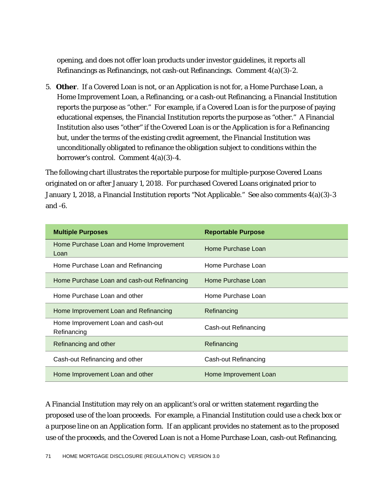opening, and does not offer loan products under investor guidelines, it reports all Refinancings as Refinancings, not cash-out Refinancings. Comment 4(a)(3)-2.

5. **Other**. If a Covered Loan is not, or an Application is not for, a Home Purchase Loan, a Home Improvement Loan, a Refinancing, or a cash-out Refinancing, a Financial Institution reports the purpose as "other." For example, if a Covered Loan is for the purpose of paying educational expenses, the Financial Institution reports the purpose as "other." A Financial Institution also uses "other" if the Covered Loan is or the Application is for a Refinancing but, under the terms of the existing credit agreement, the Financial Institution was unconditionally obligated to refinance the obligation subject to conditions within the borrower's control. Comment 4(a)(3)-4.

The following chart illustrates the reportable purpose for multiple-purpose Covered Loans originated on or after January 1, 2018. For purchased Covered Loans originated prior to January 1, 2018, a Financial Institution reports "Not Applicable." See also comments 4(a)(3)-3 and -6.

| <b>Multiple Purposes</b>                          | <b>Reportable Purpose</b> |
|---------------------------------------------------|---------------------------|
| Home Purchase Loan and Home Improvement<br>Loan   | Home Purchase Loan        |
| Home Purchase Loan and Refinancing                | Home Purchase Loan        |
| Home Purchase Loan and cash-out Refinancing       | Home Purchase Loan        |
| Home Purchase Loan and other                      | Home Purchase Loan        |
| Home Improvement Loan and Refinancing             | Refinancing               |
| Home Improvement Loan and cash-out<br>Refinancing | Cash-out Refinancing      |
| Refinancing and other                             | Refinancing               |
| Cash-out Refinancing and other                    | Cash-out Refinancing      |
| Home Improvement Loan and other                   | Home Improvement Loan     |

A Financial Institution may rely on an applicant's oral or written statement regarding the proposed use of the loan proceeds. For example, a Financial Institution could use a check box or a purpose line on an Application form. If an applicant provides no statement as to the proposed use of the proceeds, and the Covered Loan is not a Home Purchase Loan, cash-out Refinancing,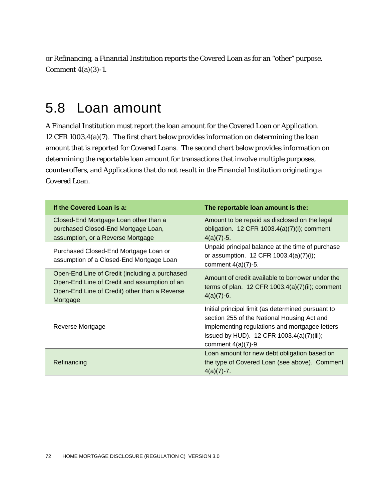or Refinancing, a Financial Institution reports the Covered Loan as for an "other" purpose. Comment  $4(a)(3)-1$ .

#### 5.8 Loan amount

A Financial Institution must report the loan amount for the Covered Loan or Application. 12 CFR 1003.4(a)(7). The first chart below provides information on determining the loan amount that is reported for Covered Loans. The second chart below provides information on determining the reportable loan amount for transactions that involve multiple purposes, counteroffers, and Applications that do not result in the Financial Institution originating a Covered Loan.

| If the Covered Loan is a:                                                                                                                                   | The reportable loan amount is the:                                                                                                                                                                                        |
|-------------------------------------------------------------------------------------------------------------------------------------------------------------|---------------------------------------------------------------------------------------------------------------------------------------------------------------------------------------------------------------------------|
| Closed-End Mortgage Loan other than a<br>purchased Closed-End Mortgage Loan,<br>assumption, or a Reverse Mortgage                                           | Amount to be repaid as disclosed on the legal<br>obligation. 12 CFR 1003.4(a)(7)(i); comment<br>$4(a)(7)-5.$                                                                                                              |
| Purchased Closed-End Mortgage Loan or<br>assumption of a Closed-End Mortgage Loan                                                                           | Unpaid principal balance at the time of purchase<br>or assumption. $12$ CFR $1003.4(a)(7)(i)$ ;<br>comment $4(a)(7)-5$ .                                                                                                  |
| Open-End Line of Credit (including a purchased<br>Open-End Line of Credit and assumption of an<br>Open-End Line of Credit) other than a Reverse<br>Mortgage | Amount of credit available to borrower under the<br>terms of plan. $12$ CFR $1003.4(a)(7)(ii)$ ; comment<br>$4(a)(7)-6.$                                                                                                  |
| Reverse Mortgage                                                                                                                                            | Initial principal limit (as determined pursuant to<br>section 255 of the National Housing Act and<br>implementing regulations and mortgagee letters<br>issued by HUD). 12 CFR 1003.4(a)(7)(iii);<br>comment $4(a)(7)-9$ . |
| Refinancing                                                                                                                                                 | Loan amount for new debt obligation based on<br>the type of Covered Loan (see above). Comment<br>$4(a)(7)-7.$                                                                                                             |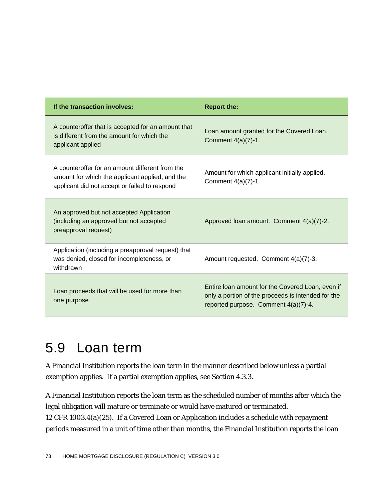| If the transaction involves:                                                                                                                        | <b>Report the:</b>                                                                                                                             |
|-----------------------------------------------------------------------------------------------------------------------------------------------------|------------------------------------------------------------------------------------------------------------------------------------------------|
| A counteroffer that is accepted for an amount that<br>is different from the amount for which the<br>applicant applied                               | Loan amount granted for the Covered Loan.<br>Comment 4(a)(7)-1.                                                                                |
| A counteroffer for an amount different from the<br>amount for which the applicant applied, and the<br>applicant did not accept or failed to respond | Amount for which applicant initially applied.<br>Comment $4(a)(7)-1$ .                                                                         |
| An approved but not accepted Application<br>(including an approved but not accepted<br>preapproval request)                                         | Approved Ioan amount. Comment 4(a)(7)-2.                                                                                                       |
| Application (including a preapproval request) that<br>was denied, closed for incompleteness, or<br>withdrawn                                        | Amount requested. Comment 4(a)(7)-3.                                                                                                           |
| Loan proceeds that will be used for more than<br>one purpose                                                                                        | Entire Ioan amount for the Covered Loan, even if<br>only a portion of the proceeds is intended for the<br>reported purpose. Comment 4(a)(7)-4. |

### 5.9 Loan term

A Financial Institution reports the loan term in the manner described below unless a partial exemption applies. If a partial exemption applies, see Section 4.3.3.

A Financial Institution reports the loan term as the scheduled number of months after which the legal obligation will mature or terminate or would have matured or terminated. 12 CFR 1003.4(a)(25). If a Covered Loan or Application includes a schedule with repayment periods measured in a unit of time other than months, the Financial Institution reports the loan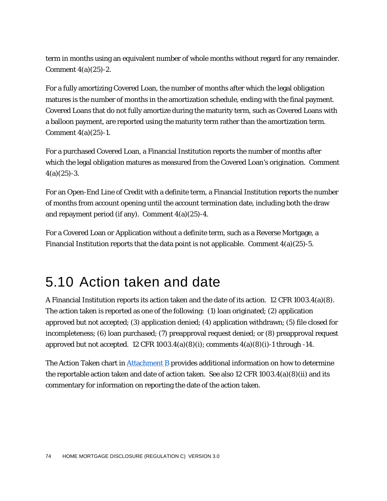term in months using an equivalent number of whole months without regard for any remainder. Comment 4(a)(25)-2.

For a fully amortizing Covered Loan, the number of months after which the legal obligation matures is the number of months in the amortization schedule, ending with the final payment. Covered Loans that do not fully amortize during the maturity term, such as Covered Loans with a balloon payment, are reported using the maturity term rather than the amortization term. Comment 4(a)(25)-1.

For a purchased Covered Loan, a Financial Institution reports the number of months after which the legal obligation matures as measured from the Covered Loan's origination. Comment  $4(a)(25) - 3.$ 

For an Open-End Line of Credit with a definite term, a Financial Institution reports the number of months from account opening until the account termination date, including both the draw and repayment period (if any). Comment  $4(a)(25)$ -4.

For a Covered Loan or Application without a definite term, such as a Reverse Mortgage, a Financial Institution reports that the data point is not applicable. Comment  $4(a)(25)-5$ .

#### 5.10 Action taken and date

A Financial Institution reports its action taken and the date of its action. 12 CFR 1003.4(a)(8). The action taken is reported as one of the following: (1) loan originated; (2) application approved but not accepted; (3) application denied; (4) application withdrawn; (5) file closed for incompleteness; (6) loan purchased; (7) preapproval request denied; or (8) preapproval request approved but not accepted. 12 CFR  $1003.4(a)(8)(i)$ ; comments  $4(a)(8)(i)$ -1 through -14.

The Action Taken chart in **Attachment B** provides additional information on how to determine the reportable action taken and date of action taken. See also 12 CFR 1003.4(a)(8)(ii) and its commentary for information on reporting the date of the action taken.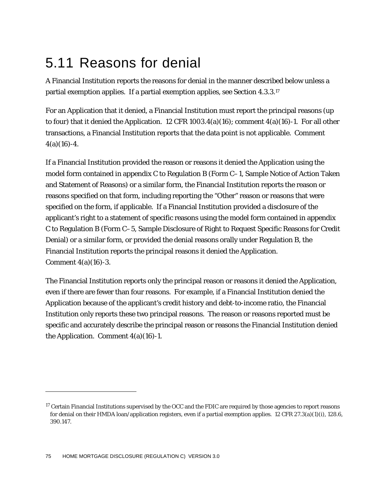# 5.11 Reasons for denial

A Financial Institution reports the reasons for denial in the manner described below unless a partial exemption applies. If a partial exemption applies, see Section 4.3.3.17

For an Application that it denied, a Financial Institution must report the principal reasons (up to four) that it denied the Application. 12 CFR 1003.4(a)(16); comment 4(a)(16)-1. For all other transactions, a Financial Institution reports that the data point is not applicable. Comment  $4(a)(16)-4.$ 

If a Financial Institution provided the reason or reasons it denied the Application using the model form contained in appendix C to Regulation B (Form C–1, Sample Notice of Action Taken and Statement of Reasons) or a similar form, the Financial Institution reports the reason or reasons specified on that form, including reporting the "Other" reason or reasons that were specified on the form, if applicable. If a Financial Institution provided a disclosure of the applicant's right to a statement of specific reasons using the model form contained in appendix C to Regulation B (Form C–5, Sample Disclosure of Right to Request Specific Reasons for Credit Denial) or a similar form, or provided the denial reasons orally under Regulation B, the Financial Institution reports the principal reasons it denied the Application. Comment  $4(a)(16)-3$ .

The Financial Institution reports only the principal reason or reasons it denied the Application, even if there are fewer than four reasons. For example, if a Financial Institution denied the Application because of the applicant's credit history and debt-to-income ratio, the Financial Institution only reports these two principal reasons. The reason or reasons reported must be specific and accurately describe the principal reason or reasons the Financial Institution denied the Application. Comment  $4(a)(16)-1$ .

1

<sup>&</sup>lt;sup>17</sup> Certain Financial Institutions supervised by the OCC and the FDIC are required by those agencies to report reasons for denial on their HMDA loan/application registers, even if a partial exemption applies. 12 CFR 27.3(a)(1)(i), 128.6, 390.147.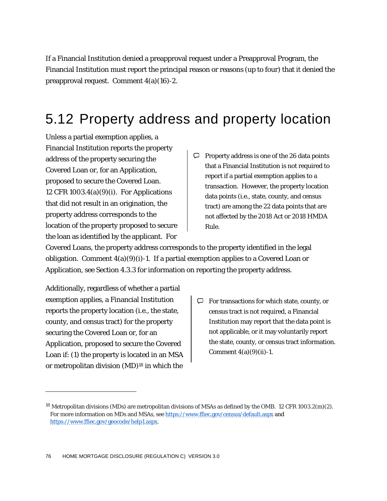If a Financial Institution denied a preapproval request under a Preapproval Program, the Financial Institution must report the principal reason or reasons (up to four) that it denied the preapproval request. Comment 4(a)(16)-2.

# 5.12 Property address and property location

Unless a partial exemption applies, a Financial Institution reports the property address of the property securing the Covered Loan or, for an Application, proposed to secure the Covered Loan. 12 CFR 1003.4(a)(9)(i). For Applications that did not result in an origination, the property address corresponds to the location of the property proposed to secure the loan as identified by the applicant. For

 $\heartsuit$  Property address is one of the 26 data points that a Financial Institution is not required to report if a partial exemption applies to a transaction. However, the property location data points (*i.e.*, state, county, and census tract) are among the 22 data points that are not affected by the 2018 Act or 2018 HMDA Rule.

Covered Loans, the property address corresponds to the property identified in the legal obligation. Comment  $4(a)(9)(i)-1$ . If a partial exemption applies to a Covered Loan or Application, see Section 4.3.3 for information on reporting the property address.

Additionally, regardless of whether a partial exemption applies, a Financial Institution reports the property location (*i.e*., the state, county, and census tract) for the property securing the Covered Loan or, for an Application, proposed to secure the Covered Loan if: (1) the property is located in an MSA or metropolitan division (MD)18 in which the

1

 $\Box$  For transactions for which state, county, or census tract is not required, a Financial Institution may report that the data point is not applicable, or it may voluntarily report the state, county, or census tract information. Comment  $4(a)(9)(ii) - 1$ .

<sup>&</sup>lt;sup>18</sup> Metropolitan divisions (MDs) are metropolitan divisions of MSAs as defined by the OMB. 12 CFR 1003.2(m)(2). For more information on MDs and MSAs, se[e https://www.ffiec.gov/census/default.aspx](https://www.ffiec.gov/census/default.aspx) and [https://www.ffiec.gov/geocode/help1.aspx.](https://www.ffiec.gov/geocode/help1.aspx)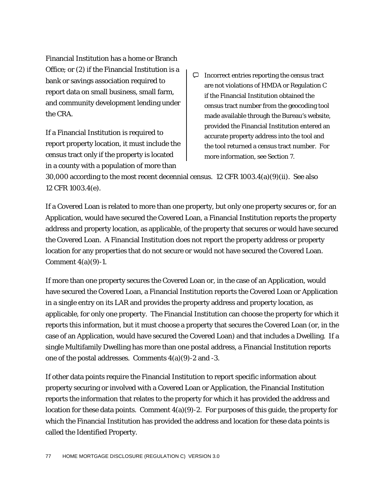Financial Institution has a home or Branch Office; or (2) if the Financial Institution is a bank or savings association required to report data on small business, small farm, and community development lending under the CRA.

If a Financial Institution is required to report property location, it must include the census tract only if the property is located in a county with a population of more than

 $\Box$  Incorrect entries reporting the census tract are not violations of HMDA or Regulation C if the Financial Institution obtained the census tract number from the geocoding tool made available through the Bureau's website, provided the Financial Institution entered an accurate property address into the tool and the tool returned a census tract number. For more information, see Section 7.

30,000 according to the most recent decennial census. 12 CFR 1003.4(a)(9)(ii). See also 12 CFR 1003.4(e).

If a Covered Loan is related to more than one property, but only one property secures or, for an Application, would have secured the Covered Loan, a Financial Institution reports the property address and property location, as applicable, of the property that secures or would have secured the Covered Loan. A Financial Institution does not report the property address or property location for any properties that do not secure or would not have secured the Covered Loan. Comment 4(a)(9)-1.

If more than one property secures the Covered Loan or, in the case of an Application, would have secured the Covered Loan, a Financial Institution reports the Covered Loan or Application in a single entry on its LAR and provides the property address and property location, as applicable, for only one property. The Financial Institution can choose the property for which it reports this information, but it must choose a property that secures the Covered Loan (or, in the case of an Application, would have secured the Covered Loan) and that includes a Dwelling. If a single Multifamily Dwelling has more than one postal address, a Financial Institution reports one of the postal addresses. Comments 4(a)(9)-2 and -3.

If other data points require the Financial Institution to report specific information about property securing or involved with a Covered Loan or Application, the Financial Institution reports the information that relates to the property for which it has provided the address and location for these data points. Comment  $4(a)(9)-2$ . For purposes of this guide, the property for which the Financial Institution has provided the address and location for these data points is called the Identified Property.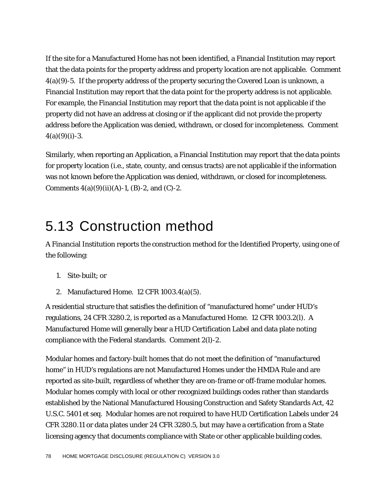If the site for a Manufactured Home has not been identified, a Financial Institution may report that the data points for the property address and property location are not applicable. Comment 4(a)(9)-5. If the property address of the property securing the Covered Loan is unknown, a Financial Institution may report that the data point for the property address is not applicable. For example, the Financial Institution may report that the data point is not applicable if the property did not have an address at closing or if the applicant did not provide the property address before the Application was denied, withdrawn, or closed for incompleteness. Comment  $4(a)(9)(i)-3.$ 

Similarly, when reporting an Application, a Financial Institution may report that the data points for property location (*i.e.*, state, county, and census tracts) are not applicable if the information was not known before the Application was denied, withdrawn, or closed for incompleteness. Comments  $4(a)(9)(ii)(A)-1$ , (B)-2, and (C)-2.

#### 5.13 Construction method

A Financial Institution reports the construction method for the Identified Property, using one of the following:

- 1. Site-built; or
- 2. Manufactured Home. 12 CFR 1003.4(a)(5).

A residential structure that satisfies the definition of "manufactured home" under HUD's regulations, 24 CFR 3280.2, is reported as a Manufactured Home. 12 CFR 1003.2(l). A Manufactured Home will generally bear a HUD Certification Label and data plate noting compliance with the Federal standards. Comment 2(l)-2.

Modular homes and factory-built homes that do not meet the definition of "manufactured home" in HUD's regulations are not Manufactured Homes under the HMDA Rule and are reported as site-built, regardless of whether they are on-frame or off-frame modular homes. Modular homes comply with local or other recognized buildings codes rather than standards established by the National Manufactured Housing Construction and Safety Standards Act, 42 U.S.C. 5401 *et seq*. Modular homes are not required to have HUD Certification Labels under 24 CFR 3280.11 or data plates under 24 CFR 3280.5, but may have a certification from a State licensing agency that documents compliance with State or other applicable building codes.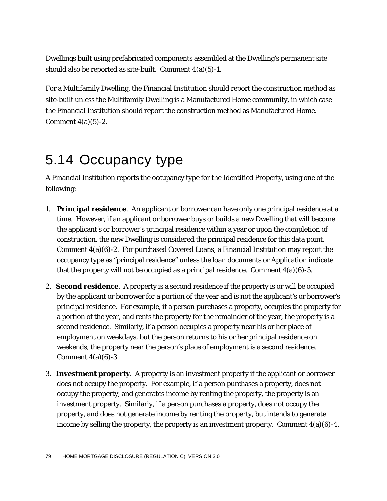Dwellings built using prefabricated components assembled at the Dwelling's permanent site should also be reported as site-built. Comment 4(a)(5)-1.

For a Multifamily Dwelling, the Financial Institution should report the construction method as site-built unless the Multifamily Dwelling is a Manufactured Home community, in which case the Financial Institution should report the construction method as Manufactured Home. Comment  $4(a)(5)-2$ .

### 5.14 Occupancy type

A Financial Institution reports the occupancy type for the Identified Property, using one of the following:

- 1. **Principal residence**. An applicant or borrower can have only one principal residence at a time. However, if an applicant or borrower buys or builds a new Dwelling that will become the applicant's or borrower's principal residence within a year or upon the completion of construction, the new Dwelling is considered the principal residence for this data point. Comment 4(a)(6)-2. For purchased Covered Loans, a Financial Institution may report the occupancy type as "principal residence" unless the loan documents or Application indicate that the property will not be occupied as a principal residence. Comment  $4(a)(6)-5$ .
- 2. **Second residence**. A property is a second residence if the property is or will be occupied by the applicant or borrower for a portion of the year and is not the applicant's or borrower's principal residence. For example, if a person purchases a property, occupies the property for a portion of the year, and rents the property for the remainder of the year, the property is a second residence. Similarly, if a person occupies a property near his or her place of employment on weekdays, but the person returns to his or her principal residence on weekends, the property near the person's place of employment is a second residence. Comment  $4(a)(6)-3$ .
- 3. **Investment property**. A property is an investment property if the applicant or borrower does not occupy the property. For example, if a person purchases a property, does not occupy the property, and generates income by renting the property, the property is an investment property. Similarly, if a person purchases a property, does not occupy the property, and does not generate income by renting the property, but intends to generate income by selling the property, the property is an investment property. Comment  $4(a)(6)-4$ .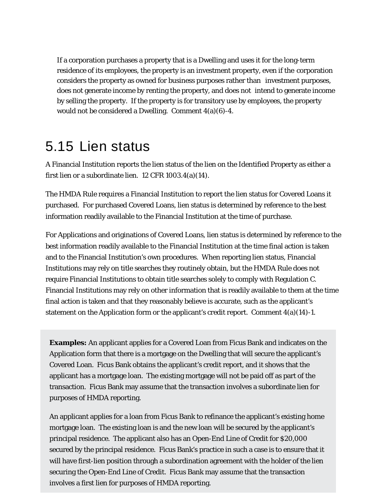If a corporation purchases a property that is a Dwelling and uses it for the long-term residence of its employees, the property is an investment property, even if the corporation considers the property as owned for business purposes rather than investment purposes, does not generate income by renting the property, and does not intend to generate income by selling the property. If the property is for transitory use by employees, the property would not be considered a Dwelling. Comment 4(a)(6)-4.

#### 5.15 Lien status

A Financial Institution reports the lien status of the lien on the Identified Property as either a first lien or a subordinate lien. 12 CFR 1003.4(a)(14).

The HMDA Rule requires a Financial Institution to report the lien status for Covered Loans it purchased. For purchased Covered Loans, lien status is determined by reference to the best information readily available to the Financial Institution at the time of purchase.

For Applications and originations of Covered Loans, lien status is determined by reference to the best information readily available to the Financial Institution at the time final action is taken and to the Financial Institution's own procedures. When reporting lien status, Financial Institutions may rely on title searches they routinely obtain, but the HMDA Rule does not require Financial Institutions to obtain title searches solely to comply with Regulation C. Financial Institutions may rely on other information that is readily available to them at the time final action is taken and that they reasonably believe is accurate, such as the applicant's statement on the Application form or the applicant's credit report. Comment 4(a)(14)-1.

**Examples:** An applicant applies for a Covered Loan from Ficus Bank and indicates on the Application form that there is a mortgage on the Dwelling that will secure the applicant's Covered Loan. Ficus Bank obtains the applicant's credit report, and it shows that the applicant has a mortgage loan. The existing mortgage will not be paid off as part of the transaction. Ficus Bank may assume that the transaction involves a subordinate lien for purposes of HMDA reporting.

will have first-lien position through a subordination agreement with the holder of the lien An applicant applies for a loan from Ficus Bank to refinance the applicant's existing home mortgage loan. The existing loan is and the new loan will be secured by the applicant's principal residence. The applicant also has an Open-End Line of Credit for \$20,000 secured by the principal residence. Ficus Bank's practice in such a case is to ensure that it securing the Open-End Line of Credit. Ficus Bank may assume that the transaction involves a first lien for purposes of HMDA reporting.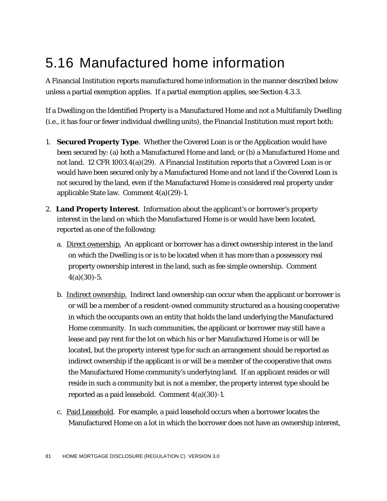# 5.16 Manufactured home information

A Financial Institution reports manufactured home information in the manner described below unless a partial exemption applies. If a partial exemption applies, see Section 4.3.3.

If a Dwelling on the Identified Property is a Manufactured Home and not a Multifamily Dwelling (*i.e.*, it has four or fewer individual dwelling units), the Financial Institution must report both:

- 1. **Secured Property Type**. Whether the Covered Loan is or the Application would have been secured by: (a) both a Manufactured Home and land; or (b) a Manufactured Home and not land. 12 CFR 1003.4(a)(29). A Financial Institution reports that a Covered Loan is or would have been secured only by a Manufactured Home and not land if the Covered Loan is not secured by the land, even if the Manufactured Home is considered real property under applicable State law. Comment 4(a)(29)-1.
- 2. **Land Property Interest**. Information about the applicant's or borrower's property interest in the land on which the Manufactured Home is or would have been located, reported as one of the following:
	- a. Direct ownership. An applicant or borrower has a direct ownership interest in the land on which the Dwelling is or is to be located when it has more than a possessory real property ownership interest in the land, such as fee simple ownership. Comment  $4(a)(30) - 5.$
	- b. Indirect ownership. Indirect land ownership can occur when the applicant or borrower is or will be a member of a resident-owned community structured as a housing cooperative in which the occupants own an entity that holds the land underlying the Manufactured Home community. In such communities, the applicant or borrower may still have a lease and pay rent for the lot on which his or her Manufactured Home is or will be located, but the property interest type for such an arrangement should be reported as indirect ownership if the applicant is or will be a member of the cooperative that owns the Manufactured Home community's underlying land. If an applicant resides or will reside in such a community but is not a member, the property interest type should be reported as a paid leasehold. Comment 4(a)(30)-1.
	- c. Paid Leasehold. For example, a paid leasehold occurs when a borrower locates the Manufactured Home on a lot in which the borrower does not have an ownership interest,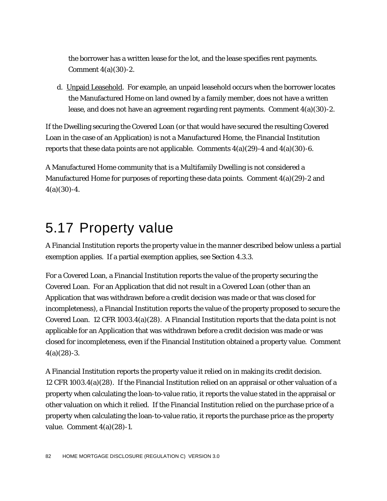the borrower has a written lease for the lot, and the lease specifies rent payments. Comment 4(a)(30)-2.

d. Unpaid Leasehold. For example, an unpaid leasehold occurs when the borrower locates the Manufactured Home on land owned by a family member, does not have a written lease, and does not have an agreement regarding rent payments. Comment  $4(a)(30)$ -2.

If the Dwelling securing the Covered Loan (or that would have secured the resulting Covered Loan in the case of an Application) is not a Manufactured Home, the Financial Institution reports that these data points are not applicable. Comments  $4(a)(29)$ -4 and  $4(a)(30)$ -6.

A Manufactured Home community that is a Multifamily Dwelling is not considered a Manufactured Home for purposes of reporting these data points. Comment 4(a)(29)-2 and  $4(a)(30)-4.$ 

#### 5.17 Property value

A Financial Institution reports the property value in the manner described below unless a partial exemption applies. If a partial exemption applies, see Section 4.3.3.

For a Covered Loan, a Financial Institution reports the value of the property securing the Covered Loan. For an Application that did not result in a Covered Loan (other than an Application that was withdrawn before a credit decision was made or that was closed for incompleteness), a Financial Institution reports the value of the property proposed to secure the Covered Loan. 12 CFR 1003.4(a)(28). A Financial Institution reports that the data point is not applicable for an Application that was withdrawn before a credit decision was made or was closed for incompleteness, even if the Financial Institution obtained a property value. Comment  $4(a)(28)-3.$ 

A Financial Institution reports the property value it relied on in making its credit decision. 12 CFR 1003.4(a)(28). If the Financial Institution relied on an appraisal or other valuation of a property when calculating the loan-to-value ratio, it reports the value stated in the appraisal or other valuation on which it relied. If the Financial Institution relied on the purchase price of a property when calculating the loan-to-value ratio, it reports the purchase price as the property value. Comment 4(a)(28)-1.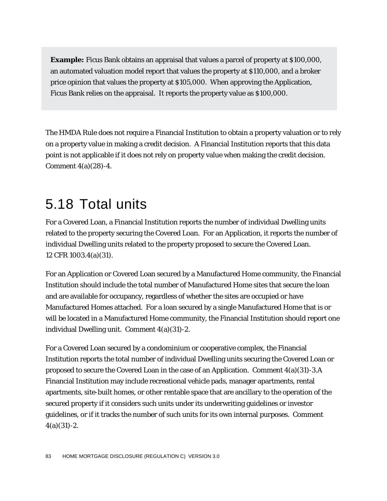**Example:** Ficus Bank obtains an appraisal that values a parcel of property at \$100,000, an automated valuation model report that values the property at \$110,000, and a broker price opinion that values the property at \$105,000. When approving the Application, Ficus Bank relies on the appraisal. It reports the property value as \$100,000.

The HMDA Rule does not require a Financial Institution to obtain a property valuation or to rely on a property value in making a credit decision. A Financial Institution reports that this data point is not applicable if it does not rely on property value when making the credit decision. Comment 4(a)(28)-4.

### 5.18 Total units

For a Covered Loan, a Financial Institution reports the number of individual Dwelling units related to the property securing the Covered Loan. For an Application, it reports the number of individual Dwelling units related to the property proposed to secure the Covered Loan. 12 CFR 1003.4(a)(31).

For an Application or Covered Loan secured by a Manufactured Home community, the Financial Institution should include the total number of Manufactured Home sites that secure the loan and are available for occupancy, regardless of whether the sites are occupied or have Manufactured Homes attached. For a loan secured by a single Manufactured Home that is or will be located in a Manufactured Home community, the Financial Institution should report one individual Dwelling unit. Comment 4(a)(31)-2.

For a Covered Loan secured by a condominium or cooperative complex, the Financial Institution reports the total number of individual Dwelling units securing the Covered Loan or proposed to secure the Covered Loan in the case of an Application. Comment 4(a)(31)-3.A Financial Institution may include recreational vehicle pads, manager apartments, rental apartments, site-built homes, or other rentable space that are ancillary to the operation of the secured property if it considers such units under its underwriting guidelines or investor guidelines, or if it tracks the number of such units for its own internal purposes. Comment  $4(a)(31) - 2.$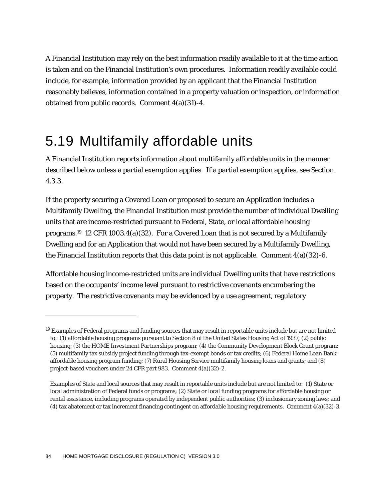A Financial Institution may rely on the best information readily available to it at the time action is taken and on the Financial Institution's own procedures. Information readily available could include, for example, information provided by an applicant that the Financial Institution reasonably believes, information contained in a property valuation or inspection, or information obtained from public records. Comment 4(a)(31)-4.

### 5.19 Multifamily affordable units

A Financial Institution reports information about multifamily affordable units in the manner described below unless a partial exemption applies. If a partial exemption applies, see Section 4.3.3.

If the property securing a Covered Loan or proposed to secure an Application includes a Multifamily Dwelling, the Financial Institution must provide the number of individual Dwelling units that are income-restricted pursuant to Federal, State, or local affordable housing programs.19 12 CFR 1003.4(a)(32). For a Covered Loan that is not secured by a Multifamily Dwelling and for an Application that would not have been secured by a Multifamily Dwelling, the Financial Institution reports that this data point is not applicable. Comment  $4(a)(32)-6$ .

Affordable housing income-restricted units are individual Dwelling units that have restrictions based on the occupants' income level pursuant to restrictive covenants encumbering the property. The restrictive covenants may be evidenced by a use agreement, regulatory

1

<sup>&</sup>lt;sup>19</sup> Examples of Federal programs and funding sources that may result in reportable units include but are not limited to: (1) affordable housing programs pursuant to Section 8 of the United States Housing Act of 1937; (2) public housing; (3) the HOME Investment Partnerships program; (4) the Community Development Block Grant program; (5) multifamily tax subsidy project funding through tax-exempt bonds or tax credits; (6) Federal Home Loan Bank affordable housing program funding; (7) Rural Housing Service multifamily housing loans and grants; and (8) project-based vouchers under 24 CFR part 983. Comment 4(a)(32)-2.

Examples of State and local sources that may result in reportable units include but are not limited to: (1) State or local administration of Federal funds or programs; (2) State or local funding programs for affordable housing or rental assistance, including programs operated by independent public authorities; (3) inclusionary zoning laws; and (4) tax abatement or tax increment financing contingent on affordable housing requirements. Comment 4(a)(32)-3.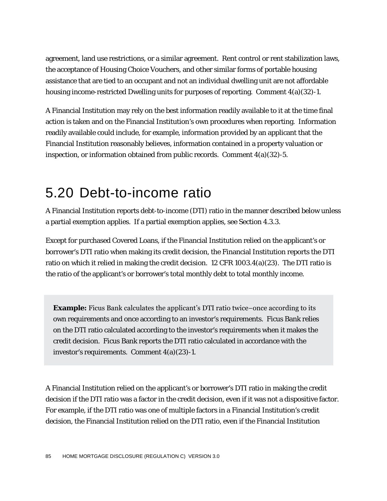agreement, land use restrictions, or a similar agreement. Rent control or rent stabilization laws, the acceptance of Housing Choice Vouchers, and other similar forms of portable housing assistance that are tied to an occupant and not an individual dwelling unit are not affordable housing income-restricted Dwelling units for purposes of reporting. Comment 4(a)(32)-1.

A Financial Institution may rely on the best information readily available to it at the time final action is taken and on the Financial Institution's own procedures when reporting. Information readily available could include, for example, information provided by an applicant that the Financial Institution reasonably believes, information contained in a property valuation or inspection, or information obtained from public records. Comment  $4(a)(32)-5$ .

#### 5.20 Debt-to-income ratio

A Financial Institution reports debt-to-income (DTI) ratio in the manner described below unless a partial exemption applies. If a partial exemption applies, see Section 4.3.3.

Except for purchased Covered Loans, if the Financial Institution relied on the applicant's or borrower's DTI ratio when making its credit decision, the Financial Institution reports the DTI ratio on which it relied in making the credit decision. 12 CFR 1003.4(a)(23). The DTI ratio is the ratio of the applicant's or borrower's total monthly debt to total monthly income.

**Example:** Ficus Bank calculates the applicant's DTI ratio twice−once according to its own requirements and once according to an investor's requirements. Ficus Bank relies on the DTI ratio calculated according to the investor's requirements when it makes the credit decision. Ficus Bank reports the DTI ratio calculated in accordance with the investor's requirements. Comment 4(a)(23)-1.

A Financial Institution relied on the applicant's or borrower's DTI ratio in making the credit decision if the DTI ratio was a factor in the credit decision, even if it was not a dispositive factor. For example, if the DTI ratio was one of multiple factors in a Financial Institution's credit decision, the Financial Institution relied on the DTI ratio, even if the Financial Institution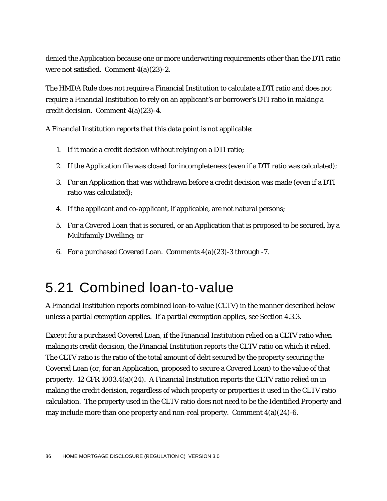denied the Application because one or more underwriting requirements other than the DTI ratio were not satisfied. Comment 4(a)(23)-2.

The HMDA Rule does not require a Financial Institution to calculate a DTI ratio and does not require a Financial Institution to rely on an applicant's or borrower's DTI ratio in making a credit decision. Comment 4(a)(23)-4.

A Financial Institution reports that this data point is not applicable:

- 1. If it made a credit decision without relying on a DTI ratio;
- 2. If the Application file was closed for incompleteness (even if a DTI ratio was calculated);
- 3. For an Application that was withdrawn before a credit decision was made (even if a DTI ratio was calculated);
- 4. If the applicant and co-applicant, if applicable, are not natural persons;
- 5. For a Covered Loan that is secured, or an Application that is proposed to be secured, by a Multifamily Dwelling; or
- 6. For a purchased Covered Loan. Comments 4(a)(23)-3 through -7.

#### 5.21 Combined loan-to-value

A Financial Institution reports combined loan-to-value (CLTV) in the manner described below unless a partial exemption applies. If a partial exemption applies, see Section 4.3.3.

Except for a purchased Covered Loan, if the Financial Institution relied on a CLTV ratio when making its credit decision, the Financial Institution reports the CLTV ratio on which it relied. The CLTV ratio is the ratio of the total amount of debt secured by the property securing the Covered Loan (or, for an Application, proposed to secure a Covered Loan) to the value of that property. 12 CFR 1003.4(a)(24). A Financial Institution reports the CLTV ratio relied on in making the credit decision, regardless of which property or properties it used in the CLTV ratio calculation. The property used in the CLTV ratio does not need to be the Identified Property and may include more than one property and non-real property. Comment  $4(a)(24)-6$ .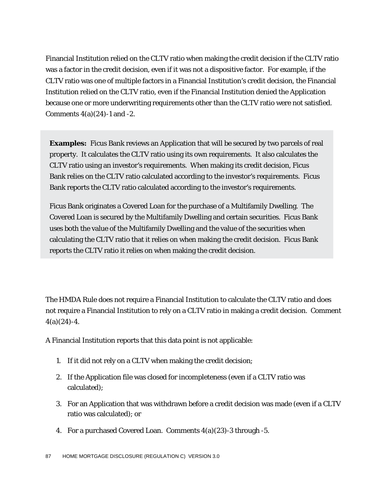Financial Institution relied on the CLTV ratio when making the credit decision if the CLTV ratio was a factor in the credit decision, even if it was not a dispositive factor. For example, if the CLTV ratio was one of multiple factors in a Financial Institution's credit decision, the Financial Institution relied on the CLTV ratio, even if the Financial Institution denied the Application because one or more underwriting requirements other than the CLTV ratio were not satisfied. Comments  $4(a)(24)$ -1 and -2.

**Examples:** Ficus Bank reviews an Application that will be secured by two parcels of real property. It calculates the CLTV ratio using its own requirements. It also calculates the CLTV ratio using an investor's requirements. When making its credit decision, Ficus Bank relies on the CLTV ratio calculated according to the investor's requirements. Ficus Bank reports the CLTV ratio calculated according to the investor's requirements.

Ficus Bank originates a Covered Loan for the purchase of a Multifamily Dwelling. The Covered Loan is secured by the Multifamily Dwelling and certain securities. Ficus Bank uses both the value of the Multifamily Dwelling and the value of the securities when calculating the CLTV ratio that it relies on when making the credit decision. Ficus Bank reports the CLTV ratio it relies on when making the credit decision.

The HMDA Rule does not require a Financial Institution to calculate the CLTV ratio and does not require a Financial Institution to rely on a CLTV ratio in making a credit decision. Comment  $4(a)(24)-4.$ 

A Financial Institution reports that this data point is not applicable:

- 1. If it did not rely on a CLTV when making the credit decision;
- 2. If the Application file was closed for incompleteness (even if a CLTV ratio was calculated);
- 3. For an Application that was withdrawn before a credit decision was made (even if a CLTV ratio was calculated); or
- 4. For a purchased Covered Loan. Comments 4(a)(23)-3 through -5.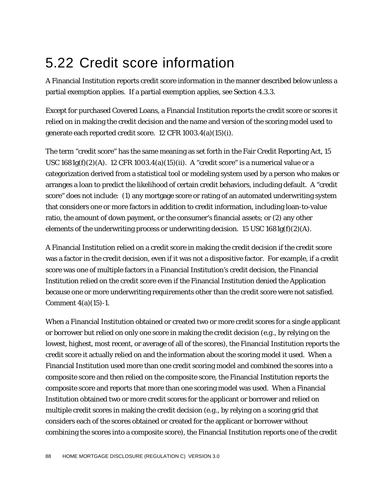# 5.22 Credit score information

A Financial Institution reports credit score information in the manner described below unless a partial exemption applies. If a partial exemption applies, see Section 4.3.3.

Except for purchased Covered Loans, a Financial Institution reports the credit score or scores it relied on in making the credit decision and the name and version of the scoring model used to generate each reported credit score. 12 CFR 1003.4(a)(15)(i).

The term "credit score" has the same meaning as set forth in the Fair Credit Reporting Act, 15 USC  $1681g(f)(2)(A)$ . 12 CFR  $1003.4(a)(15)(ii)$ . A "credit score" is a numerical value or a categorization derived from a statistical tool or modeling system used by a person who makes or arranges a loan to predict the likelihood of certain credit behaviors, including default. A "credit score" does not include: (1) any mortgage score or rating of an automated underwriting system that considers one or more factors in addition to credit information, including loan-to-value ratio, the amount of down payment, or the consumer's financial assets; or (2) any other elements of the underwriting process or underwriting decision. 15 USC  $1681g(f)(2)(A)$ .

A Financial Institution relied on a credit score in making the credit decision if the credit score was a factor in the credit decision, even if it was not a dispositive factor. For example, if a credit score was one of multiple factors in a Financial Institution's credit decision, the Financial Institution relied on the credit score even if the Financial Institution denied the Application because one or more underwriting requirements other than the credit score were not satisfied. Comment 4(a)(15)-1.

When a Financial Institution obtained or created two or more credit scores for a single applicant or borrower but relied on only one score in making the credit decision (*e.g.*, by relying on the lowest, highest, most recent, or average of all of the scores), the Financial Institution reports the credit score it actually relied on and the information about the scoring model it used. When a Financial Institution used more than one credit scoring model and combined the scores into a composite score and then relied on the composite score, the Financial Institution reports the composite score and reports that more than one scoring model was used. When a Financial Institution obtained two or more credit scores for the applicant or borrower and relied on multiple credit scores in making the credit decision (*e.g.*, by relying on a scoring grid that considers each of the scores obtained or created for the applicant or borrower without combining the scores into a composite score), the Financial Institution reports one of the credit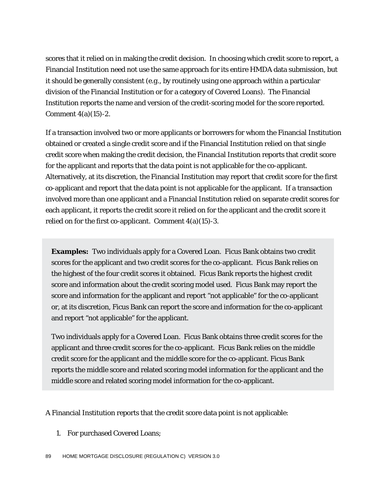scores that it relied on in making the credit decision. In choosing which credit score to report, a Financial Institution need not use the same approach for its entire HMDA data submission, but it should be generally consistent (*e.g*., by routinely using one approach within a particular division of the Financial Institution or for a category of Covered Loans). The Financial Institution reports the name and version of the credit-scoring model for the score reported. Comment 4(a)(15)-2.

If a transaction involved two or more applicants or borrowers for whom the Financial Institution obtained or created a single credit score and if the Financial Institution relied on that single credit score when making the credit decision, the Financial Institution reports that credit score for the applicant and reports that the data point is not applicable for the co-applicant. Alternatively, at its discretion, the Financial Institution may report that credit score for the first co-applicant and report that the data point is not applicable for the applicant. If a transaction involved more than one applicant and a Financial Institution relied on separate credit scores for each applicant, it reports the credit score it relied on for the applicant and the credit score it relied on for the first co-applicant. Comment 4(a)(15)-3.

**Examples:** Two individuals apply for a Covered Loan. Ficus Bank obtains two credit scores for the applicant and two credit scores for the co-applicant. Ficus Bank relies on the highest of the four credit scores it obtained. Ficus Bank reports the highest credit score and information about the credit scoring model used. Ficus Bank may report the score and information for the applicant and report "not applicable" for the co-applicant or, at its discretion, Ficus Bank can report the score and information for the co-applicant and report "not applicable" for the applicant.

Two individuals apply for a Covered Loan. Ficus Bank obtains three credit scores for the applicant and three credit scores for the co-applicant. Ficus Bank relies on the middle credit score for the applicant and the middle score for the co-applicant. Ficus Bank reports the middle score and related scoring model information for the applicant and the middle score and related scoring model information for the co-applicant.

A Financial Institution reports that the credit score data point is not applicable:

1. For purchased Covered Loans;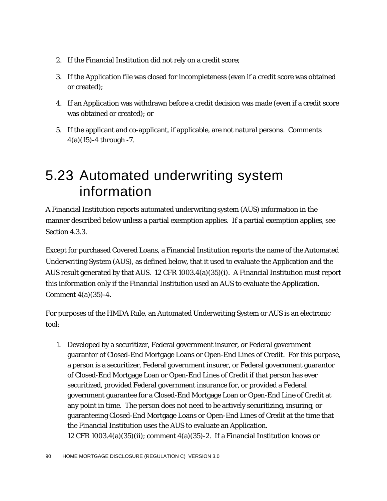- 2. If the Financial Institution did not rely on a credit score;
- 3. If the Application file was closed for incompleteness (even if a credit score was obtained or created);
- 4. If an Application was withdrawn before a credit decision was made (even if a credit score was obtained or created); or
- 5. If the applicant and co-applicant, if applicable, are not natural persons. Comments 4(a)(15)-4 through -7.

### 5.23 Automated underwriting system information

A Financial Institution reports automated underwriting system (AUS) information in the manner described below unless a partial exemption applies. If a partial exemption applies, see Section 4.3.3.

Except for purchased Covered Loans, a Financial Institution reports the name of the Automated Underwriting System (AUS), as defined below, that it used to evaluate the Application and the AUS result generated by that AUS. 12 CFR 1003.4(a)(35)(i). A Financial Institution must report this information only if the Financial Institution used an AUS to evaluate the Application. Comment 4(a)(35)-4.

For purposes of the HMDA Rule, an Automated Underwriting System or AUS is an electronic tool:

1. Developed by a securitizer, Federal government insurer, or Federal government guarantor of Closed-End Mortgage Loans or Open-End Lines of Credit. For this purpose, a person is a securitizer, Federal government insurer, or Federal government guarantor of Closed-End Mortgage Loan or Open-End Lines of Credit if that person has ever securitized, provided Federal government insurance for, or provided a Federal government guarantee for a Closed-End Mortgage Loan or Open-End Line of Credit at any point in time. The person does not need to be actively securitizing, insuring, or guaranteeing Closed-End Mortgage Loans or Open-End Lines of Credit at the time that the Financial Institution uses the AUS to evaluate an Application. 12 CFR 1003.4(a)(35)(ii); comment 4(a)(35)-2. If a Financial Institution knows or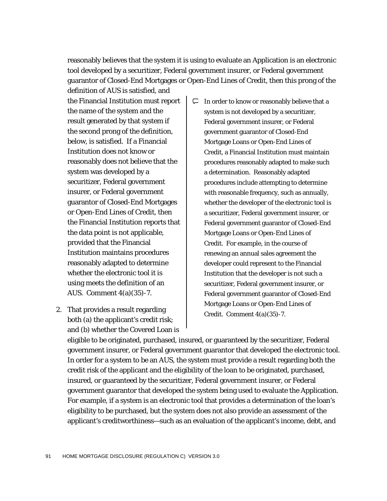reasonably believes that the system it is using to evaluate an Application is an electronic tool developed by a securitizer, Federal government insurer, or Federal government guarantor of Closed-End Mortgages or Open-End Lines of Credit, then this prong of the definition of AUS is satisfied, and

the Financial Institution must report the name of the system and the result generated by that system if the second prong of the definition, below, is satisfied. If a Financial Institution does not know or reasonably does not believe that the system was developed by a securitizer, Federal government insurer, or Federal government guarantor of Closed-End Mortgages or Open-End Lines of Credit, then the Financial Institution reports that the data point is not applicable, provided that the Financial Institution maintains procedures reasonably adapted to determine whether the electronic tool it is using meets the definition of an AUS. Comment 4(a)(35)-7.

2. That provides a result regarding both (a) the applicant's credit risk; and (b) whether the Covered Loan is  $\Box$  In order to know or reasonably believe that a system is not developed by a securitizer, Federal government insurer, or Federal government guarantor of Closed-End Mortgage Loans or Open-End Lines of Credit, a Financial Institution must maintain procedures reasonably adapted to make such a determination. Reasonably adapted procedures include attempting to determine with reasonable frequency, such as annually, whether the developer of the electronic tool is a securitizer, Federal government insurer, or Federal government guarantor of Closed-End Mortgage Loans or Open-End Lines of Credit. For example, in the course of renewing an annual sales agreement the developer could represent to the Financial Institution that the developer is not such a securitizer, Federal government insurer, or Federal government guarantor of Closed-End Mortgage Loans or Open-End Lines of Credit. Comment 4(a)(35)-7.

eligible to be originated, purchased, insured, or guaranteed by the securitizer, Federal government insurer, or Federal government guarantor that developed the electronic tool. In order for a system to be an AUS, the system must provide a result regarding both the credit risk of the applicant and the eligibility of the loan to be originated, purchased, insured, or guaranteed by the securitizer, Federal government insurer, or Federal government guarantor that developed the system being used to evaluate the Application. For example, if a system is an electronic tool that provides a determination of the loan's eligibility to be purchased, but the system does not also provide an assessment of the applicant's creditworthiness*—*such as an evaluation of the applicant's income, debt, and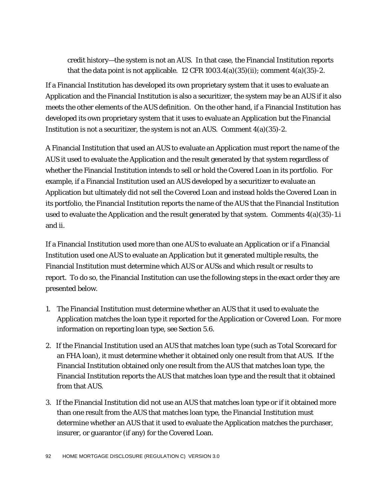credit history*—*the system is not an AUS. In that case, the Financial Institution reports that the data point is not applicable. 12 CFR  $1003.4(a)(35)(ii)$ ; comment  $4(a)(35)$ -2.

If a Financial Institution has developed its own proprietary system that it uses to evaluate an Application and the Financial Institution is also a securitizer, the system may be an AUS if it also meets the other elements of the AUS definition. On the other hand, if a Financial Institution has developed its own proprietary system that it uses to evaluate an Application but the Financial Institution is not a securitizer, the system is not an AUS. Comment  $4(a)(35)$ -2.

A Financial Institution that used an AUS to evaluate an Application must report the name of the AUS it used to evaluate the Application and the result generated by that system regardless of whether the Financial Institution intends to sell or hold the Covered Loan in its portfolio. For example, if a Financial Institution used an AUS developed by a securitizer to evaluate an Application but ultimately did not sell the Covered Loan and instead holds the Covered Loan in its portfolio, the Financial Institution reports the name of the AUS that the Financial Institution used to evaluate the Application and the result generated by that system. Comments 4(a)(35)-1.i and ii.

If a Financial Institution used more than one AUS to evaluate an Application or if a Financial Institution used one AUS to evaluate an Application but it generated multiple results, the Financial Institution must determine which AUS or AUSs and which result or results to report. To do so, the Financial Institution can use the following steps in the exact order they are presented below.

- 1. The Financial Institution must determine whether an AUS that it used to evaluate the Application matches the loan type it reported for the Application or Covered Loan. For more information on reporting loan type, see Section 5.6.
- 2. If the Financial Institution used an AUS that matches loan type (such as Total Scorecard for an FHA loan), it must determine whether it obtained only one result from that AUS. If the Financial Institution obtained only one result from the AUS that matches loan type, the Financial Institution reports the AUS that matches loan type and the result that it obtained from that AUS.
- 3. If the Financial Institution did not use an AUS that matches loan type or if it obtained more than one result from the AUS that matches loan type, the Financial Institution must determine whether an AUS that it used to evaluate the Application matches the purchaser, insurer, or guarantor (if any) for the Covered Loan.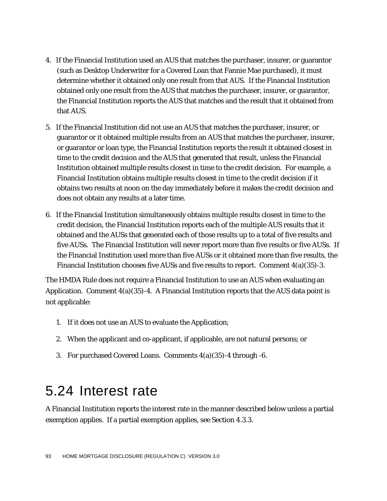- 4. If the Financial Institution used an AUS that matches the purchaser, insurer, or guarantor (such as Desktop Underwriter for a Covered Loan that Fannie Mae purchased), it must determine whether it obtained only one result from that AUS. If the Financial Institution obtained only one result from the AUS that matches the purchaser, insurer, or guarantor, the Financial Institution reports the AUS that matches and the result that it obtained from that AUS.
- 5. If the Financial Institution did not use an AUS that matches the purchaser, insurer, or guarantor or it obtained multiple results from an AUS that matches the purchaser, insurer, or guarantor or loan type, the Financial Institution reports the result it obtained closest in time to the credit decision and the AUS that generated that result, unless the Financial Institution obtained multiple results closest in time to the credit decision. For example, a Financial Institution obtains multiple results closest in time to the credit decision if it obtains two results at noon on the day immediately before it makes the credit decision and does not obtain any results at a later time.
- 6. If the Financial Institution simultaneously obtains multiple results closest in time to the credit decision, the Financial Institution reports each of the multiple AUS results that it obtained and the AUSs that generated each of those results up to a total of five results and five AUSs. The Financial Institution will never report more than five results or five AUSs. If the Financial Institution used more than five AUSs or it obtained more than five results, the Financial Institution chooses five AUSs and five results to report. Comment 4(a)(35)-3.

The HMDA Rule does not require a Financial Institution to use an AUS when evaluating an Application. Comment 4(a)(35)-4. A Financial Institution reports that the AUS data point is not applicable:

- 1. If it does not use an AUS to evaluate the Application;
- 2. When the applicant and co-applicant, if applicable, are not natural persons; or
- 3. For purchased Covered Loans. Comments 4(a)(35)-4 through -6.

#### 5.24 Interest rate

A Financial Institution reports the interest rate in the manner described below unless a partial exemption applies. If a partial exemption applies, see Section 4.3.3.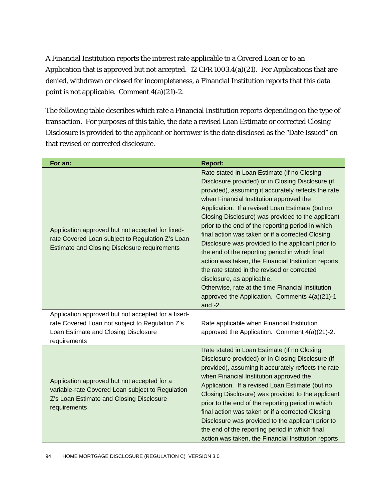A Financial Institution reports the interest rate applicable to a Covered Loan or to an Application that is approved but not accepted. 12 CFR 1003.4(a)(21). For Applications that are denied, withdrawn or closed for incompleteness, a Financial Institution reports that this data point is not applicable. Comment 4(a)(21)-2.

The following table describes which rate a Financial Institution reports depending on the type of transaction. For purposes of this table, the date a revised Loan Estimate or corrected Closing Disclosure is provided to the applicant or borrower is the date disclosed as the "Date Issued" on that revised or corrected disclosure.

| For an:                                                                                                                                                       | <b>Report:</b>                                                                                                                                                                                                                                                                                                                                                                                                                                                                                                                                                                                                                                                                                                                                                                     |
|---------------------------------------------------------------------------------------------------------------------------------------------------------------|------------------------------------------------------------------------------------------------------------------------------------------------------------------------------------------------------------------------------------------------------------------------------------------------------------------------------------------------------------------------------------------------------------------------------------------------------------------------------------------------------------------------------------------------------------------------------------------------------------------------------------------------------------------------------------------------------------------------------------------------------------------------------------|
| Application approved but not accepted for fixed-<br>rate Covered Loan subject to Regulation Z's Loan<br><b>Estimate and Closing Disclosure requirements</b>   | Rate stated in Loan Estimate (if no Closing<br>Disclosure provided) or in Closing Disclosure (if<br>provided), assuming it accurately reflects the rate<br>when Financial Institution approved the<br>Application. If a revised Loan Estimate (but no<br>Closing Disclosure) was provided to the applicant<br>prior to the end of the reporting period in which<br>final action was taken or if a corrected Closing<br>Disclosure was provided to the applicant prior to<br>the end of the reporting period in which final<br>action was taken, the Financial Institution reports<br>the rate stated in the revised or corrected<br>disclosure, as applicable.<br>Otherwise, rate at the time Financial Institution<br>approved the Application. Comments 4(a)(21)-1<br>and $-2$ . |
| Application approved but not accepted for a fixed-<br>rate Covered Loan not subject to Regulation Z's<br>Loan Estimate and Closing Disclosure<br>requirements | Rate applicable when Financial Institution<br>approved the Application. Comment 4(a)(21)-2.                                                                                                                                                                                                                                                                                                                                                                                                                                                                                                                                                                                                                                                                                        |
| Application approved but not accepted for a<br>variable-rate Covered Loan subject to Regulation<br>Z's Loan Estimate and Closing Disclosure<br>requirements   | Rate stated in Loan Estimate (if no Closing<br>Disclosure provided) or in Closing Disclosure (if<br>provided), assuming it accurately reflects the rate<br>when Financial Institution approved the<br>Application. If a revised Loan Estimate (but no<br>Closing Disclosure) was provided to the applicant<br>prior to the end of the reporting period in which<br>final action was taken or if a corrected Closing<br>Disclosure was provided to the applicant prior to<br>the end of the reporting period in which final<br>action was taken, the Financial Institution reports                                                                                                                                                                                                  |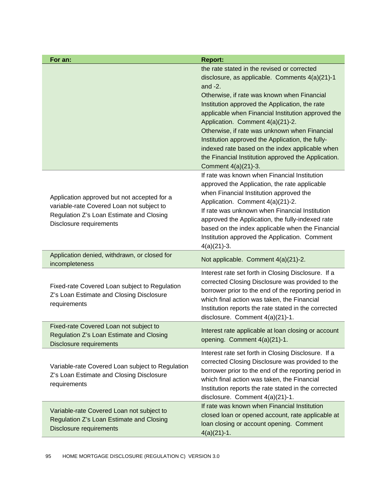| For an:                                                                                                                                                         | <b>Report:</b>                                                                                                                                                                                                                                                                                                                                                                                                                                                                                                                               |
|-----------------------------------------------------------------------------------------------------------------------------------------------------------------|----------------------------------------------------------------------------------------------------------------------------------------------------------------------------------------------------------------------------------------------------------------------------------------------------------------------------------------------------------------------------------------------------------------------------------------------------------------------------------------------------------------------------------------------|
|                                                                                                                                                                 | the rate stated in the revised or corrected<br>disclosure, as applicable. Comments 4(a)(21)-1<br>and $-2$ .<br>Otherwise, if rate was known when Financial<br>Institution approved the Application, the rate<br>applicable when Financial Institution approved the<br>Application. Comment 4(a)(21)-2.<br>Otherwise, if rate was unknown when Financial<br>Institution approved the Application, the fully-<br>indexed rate based on the index applicable when<br>the Financial Institution approved the Application.<br>Comment 4(a)(21)-3. |
| Application approved but not accepted for a<br>variable-rate Covered Loan not subject to<br>Regulation Z's Loan Estimate and Closing<br>Disclosure requirements | If rate was known when Financial Institution<br>approved the Application, the rate applicable<br>when Financial Institution approved the<br>Application. Comment 4(a)(21)-2.<br>If rate was unknown when Financial Institution<br>approved the Application, the fully-indexed rate<br>based on the index applicable when the Financial<br>Institution approved the Application. Comment<br>$4(a)(21)-3.$                                                                                                                                     |
| Application denied, withdrawn, or closed for<br>incompleteness                                                                                                  | Not applicable. Comment 4(a)(21)-2.                                                                                                                                                                                                                                                                                                                                                                                                                                                                                                          |
| Fixed-rate Covered Loan subject to Regulation<br>Z's Loan Estimate and Closing Disclosure<br>requirements                                                       | Interest rate set forth in Closing Disclosure. If a<br>corrected Closing Disclosure was provided to the<br>borrower prior to the end of the reporting period in<br>which final action was taken, the Financial<br>Institution reports the rate stated in the corrected<br>disclosure. Comment 4(a)(21)-1.                                                                                                                                                                                                                                    |
| Fixed-rate Covered Loan not subject to<br>Regulation Z's Loan Estimate and Closing<br>Disclosure requirements                                                   | Interest rate applicable at loan closing or account<br>opening. Comment 4(a)(21)-1.                                                                                                                                                                                                                                                                                                                                                                                                                                                          |
| Variable-rate Covered Loan subject to Regulation<br>Z's Loan Estimate and Closing Disclosure<br>requirements                                                    | Interest rate set forth in Closing Disclosure. If a<br>corrected Closing Disclosure was provided to the<br>borrower prior to the end of the reporting period in<br>which final action was taken, the Financial<br>Institution reports the rate stated in the corrected<br>disclosure. Comment 4(a)(21)-1.                                                                                                                                                                                                                                    |
| Variable-rate Covered Loan not subject to<br>Regulation Z's Loan Estimate and Closing<br>Disclosure requirements                                                | If rate was known when Financial Institution<br>closed loan or opened account, rate applicable at<br>loan closing or account opening. Comment<br>$4(a)(21)-1.$                                                                                                                                                                                                                                                                                                                                                                               |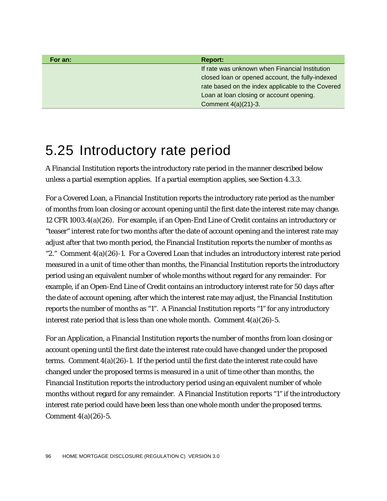| For an: | Report:                                           |
|---------|---------------------------------------------------|
|         | If rate was unknown when Financial Institution    |
|         | closed loan or opened account, the fully-indexed  |
|         | rate based on the index applicable to the Covered |
|         | Loan at loan closing or account opening.          |
|         | Comment 4(a)(21)-3.                               |

### 5.25 Introductory rate period

A Financial Institution reports the introductory rate period in the manner described below unless a partial exemption applies. If a partial exemption applies, see Section 4.3.3.

For a Covered Loan, a Financial Institution reports the introductory rate period as the number of months from loan closing or account opening until the first date the interest rate may change. 12 CFR 1003.4(a)(26). For example, if an Open-End Line of Credit contains an introductory or "teaser" interest rate for two months after the date of account opening and the interest rate may adjust after that two month period, the Financial Institution reports the number of months as "2." Comment 4(a)(26)-1. For a Covered Loan that includes an introductory interest rate period measured in a unit of time other than months, the Financial Institution reports the introductory period using an equivalent number of whole months without regard for any remainder. For example, if an Open-End Line of Credit contains an introductory interest rate for 50 days after the date of account opening, after which the interest rate may adjust, the Financial Institution reports the number of months as "1". A Financial Institution reports "1" for any introductory interest rate period that is less than one whole month. Comment  $4(a)(26)-5$ .

For an Application, a Financial Institution reports the number of months from loan closing or account opening until the first date the interest rate could have changed under the proposed terms. Comment  $4(a)(26)-1$ . If the period until the first date the interest rate could have changed under the proposed terms is measured in a unit of time other than months, the Financial Institution reports the introductory period using an equivalent number of whole months without regard for any remainder. A Financial Institution reports "1" if the introductory interest rate period could have been less than one whole month under the proposed terms. Comment 4(a)(26)-5.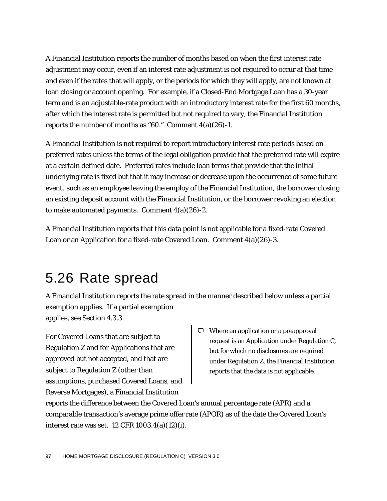A Financial Institution reports the number of months based on when the first interest rate adjustment may occur, even if an interest rate adjustment is not required to occur at that time and even if the rates that will apply, or the periods for which they will apply, are not known at loan closing or account opening. For example, if a Closed-End Mortgage Loan has a 30-year term and is an adjustable-rate product with an introductory interest rate for the first 60 months, after which the interest rate is permitted but not required to vary, the Financial Institution reports the number of months as "60." Comment 4(a)(26)-1.

A Financial Institution is not required to report introductory interest rate periods based on preferred rates unless the terms of the legal obligation provide that the preferred rate will expire at a certain defined date. Preferred rates include loan terms that provide that the initial underlying rate is fixed but that it may increase or decrease upon the occurrence of some future event, such as an employee leaving the employ of the Financial Institution, the borrower closing an existing deposit account with the Financial Institution, or the borrower revoking an election to make automated payments. Comment 4(a)(26)-2.

A Financial Institution reports that this data point is not applicable for a fixed-rate Covered Loan or an Application for a fixed-rate Covered Loan. Comment 4(a)(26)-3.

#### 5.26 Rate spread

A Financial Institution reports the rate spread in the manner described below unless a partial exemption applies. If a partial exemption applies, see Section 4.3.3.

For Covered Loans that are subject to Regulation Z and for Applications that are approved but not accepted, and that are subject to Regulation Z (other than assumptions, purchased Covered Loans, and Reverse Mortgages), a Financial Institution

 $\heartsuit$  Where an application or a preapproval request is an Application under Regulation C, but for which no disclosures are required under Regulation Z, the Financial Institution reports that the data is not applicable.

reports the difference between the Covered Loan's annual percentage rate (APR) and a comparable transaction's average prime offer rate (APOR) as of the date the Covered Loan's interest rate was set. 12 CFR 1003.4(a)(12)(i).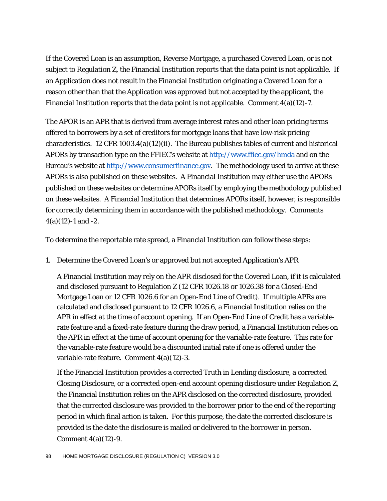If the Covered Loan is an assumption, Reverse Mortgage, a purchased Covered Loan, or is not subject to Regulation Z, the Financial Institution reports that the data point is not applicable. If an Application does not result in the Financial Institution originating a Covered Loan for a reason other than that the Application was approved but not accepted by the applicant, the Financial Institution reports that the data point is not applicable. Comment  $4(a)(12)-7$ .

The APOR is an APR that is derived from average interest rates and other loan pricing terms offered to borrowers by a set of creditors for mortgage loans that have low-risk pricing characteristics. 12 CFR 1003.4(a)(12)(ii). The Bureau publishes tables of current and historical APORs by transaction type on the FFIEC's website at<http://www.ffiec.gov/hmda> and on the Bureau's website at [http://www.consumerfinance.gov.](http://www.consumerfinance.gov/) The methodology used to arrive at these APORs is also published on these websites. A Financial Institution may either use the APORs published on these websites or determine APORs itself by employing the methodology published on these websites. A Financial Institution that determines APORs itself, however, is responsible for correctly determining them in accordance with the published methodology. Comments  $4(a)(12)-1$  and  $-2$ .

To determine the reportable rate spread, a Financial Institution can follow these steps:

1. Determine the Covered Loan's or approved but not accepted Application's APR

A Financial Institution may rely on the APR disclosed for the Covered Loan, if it is calculated and disclosed pursuant to Regulation Z (12 CFR 1026.18 or 1026.38 for a Closed-End Mortgage Loan or 12 CFR 1026.6 for an Open-End Line of Credit). If multiple APRs are calculated and disclosed pursuant to 12 CFR 1026.6, a Financial Institution relies on the APR in effect at the time of account opening. If an Open-End Line of Credit has a variablerate feature and a fixed-rate feature during the draw period, a Financial Institution relies on the APR in effect at the time of account opening for the variable-rate feature. This rate for the variable-rate feature would be a discounted initial rate if one is offered under the variable-rate feature. Comment 4(a)(12)-3.

If the Financial Institution provides a corrected Truth in Lending disclosure, a corrected Closing Disclosure, or a corrected open-end account opening disclosure under Regulation Z, the Financial Institution relies on the APR disclosed on the corrected disclosure, provided that the corrected disclosure was provided to the borrower prior to the end of the reporting period in which final action is taken. For this purpose, the date the corrected disclosure is provided is the date the disclosure is mailed or delivered to the borrower in person. Comment 4(a)(12)-9.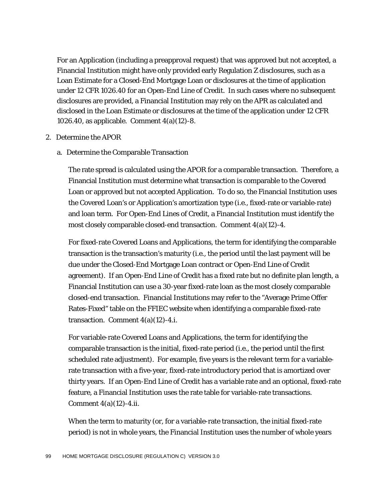For an Application (including a preapproval request) that was approved but not accepted, a Financial Institution might have only provided early Regulation Z disclosures, such as a Loan Estimate for a Closed-End Mortgage Loan or disclosures at the time of application under 12 CFR 1026.40 for an Open-End Line of Credit. In such cases where no subsequent disclosures are provided, a Financial Institution may rely on the APR as calculated and disclosed in the Loan Estimate or disclosures at the time of the application under 12 CFR 1026.40, as applicable. Comment 4(a)(12)-8.

#### 2. Determine the APOR

a. Determine the Comparable Transaction

The rate spread is calculated using the APOR for a comparable transaction. Therefore, a Financial Institution must determine what transaction is comparable to the Covered Loan or approved but not accepted Application. To do so, the Financial Institution uses the Covered Loan's or Application's amortization type (*i.e.*, fixed-rate or variable-rate) and loan term. For Open-End Lines of Credit, a Financial Institution must identify the most closely comparable closed-end transaction. Comment 4(a)(12)-4.

For fixed-rate Covered Loans and Applications, the term for identifying the comparable transaction is the transaction's maturity (*i.e*., the period until the last payment will be due under the Closed-End Mortgage Loan contract or Open-End Line of Credit agreement). If an Open-End Line of Credit has a fixed rate but no definite plan length, a Financial Institution can use a 30-year fixed-rate loan as the most closely comparable closed-end transaction. Financial Institutions may refer to the "Average Prime Offer Rates-Fixed" table on the FFIEC website when identifying a comparable fixed-rate transaction. Comment  $4(a)(12)-4.i.$ 

For variable-rate Covered Loans and Applications, the term for identifying the comparable transaction is the initial, fixed-rate period (*i.e*., the period until the first scheduled rate adjustment). For example, five years is the relevant term for a variablerate transaction with a five-year, fixed-rate introductory period that is amortized over thirty years. If an Open-End Line of Credit has a variable rate and an optional, fixed-rate feature, a Financial Institution uses the rate table for variable-rate transactions. Comment 4(a)(12)-4.ii.

When the term to maturity (or, for a variable-rate transaction, the initial fixed-rate period) is not in whole years, the Financial Institution uses the number of whole years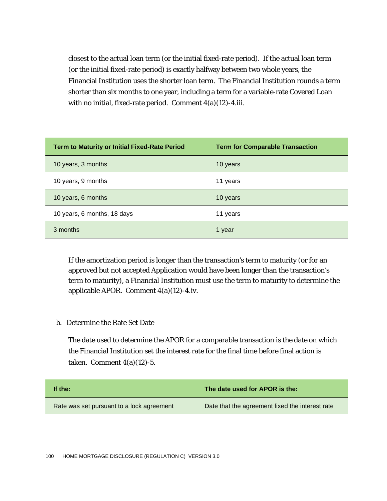closest to the actual loan term (or the initial fixed-rate period). If the actual loan term (or the initial fixed-rate period) is exactly halfway between two whole years, the Financial Institution uses the shorter loan term. The Financial Institution rounds a term shorter than six months to one year, including a term for a variable-rate Covered Loan with no initial, fixed-rate period. Comment  $4(a)(12)$ -4.iii.

| <b>Term to Maturity or Initial Fixed-Rate Period</b> | <b>Term for Comparable Transaction</b> |
|------------------------------------------------------|----------------------------------------|
| 10 years, 3 months                                   | 10 years                               |
| 10 years, 9 months                                   | 11 years                               |
| 10 years, 6 months                                   | 10 years                               |
| 10 years, 6 months, 18 days                          | 11 years                               |
| 3 months                                             | 1 year                                 |

If the amortization period is longer than the transaction's term to maturity (or for an approved but not accepted Application would have been longer than the transaction's term to maturity), a Financial Institution must use the term to maturity to determine the applicable APOR. Comment 4(a)(12)-4.iv.

b. Determine the Rate Set Date

The date used to determine the APOR for a comparable transaction is the date on which the Financial Institution set the interest rate for the final time before final action is taken. Comment  $4(a)(12)-5$ .

| If the:                                   | The date used for APOR is the:                  |
|-------------------------------------------|-------------------------------------------------|
| Rate was set pursuant to a lock agreement | Date that the agreement fixed the interest rate |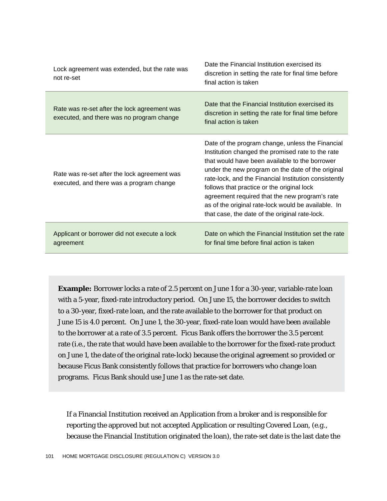| Lock agreement was extended, but the rate was<br>not re-set                               | Date the Financial Institution exercised its<br>discretion in setting the rate for final time before<br>final action is taken                                                                                                                                                                                                                                                                                                                                                  |
|-------------------------------------------------------------------------------------------|--------------------------------------------------------------------------------------------------------------------------------------------------------------------------------------------------------------------------------------------------------------------------------------------------------------------------------------------------------------------------------------------------------------------------------------------------------------------------------|
| Rate was re-set after the lock agreement was<br>executed, and there was no program change | Date that the Financial Institution exercised its<br>discretion in setting the rate for final time before<br>final action is taken                                                                                                                                                                                                                                                                                                                                             |
| Rate was re-set after the lock agreement was<br>executed, and there was a program change  | Date of the program change, unless the Financial<br>Institution changed the promised rate to the rate<br>that would have been available to the borrower<br>under the new program on the date of the original<br>rate-lock, and the Financial Institution consistently<br>follows that practice or the original lock<br>agreement required that the new program's rate<br>as of the original rate-lock would be available. In<br>that case, the date of the original rate-lock. |
| Applicant or borrower did not execute a lock<br>agreement                                 | Date on which the Financial Institution set the rate<br>for final time before final action is taken                                                                                                                                                                                                                                                                                                                                                                            |

**Example:** Borrower locks a rate of 2.5 percent on June 1 for a 30-year, variable-rate loan with a 5-year, fixed-rate introductory period. On June 15, the borrower decides to switch to a 30-year, fixed-rate loan, and the rate available to the borrower for that product on June 15 is 4.0 percent. On June 1, the 30-year, fixed-rate loan would have been available to the borrower at a rate of 3.5 percent. Ficus Bank offers the borrower the 3.5 percent rate (*i.e.*, the rate that would have been available to the borrower for the fixed-rate product on June 1, the date of the original rate-lock) because the original agreement so provided or because Ficus Bank consistently follows that practice for borrowers who change loan programs. Ficus Bank should use June 1 as the rate-set date.

If a Financial Institution received an Application from a broker and is responsible for reporting the approved but not accepted Application or resulting Covered Loan, (*e.g*., because the Financial Institution originated the loan), the rate-set date is the last date the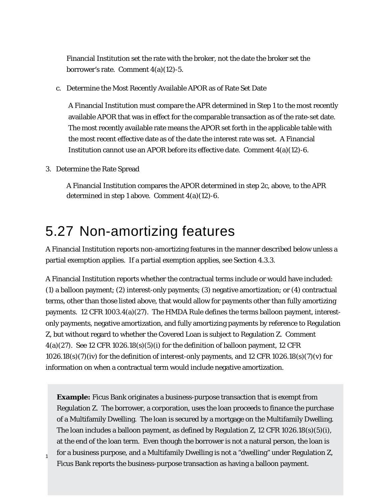Financial Institution set the rate with the broker, not the date the broker set the borrower's rate. Comment 4(a)(12)-5.

c. Determine the Most Recently Available APOR as of Rate Set Date

A Financial Institution must compare the APR determined in Step 1 to the most recently available APOR that was in effect for the comparable transaction as of the rate-set date. The most recently available rate means the APOR set forth in the applicable table with the most recent effective date as of the date the interest rate was set. A Financial Institution cannot use an APOR before its effective date. Comment 4(a)(12)-6.

3. Determine the Rate Spread

A Financial Institution compares the APOR determined in step 2c, above, to the APR determined in step 1 above. Comment 4(a)(12)-6.

#### 5.27 Non-amortizing features

A Financial Institution reports non-amortizing features in the manner described below unless a partial exemption applies. If a partial exemption applies, see Section 4.3.3.

A Financial Institution reports whether the contractual terms include or would have included: (1) a balloon payment; (2) interest-only payments; (3) negative amortization; or (4) contractual terms, other than those listed above, that would allow for payments other than fully amortizing payments. 12 CFR 1003.4(a)(27). The HMDA Rule defines the terms balloon payment, interestonly payments, negative amortization, and fully amortizing payments by reference to Regulation Z, but without regard to whether the Covered Loan is subject to Regulation Z. Comment  $4(a)(27)$ . See 12 CFR 1026.18(s)(5)(i) for the definition of balloon payment, 12 CFR  $1026.18(s)(7)(iv)$  for the definition of interest-only payments, and 12 CFR  $1026.18(s)(7)(v)$  for information on when a contractual term would include negative amortization.

 $_{1}^{4}$  for a business purpose, and a Multifamily Dwelling is not a "dwelling" under Regulation Z, **Example:** Ficus Bank originates a business-purpose transaction that is exempt from Regulation Z. The borrower, a corporation, uses the loan proceeds to finance the purchase of a Multifamily Dwelling. The loan is secured by a mortgage on the Multifamily Dwelling. The loan includes a balloon payment, as defined by Regulation Z, 12 CFR 1026.18(s)(5)(i), at the end of the loan term. Even though the borrower is not a natural person, the loan is Ficus Bank reports the business-purpose transaction as having a balloon payment.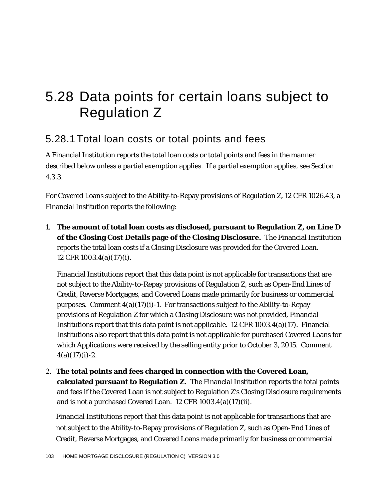### 5.28 Data points for certain loans subject to Regulation Z

#### 5.28.1 Total loan costs or total points and fees

A Financial Institution reports the total loan costs or total points and fees in the manner described below unless a partial exemption applies. If a partial exemption applies, see Section 4.3.3.

For Covered Loans subject to the Ability-to-Repay provisions of Regulation Z, 12 CFR 1026.43, a Financial Institution reports the following:

1. **The amount of total loan costs as disclosed, pursuant to Regulation Z, on Line D of the Closing Cost Details page of the Closing Disclosure.** The Financial Institution reports the total loan costs if a Closing Disclosure was provided for the Covered Loan. 12 CFR 1003.4(a)(17)(i).

Financial Institutions report that this data point is not applicable for transactions that are not subject to the Ability-to-Repay provisions of Regulation Z, such as Open-End Lines of Credit, Reverse Mortgages, and Covered Loans made primarily for business or commercial purposes. Comment  $4(a)(17)(i)-1$ . For transactions subject to the Ability-to-Repay provisions of Regulation Z for which a Closing Disclosure was not provided, Financial Institutions report that this data point is not applicable. 12 CFR 1003.4(a)(17). Financial Institutions also report that this data point is not applicable for purchased Covered Loans for which Applications were received by the selling entity prior to October 3, 2015. Comment  $4(a)(17)(i) - 2.$ 

2. **The total points and fees charged in connection with the Covered Loan, calculated pursuant to Regulation Z.** The Financial Institution reports the total points and fees if the Covered Loan is not subject to Regulation Z's Closing Disclosure requirements and is not a purchased Covered Loan. 12 CFR 1003.4(a)(17)(ii).

Financial Institutions report that this data point is not applicable for transactions that are not subject to the Ability-to-Repay provisions of Regulation Z, such as Open-End Lines of Credit, Reverse Mortgages, and Covered Loans made primarily for business or commercial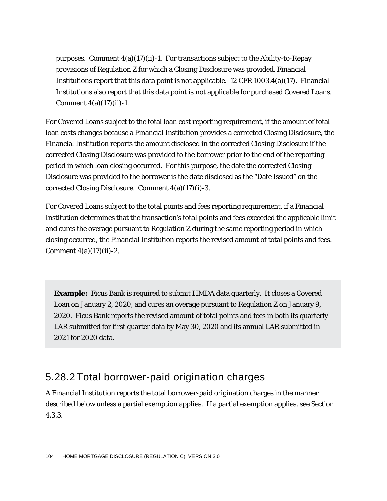purposes. Comment  $4(a)(17)(ii)$ -1. For transactions subject to the Ability-to-Repay provisions of Regulation Z for which a Closing Disclosure was provided, Financial Institutions report that this data point is not applicable. 12 CFR  $1003.4(a)(17)$ . Financial Institutions also report that this data point is not applicable for purchased Covered Loans. Comment  $4(a)(17)(ii) - 1$ .

For Covered Loans subject to the total loan cost reporting requirement, if the amount of total loan costs changes because a Financial Institution provides a corrected Closing Disclosure, the Financial Institution reports the amount disclosed in the corrected Closing Disclosure if the corrected Closing Disclosure was provided to the borrower prior to the end of the reporting period in which loan closing occurred. For this purpose, the date the corrected Closing Disclosure was provided to the borrower is the date disclosed as the "Date Issued" on the corrected Closing Disclosure. Comment 4(a)(17)(i)-3.

For Covered Loans subject to the total points and fees reporting requirement, if a Financial Institution determines that the transaction's total points and fees exceeded the applicable limit and cures the overage pursuant to Regulation Z during the same reporting period in which closing occurred, the Financial Institution reports the revised amount of total points and fees. Comment  $4(a)(17)(ii) - 2$ .

**Example:** Ficus Bank is required to submit HMDA data quarterly. It closes a Covered Loan on January 2, 2020, and cures an overage pursuant to Regulation Z on January 9, 2020. Ficus Bank reports the revised amount of total points and fees in both its quarterly LAR submitted for first quarter data by May 30, 2020 and its annual LAR submitted in 2021 for 2020 data.

#### 5.28.2 Total borrower-paid origination charges

A Financial Institution reports the total borrower-paid origination charges in the manner described below unless a partial exemption applies. If a partial exemption applies, see Section 4.3.3.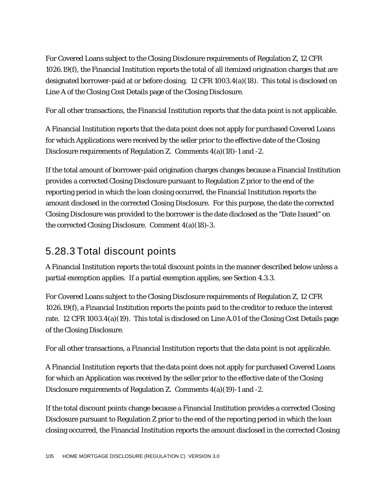For Covered Loans subject to the Closing Disclosure requirements of Regulation Z, 12 CFR 1026.19(f), the Financial Institution reports the total of all itemized origination charges that are designated borrower-paid at or before closing. 12 CFR 1003.4(a)(18). This total is disclosed on Line A of the Closing Cost Details page of the Closing Disclosure.

For all other transactions, the Financial Institution reports that the data point is not applicable.

A Financial Institution reports that the data point does not apply for purchased Covered Loans for which Applications were received by the seller prior to the effective date of the Closing Disclosure requirements of Regulation Z. Comments 4(a)(18)-1 and -2.

If the total amount of borrower-paid origination charges changes because a Financial Institution provides a corrected Closing Disclosure pursuant to Regulation Z prior to the end of the reporting period in which the loan closing occurred, the Financial Institution reports the amount disclosed in the corrected Closing Disclosure. For this purpose, the date the corrected Closing Disclosure was provided to the borrower is the date disclosed as the "Date Issued" on the corrected Closing Disclosure. Comment 4(a)(18)-3.

#### 5.28.3 Total discount points

A Financial Institution reports the total discount points in the manner described below unless a partial exemption applies. If a partial exemption applies, see Section 4.3.3.

For Covered Loans subject to the Closing Disclosure requirements of Regulation Z, 12 CFR 1026.19(f), a Financial Institution reports the points paid to the creditor to reduce the interest rate. 12 CFR 1003.4(a)(19). This total is disclosed on Line A.01 of the Closing Cost Details page of the Closing Disclosure.

For all other transactions, a Financial Institution reports that the data point is not applicable.

A Financial Institution reports that the data point does not apply for purchased Covered Loans for which an Application was received by the seller prior to the effective date of the Closing Disclosure requirements of Regulation Z. Comments 4(a)(19)-1 and -2.

If the total discount points change because a Financial Institution provides a corrected Closing Disclosure pursuant to Regulation Z prior to the end of the reporting period in which the loan closing occurred, the Financial Institution reports the amount disclosed in the corrected Closing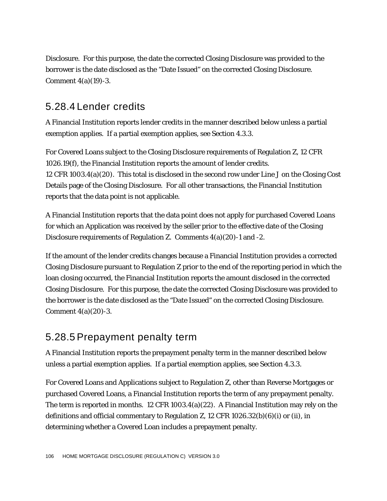Disclosure. For this purpose, the date the corrected Closing Disclosure was provided to the borrower is the date disclosed as the "Date Issued" on the corrected Closing Disclosure. Comment 4(a)(19)-3.

#### 5.28.4 Lender credits

A Financial Institution reports lender credits in the manner described below unless a partial exemption applies. If a partial exemption applies, see Section 4.3.3.

For Covered Loans subject to the Closing Disclosure requirements of Regulation Z, 12 CFR 1026.19(f), the Financial Institution reports the amount of lender credits. 12 CFR 1003.4(a)(20). This total is disclosed in the second row under Line J on the Closing Cost Details page of the Closing Disclosure. For all other transactions, the Financial Institution reports that the data point is not applicable.

A Financial Institution reports that the data point does not apply for purchased Covered Loans for which an Application was received by the seller prior to the effective date of the Closing Disclosure requirements of Regulation Z. Comments 4(a)(20)-1 and -2.

If the amount of the lender credits changes because a Financial Institution provides a corrected Closing Disclosure pursuant to Regulation Z prior to the end of the reporting period in which the loan closing occurred, the Financial Institution reports the amount disclosed in the corrected Closing Disclosure. For this purpose, the date the corrected Closing Disclosure was provided to the borrower is the date disclosed as the "Date Issued" on the corrected Closing Disclosure. Comment 4(a)(20)-3.

#### 5.28.5 Prepayment penalty term

A Financial Institution reports the prepayment penalty term in the manner described below unless a partial exemption applies. If a partial exemption applies, see Section 4.3.3.

For Covered Loans and Applications subject to Regulation Z, other than Reverse Mortgages or purchased Covered Loans, a Financial Institution reports the term of any prepayment penalty. The term is reported in months. 12 CFR 1003.4(a)(22). A Financial Institution may rely on the definitions and official commentary to Regulation Z, 12 CFR 1026.32(b)(6)(i) or (ii), in determining whether a Covered Loan includes a prepayment penalty.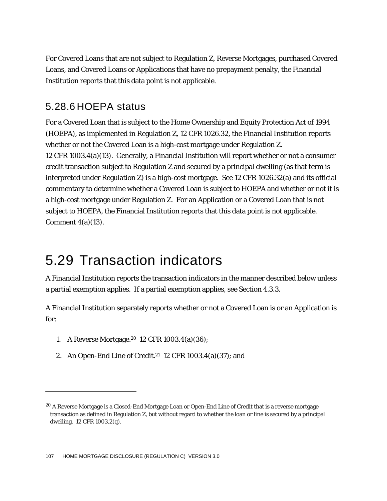For Covered Loans that are not subject to Regulation Z, Reverse Mortgages, purchased Covered Loans, and Covered Loans or Applications that have no prepayment penalty, the Financial Institution reports that this data point is not applicable.

#### 5.28.6 HOEPA status

For a Covered Loan that is subject to the Home Ownership and Equity Protection Act of 1994 (HOEPA), as implemented in Regulation Z, 12 CFR 1026.32, the Financial Institution reports whether or not the Covered Loan is a high-cost mortgage under Regulation Z. 12 CFR 1003.4(a)(13). Generally, a Financial Institution will report whether or not a consumer credit transaction subject to Regulation Z and secured by a principal dwelling (as that term is interpreted under Regulation Z) is a high-cost mortgage. See 12 CFR 1026.32(a) and its official commentary to determine whether a Covered Loan is subject to HOEPA and whether or not it is a high-cost mortgage under Regulation Z. For an Application or a Covered Loan that is not subject to HOEPA, the Financial Institution reports that this data point is not applicable. Comment  $4(a)(13)$ .

# 5.29 Transaction indicators

A Financial Institution reports the transaction indicators in the manner described below unless a partial exemption applies. If a partial exemption applies, see Section 4.3.3.

A Financial Institution separately reports whether or not a Covered Loan is or an Application is for:

1. A Reverse Mortgage.20 12 CFR 1003.4(a)(36);

1

2. An Open-End Line of Credit.21 12 CFR 1003.4(a)(37); and

<sup>&</sup>lt;sup>20</sup> A Reverse Mortgage is a Closed-End Mortgage Loan or Open-End Line of Credit that is a reverse mortgage transaction as defined in Regulation Z, but without regard to whether the loan or line is secured by a principal dwelling. 12 CFR 1003.2(q).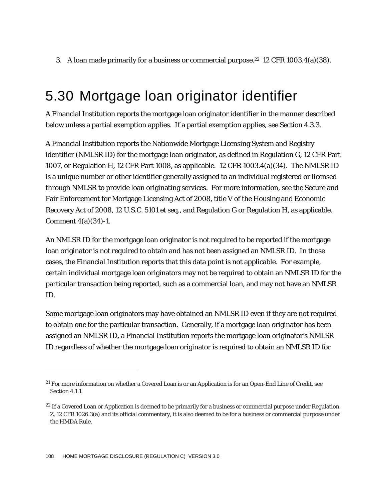3. A loan made primarily for a business or commercial purpose.<sup>22</sup> 12 CFR 1003.4(a)(38).

# 5.30 Mortgage loan originator identifier

A Financial Institution reports the mortgage loan originator identifier in the manner described below unless a partial exemption applies. If a partial exemption applies, see Section 4.3.3.

A Financial Institution reports the Nationwide Mortgage Licensing System and Registry identifier (NMLSR ID) for the mortgage loan originator, as defined in Regulation G, 12 CFR Part 1007, or Regulation H, 12 CFR Part 1008, as applicable. 12 CFR 1003.4(a)(34). The NMLSR ID is a unique number or other identifier generally assigned to an individual registered or licensed through NMLSR to provide loan originating services. For more information, see the Secure and Fair Enforcement for Mortgage Licensing Act of 2008, title V of the Housing and Economic Recovery Act of 2008, 12 U.S.C. 5101 *et seq.*, and Regulation G or Regulation H, as applicable. Comment 4(a)(34)-1.

An NMLSR ID for the mortgage loan originator is not required to be reported if the mortgage loan originator is not required to obtain and has not been assigned an NMLSR ID. In those cases, the Financial Institution reports that this data point is not applicable. For example, certain individual mortgage loan originators may not be required to obtain an NMLSR ID for the particular transaction being reported, such as a commercial loan, and may not have an NMLSR ID.

Some mortgage loan originators may have obtained an NMLSR ID even if they are not required to obtain one for the particular transaction. Generally, if a mortgage loan originator has been assigned an NMLSR ID, a Financial Institution reports the mortgage loan originator's NMLSR ID regardless of whether the mortgage loan originator is required to obtain an NMLSR ID for

1

<sup>&</sup>lt;sup>21</sup> For more information on whether a Covered Loan is or an Application is for an Open-End Line of Credit, see Section 4.1.1.

<sup>&</sup>lt;sup>22</sup> If a Covered Loan or Application is deemed to be primarily for a business or commercial purpose under Regulation Z, 12 CFR 1026.3(a) and its official commentary, it is also deemed to be for a business or commercial purpose under the HMDA Rule.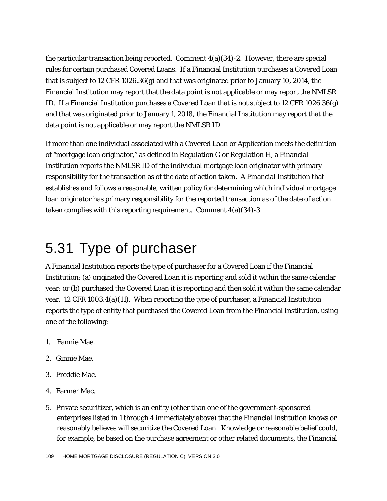the particular transaction being reported. Comment  $4(a)(34)$ -2. However, there are special rules for certain purchased Covered Loans. If a Financial Institution purchases a Covered Loan that is subject to 12 CFR 1026.36(g) and that was originated prior to January 10, 2014, the Financial Institution may report that the data point is not applicable or may report the NMLSR ID. If a Financial Institution purchases a Covered Loan that is not subject to 12 CFR 1026.36(g) and that was originated prior to January 1, 2018, the Financial Institution may report that the data point is not applicable or may report the NMLSR ID.

If more than one individual associated with a Covered Loan or Application meets the definition of "mortgage loan originator," as defined in Regulation G or Regulation H, a Financial Institution reports the NMLSR ID of the individual mortgage loan originator with primary responsibility for the transaction as of the date of action taken. A Financial Institution that establishes and follows a reasonable, written policy for determining which individual mortgage loan originator has primary responsibility for the reported transaction as of the date of action taken complies with this reporting requirement. Comment 4(a)(34)-3.

# 5.31 Type of purchaser

A Financial Institution reports the type of purchaser for a Covered Loan if the Financial Institution: (a) originated the Covered Loan it is reporting and sold it within the same calendar year; or (b) purchased the Covered Loan it is reporting and then sold it within the same calendar year. 12 CFR 1003.4(a)(11). When reporting the type of purchaser, a Financial Institution reports the type of entity that purchased the Covered Loan from the Financial Institution, using one of the following:

- 1. Fannie Mae.
- 2. Ginnie Mae.
- 3. Freddie Mac.
- 4. Farmer Mac.
- 5. Private securitizer, which is an entity (other than one of the government-sponsored enterprises listed in 1 through 4 immediately above) that the Financial Institution knows or reasonably believes will securitize the Covered Loan. Knowledge or reasonable belief could, for example, be based on the purchase agreement or other related documents, the Financial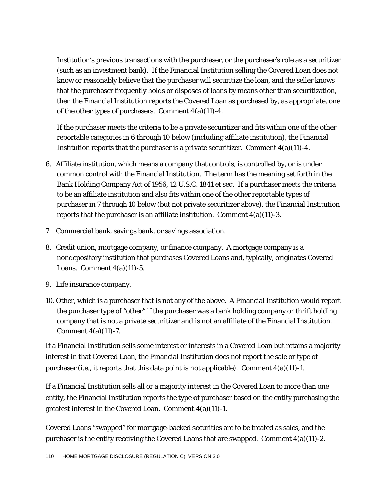Institution's previous transactions with the purchaser, or the purchaser's role as a securitizer (such as an investment bank). If the Financial Institution selling the Covered Loan does not know or reasonably believe that the purchaser will securitize the loan, and the seller knows that the purchaser frequently holds or disposes of loans by means other than securitization, then the Financial Institution reports the Covered Loan as purchased by, as appropriate, one of the other types of purchasers. Comment 4(a)(11)-4.

If the purchaser meets the criteria to be a private securitizer and fits within one of the other reportable categories in 6 through 10 below (including affiliate institution), the Financial Institution reports that the purchaser is a private securitizer. Comment  $4(a)(11)-4$ .

- 6. Affiliate institution, which means a company that controls, is controlled by, or is under common control with the Financial Institution. The term has the meaning set forth in the Bank Holding Company Act of 1956, 12 U.S.C. 1841 *et seq*. If a purchaser meets the criteria to be an affiliate institution and also fits within one of the other reportable types of purchaser in 7 through 10 below (but not private securitizer above), the Financial Institution reports that the purchaser is an affiliate institution. Comment  $4(a)(11)-3$ .
- 7. Commercial bank, savings bank, or savings association.
- 8. Credit union, mortgage company, or finance company. A mortgage company is a nondepository institution that purchases Covered Loans and, typically, originates Covered Loans. Comment  $4(a)(11)-5$ .
- 9. Life insurance company.
- 10. Other, which is a purchaser that is not any of the above. A Financial Institution would report the purchaser type of "other" if the purchaser was a bank holding company or thrift holding company that is not a private securitizer and is not an affiliate of the Financial Institution. Comment 4(a)(11)-7.

If a Financial Institution sells some interest or interests in a Covered Loan but retains a majority interest in that Covered Loan, the Financial Institution does not report the sale or type of purchaser (*i.e.*, it reports that this data point is not applicable). Comment 4(a)(11)-1.

If a Financial Institution sells all or a majority interest in the Covered Loan to more than one entity, the Financial Institution reports the type of purchaser based on the entity purchasing the greatest interest in the Covered Loan. Comment 4(a)(11)-1.

Covered Loans "swapped" for mortgage-backed securities are to be treated as sales, and the purchaser is the entity receiving the Covered Loans that are swapped. Comment 4(a)(11)-2.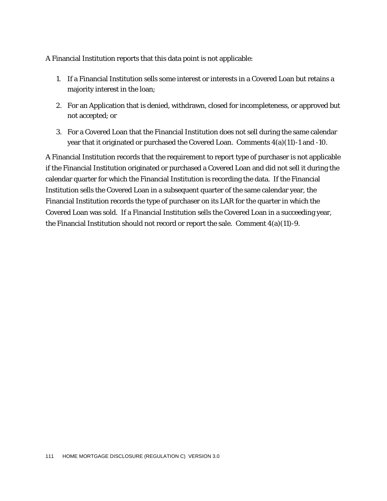A Financial Institution reports that this data point is not applicable:

- 1. If a Financial Institution sells some interest or interests in a Covered Loan but retains a majority interest in the loan;
- 2. For an Application that is denied, withdrawn, closed for incompleteness, or approved but not accepted; or
- 3. For a Covered Loan that the Financial Institution does not sell during the same calendar year that it originated or purchased the Covered Loan. Comments 4(a)(11)-1 and -10.

A Financial Institution records that the requirement to report type of purchaser is not applicable if the Financial Institution originated or purchased a Covered Loan and did not sell it during the calendar quarter for which the Financial Institution is recording the data. If the Financial Institution sells the Covered Loan in a subsequent quarter of the same calendar year, the Financial Institution records the type of purchaser on its LAR for the quarter in which the Covered Loan was sold. If a Financial Institution sells the Covered Loan in a succeeding year, the Financial Institution should not record or report the sale. Comment  $4(a)(11)-9$ .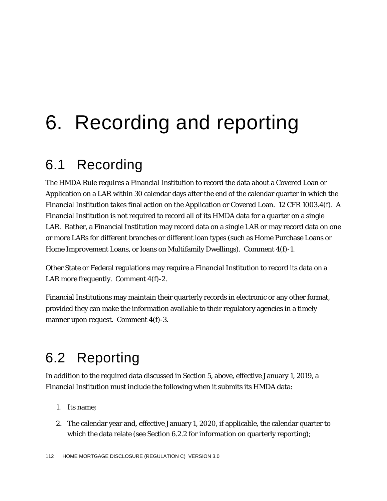# 6. Recording and reporting

# 6.1 Recording

The HMDA Rule requires a Financial Institution to record the data about a Covered Loan or Application on a LAR within 30 calendar days after the end of the calendar quarter in which the Financial Institution takes final action on the Application or Covered Loan. 12 CFR 1003.4(f). A Financial Institution is not required to record all of its HMDA data for a quarter on a single LAR. Rather, a Financial Institution may record data on a single LAR or may record data on one or more LARs for different branches or different loan types (such as Home Purchase Loans or Home Improvement Loans, or loans on Multifamily Dwellings). Comment 4(f)-1.

Other State or Federal regulations may require a Financial Institution to record its data on a LAR more frequently. Comment 4(f)-2.

Financial Institutions may maintain their quarterly records in electronic or any other format, provided they can make the information available to their regulatory agencies in a timely manner upon request. Comment 4(f)-3.

# 6.2 Reporting

In addition to the required data discussed in Section 5, above, effective January 1, 2019, a Financial Institution must include the following when it submits its HMDA data:

- 1. Its name;
- 2. The calendar year and, effective January 1, 2020, if applicable, the calendar quarter to which the data relate (see Section 6.2.2 for information on quarterly reporting);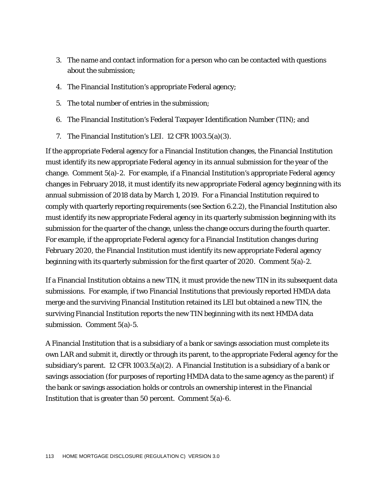- 3. The name and contact information for a person who can be contacted with questions about the submission;
- 4. The Financial Institution's appropriate Federal agency;
- 5. The total number of entries in the submission;
- 6. The Financial Institution's Federal Taxpayer Identification Number (TIN); and
- 7. The Financial Institution's LEI. 12 CFR 1003.5(a)(3).

If the appropriate Federal agency for a Financial Institution changes, the Financial Institution must identify its new appropriate Federal agency in its annual submission for the year of the change. Comment 5(a)-2. For example, if a Financial Institution's appropriate Federal agency changes in February 2018, it must identify its new appropriate Federal agency beginning with its annual submission of 2018 data by March 1, 2019. For a Financial Institution required to comply with quarterly reporting requirements (see Section 6.2.2), the Financial Institution also must identify its new appropriate Federal agency in its quarterly submission beginning with its submission for the quarter of the change, unless the change occurs during the fourth quarter. For example, if the appropriate Federal agency for a Financial Institution changes during February 2020, the Financial Institution must identify its new appropriate Federal agency beginning with its quarterly submission for the first quarter of 2020. Comment 5(a)-2.

If a Financial Institution obtains a new TIN, it must provide the new TIN in its subsequent data submissions. For example, if two Financial Institutions that previously reported HMDA data merge and the surviving Financial Institution retained its LEI but obtained a new TIN, the surviving Financial Institution reports the new TIN beginning with its next HMDA data submission. Comment 5(a)-5.

A Financial Institution that is a subsidiary of a bank or savings association must complete its own LAR and submit it, directly or through its parent, to the appropriate Federal agency for the subsidiary's parent. 12 CFR 1003.5(a)(2). A Financial Institution is a subsidiary of a bank or savings association (for purposes of reporting HMDA data to the same agency as the parent) if the bank or savings association holds or controls an ownership interest in the Financial Institution that is greater than 50 percent. Comment 5(a)-6.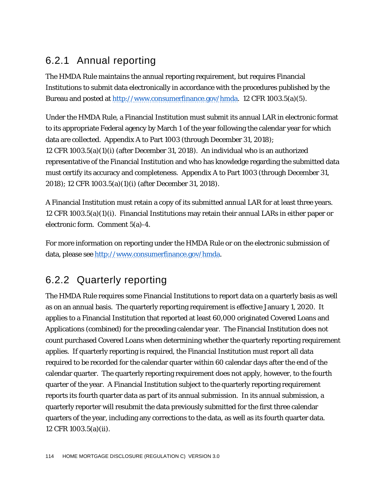### 6.2.1 Annual reporting

The HMDA Rule maintains the annual reporting requirement, but requires Financial Institutions to submit data electronically in accordance with the procedures published by the Bureau and posted at [http://www.consumerfinance.gov/hmda.](http://www.consumerfinance.gov/hmda) 12 CFR 1003.5(a)(5).

Under the HMDA Rule, a Financial Institution must submit its annual LAR in electronic format to its appropriate Federal agency by March 1 of the year following the calendar year for which data are collected. Appendix A to Part 1003 (through December 31, 2018); 12 CFR 1003.5(a)(1)(i) (after December 31, 2018). An individual who is an authorized representative of the Financial Institution and who has knowledge regarding the submitted data must certify its accuracy and completeness. Appendix A to Part 1003 (through December 31, 2018); 12 CFR 1003.5(a)(1)(i) (after December 31, 2018).

A Financial Institution must retain a copy of its submitted annual LAR for at least three years. 12 CFR 1003.5(a)(1)(i). Financial Institutions may retain their annual LARs in either paper or electronic form. Comment 5(a)-4.

For more information on reporting under the HMDA Rule or on the electronic submission of data, please see [http://www.consumerfinance.gov/hmda.](http://www.consumerfinance.gov/hmda)

### 6.2.2 Quarterly reporting

The HMDA Rule requires some Financial Institutions to report data on a quarterly basis as well as on an annual basis. The quarterly reporting requirement is effective January 1, 2020. It applies to a Financial Institution that reported at least 60,000 originated Covered Loans and Applications (combined) for the preceding calendar year. The Financial Institution does not count purchased Covered Loans when determining whether the quarterly reporting requirement applies. If quarterly reporting is required, the Financial Institution must report all data required to be recorded for the calendar quarter within 60 calendar days after the end of the calendar quarter. The quarterly reporting requirement does not apply, however, to the fourth quarter of the year. A Financial Institution subject to the quarterly reporting requirement reports its fourth quarter data as part of its annual submission. In its annual submission, a quarterly reporter will resubmit the data previously submitted for the first three calendar quarters of the year, including any corrections to the data, as well as its fourth quarter data. 12 CFR 1003.5(a)(ii).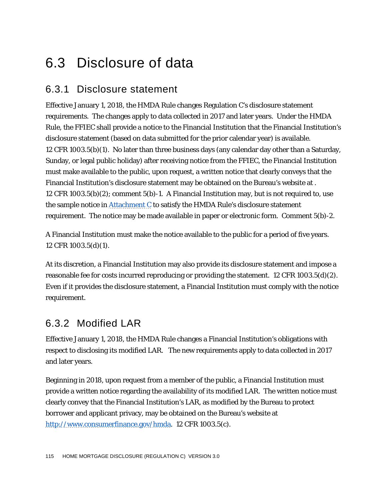# 6.3 Disclosure of data

#### 6.3.1 Disclosure statement

Effective January 1, 2018, the HMDA Rule changes Regulation C's disclosure statement requirements. The changes apply to data collected in 2017 and later years. Under the HMDA Rule, the FFIEC shall provide a notice to the Financial Institution that the Financial Institution's disclosure statement (based on data submitted for the prior calendar year) is available. 12 CFR 1003.5(b)(1). No later than three business days (any calendar day other than a Saturday, Sunday, or legal public holiday) after receiving notice from the FFIEC, the Financial Institution must make available to the public, upon request, a written notice that clearly conveys that the Financial Institution's disclosure statement may be obtained on the Bureau's website at . 12 CFR 1003.5(b)(2); comment 5(b)-1. A Financial Institution may, but is not required to, use the sample notice in  $Attachment C$  to satisfy the HMDA Rule's disclosure statement</u> requirement. The notice may be made available in paper or electronic form. Comment 5(b)-2.

A Financial Institution must make the notice available to the public for a period of five years. 12 CFR 1003.5(d)(1).

At its discretion, a Financial Institution may also provide its disclosure statement and impose a reasonable fee for costs incurred reproducing or providing the statement. 12 CFR 1003.5(d)(2). Even if it provides the disclosure statement, a Financial Institution must comply with the notice requirement.

#### 6.3.2 Modified LAR

Effective January 1, 2018, the HMDA Rule changes a Financial Institution's obligations with respect to disclosing its modified LAR. The new requirements apply to data collected in 2017 and later years.

Beginning in 2018, upon request from a member of the public, a Financial Institution must provide a written notice regarding the availability of its modified LAR. The written notice must clearly convey that the Financial Institution's LAR, as modified by the Bureau to protect borrower and applicant privacy, may be obtained on the Bureau's website at http://www.consumerfinance.gov/hmda. 12 CFR 1003.5(c).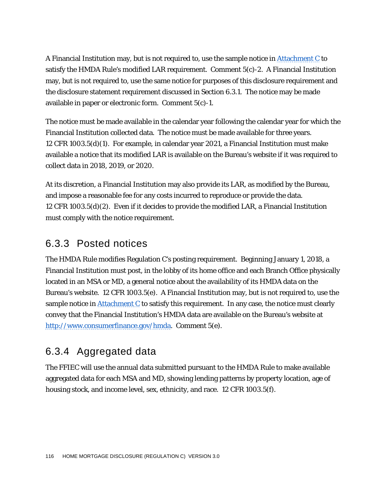A Financial Institution may, but is not required to, use the sample notice in [Attachment C](#page-136-0) to satisfy the HMDA Rule's modified LAR requirement. Comment 5(c)-2. A Financial Institution may, but is not required to, use the same notice for purposes of this disclosure requirement and the disclosure statement requirement discussed in Section 6.3.1. The notice may be made available in paper or electronic form. Comment 5(c)-1.

The notice must be made available in the calendar year following the calendar year for which the Financial Institution collected data. The notice must be made available for three years. 12 CFR 1003.5(d)(1). For example, in calendar year 2021, a Financial Institution must make available a notice that its modified LAR is available on the Bureau's website if it was required to collect data in 2018, 2019, or 2020.

At its discretion, a Financial Institution may also provide its LAR, as modified by the Bureau, and impose a reasonable fee for any costs incurred to reproduce or provide the data. 12 CFR 1003.5(d)(2). Even if it decides to provide the modified LAR, a Financial Institution must comply with the notice requirement.

#### 6.3.3 Posted notices

The HMDA Rule modifies Regulation C's posting requirement. Beginning January 1, 2018, a Financial Institution must post, in the lobby of its home office and each Branch Office physically located in an MSA or MD, a general notice about the availability of its HMDA data on the Bureau's website. 12 CFR 1003.5(e). A Financial Institution may, but is not required to, use the sample notice in Attachment  $C$  to satisfy this requirement. In any case, the notice must clearly convey that the Financial Institution's HMDA data are available on the Bureau's website at [http://www.consumerfinance.gov/hmda.](http://www.consumerfinance.gov/hmda) Comment 5(e).

#### 6.3.4 Aggregated data

The FFIEC will use the annual data submitted pursuant to the HMDA Rule to make available aggregated data for each MSA and MD, showing lending patterns by property location, age of housing stock, and income level, sex, ethnicity, and race. 12 CFR 1003.5(f).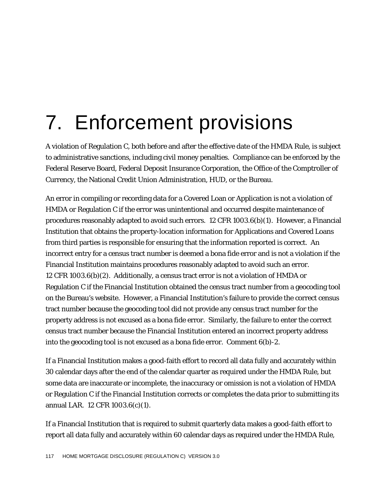# 7. Enforcement provisions

A violation of Regulation C, both before and after the effective date of the HMDA Rule, is subject to administrative sanctions, including civil money penalties. Compliance can be enforced by the Federal Reserve Board, Federal Deposit Insurance Corporation, the Office of the Comptroller of Currency, the National Credit Union Administration, HUD, or the Bureau.

An error in compiling or recording data for a Covered Loan or Application is not a violation of HMDA or Regulation C if the error was unintentional and occurred despite maintenance of procedures reasonably adapted to avoid such errors. 12 CFR 1003.6(b)(1). However, a Financial Institution that obtains the property-location information for Applications and Covered Loans from third parties is responsible for ensuring that the information reported is correct. An incorrect entry for a census tract number is deemed a bona fide error and is not a violation if the Financial Institution maintains procedures reasonably adapted to avoid such an error. 12 CFR 1003.6(b)(2). Additionally, a census tract error is not a violation of HMDA or Regulation C if the Financial Institution obtained the census tract number from a geocoding tool on the Bureau's website. However, a Financial Institution's failure to provide the correct census tract number because the geocoding tool did not provide any census tract number for the property address is not excused as a bona fide error. Similarly, the failure to enter the correct census tract number because the Financial Institution entered an incorrect property address into the geocoding tool is not excused as a bona fide error. Comment 6(b)-2.

If a Financial Institution makes a good-faith effort to record all data fully and accurately within 30 calendar days after the end of the calendar quarter as required under the HMDA Rule, but some data are inaccurate or incomplete, the inaccuracy or omission is not a violation of HMDA or Regulation C if the Financial Institution corrects or completes the data prior to submitting its annual LAR. 12 CFR 1003.6(c)(1).

If a Financial Institution that is required to submit quarterly data makes a good-faith effort to report all data fully and accurately within 60 calendar days as required under the HMDA Rule,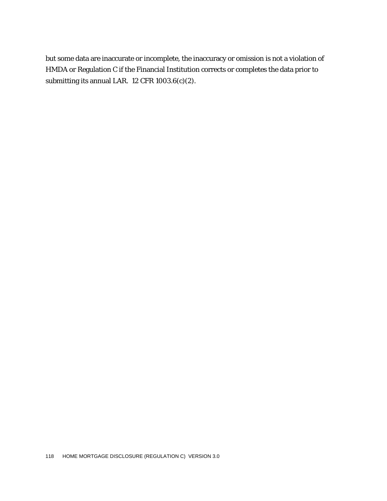but some data are inaccurate or incomplete, the inaccuracy or omission is not a violation of HMDA or Regulation C if the Financial Institution corrects or completes the data prior to submitting its annual LAR. 12 CFR 1003.6(c)(2).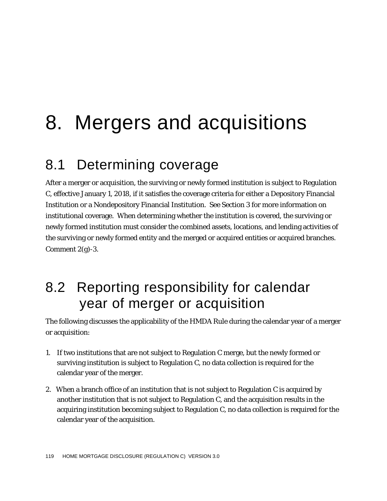# 8. Mergers and acquisitions

# 8.1 Determining coverage

After a merger or acquisition, the surviving or newly formed institution is subject to Regulation C, effective January 1, 2018, if it satisfies the coverage criteria for either a Depository Financial Institution or a Nondepository Financial Institution. See Section 3 for more information on institutional coverage. When determining whether the institution is covered, the surviving or newly formed institution must consider the combined assets, locations, and lending activities of the surviving or newly formed entity and the merged or acquired entities or acquired branches. Comment  $2(g)-3$ .

## 8.2 Reporting responsibility for calendar year of merger or acquisition

The following discusses the applicability of the HMDA Rule during the calendar year of a merger or acquisition:

- 1. If two institutions that are not subject to Regulation C merge, but the newly formed or surviving institution is subject to Regulation C, no data collection is required for the calendar year of the merger.
- 2. When a branch office of an institution that is not subject to Regulation C is acquired by another institution that is not subject to Regulation C, and the acquisition results in the acquiring institution becoming subject to Regulation C, no data collection is required for the calendar year of the acquisition.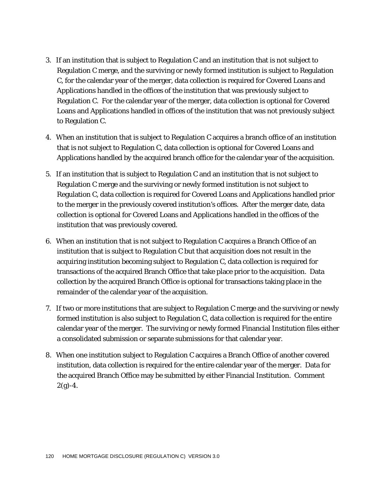- 3. If an institution that is subject to Regulation C and an institution that is not subject to Regulation C merge, and the surviving or newly formed institution is subject to Regulation C, for the calendar year of the merger, data collection is required for Covered Loans and Applications handled in the offices of the institution that was previously subject to Regulation C. For the calendar year of the merger, data collection is optional for Covered Loans and Applications handled in offices of the institution that was not previously subject to Regulation C.
- 4. When an institution that is subject to Regulation C acquires a branch office of an institution that is not subject to Regulation C, data collection is optional for Covered Loans and Applications handled by the acquired branch office for the calendar year of the acquisition.
- 5. If an institution that is subject to Regulation C and an institution that is not subject to Regulation C merge and the surviving or newly formed institution is not subject to Regulation C, data collection is required for Covered Loans and Applications handled prior to the merger in the previously covered institution's offices. After the merger date, data collection is optional for Covered Loans and Applications handled in the offices of the institution that was previously covered.
- 6. When an institution that is not subject to Regulation C acquires a Branch Office of an institution that is subject to Regulation C but that acquisition does not result in the acquiring institution becoming subject to Regulation C, data collection is required for transactions of the acquired Branch Office that take place prior to the acquisition. Data collection by the acquired Branch Office is optional for transactions taking place in the remainder of the calendar year of the acquisition.
- 7. If two or more institutions that are subject to Regulation C merge and the surviving or newly formed institution is also subject to Regulation C, data collection is required for the entire calendar year of the merger. The surviving or newly formed Financial Institution files either a consolidated submission or separate submissions for that calendar year.
- 8. When one institution subject to Regulation C acquires a Branch Office of another covered institution, data collection is required for the entire calendar year of the merger. Data for the acquired Branch Office may be submitted by either Financial Institution. Comment  $2(g)-4.$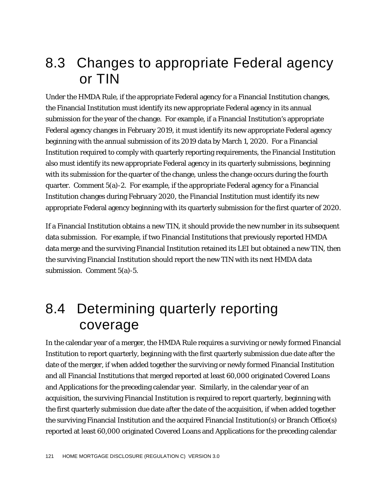## 8.3 Changes to appropriate Federal agency or TIN

Under the HMDA Rule, if the appropriate Federal agency for a Financial Institution changes, the Financial Institution must identify its new appropriate Federal agency in its annual submission for the year of the change. For example, if a Financial Institution's appropriate Federal agency changes in February 2019, it must identify its new appropriate Federal agency beginning with the annual submission of its 2019 data by March 1, 2020. For a Financial Institution required to comply with quarterly reporting requirements, the Financial Institution also must identify its new appropriate Federal agency in its quarterly submissions, beginning with its submission for the quarter of the change, unless the change occurs during the fourth quarter. Comment 5(a)-2. For example, if the appropriate Federal agency for a Financial Institution changes during February 2020, the Financial Institution must identify its new appropriate Federal agency beginning with its quarterly submission for the first quarter of 2020.

If a Financial Institution obtains a new TIN, it should provide the new number in its subsequent data submission. For example, if two Financial Institutions that previously reported HMDA data merge and the surviving Financial Institution retained its LEI but obtained a new TIN, then the surviving Financial Institution should report the new TIN with its next HMDA data submission. Comment 5(a)-5.

## 8.4 Determining quarterly reporting coverage

In the calendar year of a merger, the HMDA Rule requires a surviving or newly formed Financial Institution to report quarterly, beginning with the first quarterly submission due date after the date of the merger, if when added together the surviving or newly formed Financial Institution and all Financial Institutions that merged reported at least 60,000 originated Covered Loans and Applications for the preceding calendar year. Similarly, in the calendar year of an acquisition, the surviving Financial Institution is required to report quarterly, beginning with the first quarterly submission due date after the date of the acquisition, if when added together the surviving Financial Institution and the acquired Financial Institution(s) or Branch Office(s) reported at least 60,000 originated Covered Loans and Applications for the preceding calendar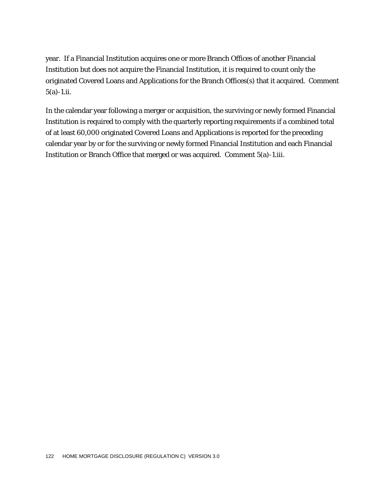year. If a Financial Institution acquires one or more Branch Offices of another Financial Institution but does not acquire the Financial Institution, it is required to count only the originated Covered Loans and Applications for the Branch Offices(s) that it acquired. Comment  $5(a) - 1.ii.$ 

In the calendar year following a merger or acquisition, the surviving or newly formed Financial Institution is required to comply with the quarterly reporting requirements if a combined total of at least 60,000 originated Covered Loans and Applications is reported for the preceding calendar year by or for the surviving or newly formed Financial Institution and each Financial Institution or Branch Office that merged or was acquired. Comment 5(a)-1.iii.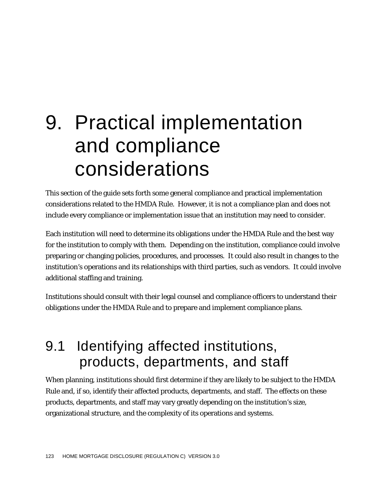# 9. Practical implementation and compliance considerations

This section of the guide sets forth some general compliance and practical implementation considerations related to the HMDA Rule. However, it is not a compliance plan and does not include every compliance or implementation issue that an institution may need to consider.

Each institution will need to determine its obligations under the HMDA Rule and the best way for the institution to comply with them. Depending on the institution, compliance could involve preparing or changing policies, procedures, and processes. It could also result in changes to the institution's operations and its relationships with third parties, such as vendors. It could involve additional staffing and training.

Institutions should consult with their legal counsel and compliance officers to understand their obligations under the HMDA Rule and to prepare and implement compliance plans.

# 9.1 Identifying affected institutions, products, departments, and staff

When planning, institutions should first determine if they are likely to be subject to the HMDA Rule and, if so, identify their affected products, departments, and staff. The effects on these products, departments, and staff may vary greatly depending on the institution's size, organizational structure, and the complexity of its operations and systems.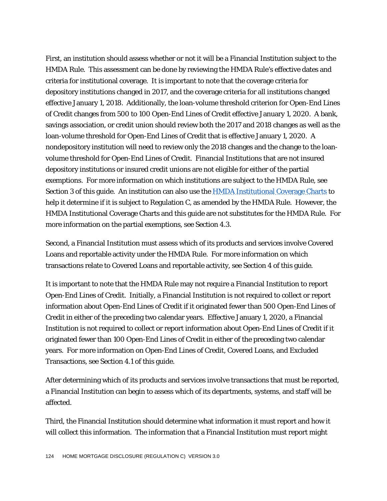First, an institution should assess whether or not it will be a Financial Institution subject to the HMDA Rule. This assessment can be done by reviewing the HMDA Rule's effective dates and criteria for institutional coverage. It is important to note that the coverage criteria for depository institutions changed in 2017, and the coverage criteria for all institutions changed effective January 1, 2018. Additionally, the loan-volume threshold criterion for Open-End Lines of Credit changes from 500 to 100 Open-End Lines of Credit effective January 1, 2020. A bank, savings association, or credit union should review both the 2017 and 2018 changes as well as the loan-volume threshold for Open-End Lines of Credit that is effective January 1, 2020. A nondepository institution will need to review only the 2018 changes and the change to the loanvolume threshold for Open-End Lines of Credit. Financial Institutions that are not insured depository institutions or insured credit unions are not eligible for either of the partial exemptions. For more information on which institutions are subject to the HMDA Rule, see Section 3 of this guide. An institution can also use the [HMDA Institutional Coverage Charts](http://www.consumerfinance.gov/regulatory-implementation/hmda/) to help it determine if it is subject to Regulation C, as amended by the HMDA Rule. However, the HMDA Institutional Coverage Charts and this guide are not substitutes for the HMDA Rule. For more information on the partial exemptions, see Section 4.3.

Second, a Financial Institution must assess which of its products and services involve Covered Loans and reportable activity under the HMDA Rule. For more information on which transactions relate to Covered Loans and reportable activity, see Section 4 of this guide.

It is important to note that the HMDA Rule may not require a Financial Institution to report Open-End Lines of Credit. Initially, a Financial Institution is not required to collect or report information about Open-End Lines of Credit if it originated fewer than 500 Open-End Lines of Credit in either of the preceding two calendar years. Effective January 1, 2020, a Financial Institution is not required to collect or report information about Open-End Lines of Credit if it originated fewer than 100 Open-End Lines of Credit in either of the preceding two calendar years. For more information on Open-End Lines of Credit, Covered Loans, and Excluded Transactions, see Section 4.1 of this guide.

After determining which of its products and services involve transactions that must be reported, a Financial Institution can begin to assess which of its departments, systems, and staff will be affected.

Third, the Financial Institution should determine what information it must report and how it will collect this information. The information that a Financial Institution must report might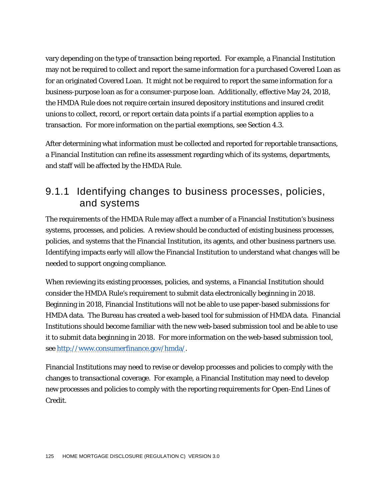vary depending on the type of transaction being reported. For example, a Financial Institution may not be required to collect and report the same information for a purchased Covered Loan as for an originated Covered Loan. It might not be required to report the same information for a business-purpose loan as for a consumer-purpose loan. Additionally, effective May 24, 2018, the HMDA Rule does not require certain insured depository institutions and insured credit unions to collect, record, or report certain data points if a partial exemption applies to a transaction. For more information on the partial exemptions, see Section 4.3.

After determining what information must be collected and reported for reportable transactions, a Financial Institution can refine its assessment regarding which of its systems, departments, and staff will be affected by the HMDA Rule.

#### 9.1.1 Identifying changes to business processes, policies, and systems

The requirements of the HMDA Rule may affect a number of a Financial Institution's business systems, processes, and policies. A review should be conducted of existing business processes, policies, and systems that the Financial Institution, its agents, and other business partners use. Identifying impacts early will allow the Financial Institution to understand what changes will be needed to support ongoing compliance.

When reviewing its existing processes, policies, and systems, a Financial Institution should consider the HMDA Rule's requirement to submit data electronically beginning in 2018. Beginning in 2018, Financial Institutions will not be able to use paper-based submissions for HMDA data. The Bureau has created a web-based tool for submission of HMDA data. Financial Institutions should become familiar with the new web-based submission tool and be able to use it to submit data beginning in 2018. For more information on the web-based submission tool, see [http://www.consumerfinance.gov/hmda/.](http://www.consumerfinance.gov/hmda/)

Financial Institutions may need to revise or develop processes and policies to comply with the changes to transactional coverage. For example, a Financial Institution may need to develop new processes and policies to comply with the reporting requirements for Open-End Lines of Credit.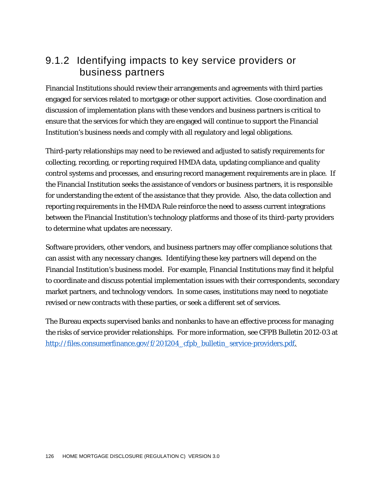#### 9.1.2 Identifying impacts to key service providers or business partners

Financial Institutions should review their arrangements and agreements with third parties engaged for services related to mortgage or other support activities. Close coordination and discussion of implementation plans with these vendors and business partners is critical to ensure that the services for which they are engaged will continue to support the Financial Institution's business needs and comply with all regulatory and legal obligations.

Third-party relationships may need to be reviewed and adjusted to satisfy requirements for collecting, recording, or reporting required HMDA data, updating compliance and quality control systems and processes, and ensuring record management requirements are in place. If the Financial Institution seeks the assistance of vendors or business partners, it is responsible for understanding the extent of the assistance that they provide. Also, the data collection and reporting requirements in the HMDA Rule reinforce the need to assess current integrations between the Financial Institution's technology platforms and those of its third-party providers to determine what updates are necessary.

Software providers, other vendors, and business partners may offer compliance solutions that can assist with any necessary changes. Identifying these key partners will depend on the Financial Institution's business model. For example, Financial Institutions may find it helpful to coordinate and discuss potential implementation issues with their correspondents, secondary market partners, and technology vendors. In some cases, institutions may need to negotiate revised or new contracts with these parties, or seek a different set of services.

The Bureau expects supervised banks and nonbanks to have an effective process for managing the risks of service provider relationships. For more information, see CFPB Bulletin 2012-03 at [http://files.consumerfinance.gov/f/201204\\_cfpb\\_bulletin\\_service-providers.pdf.](http://files.consumerfinance.gov/f/201204_cfpb_bulletin_service-providers.pdf)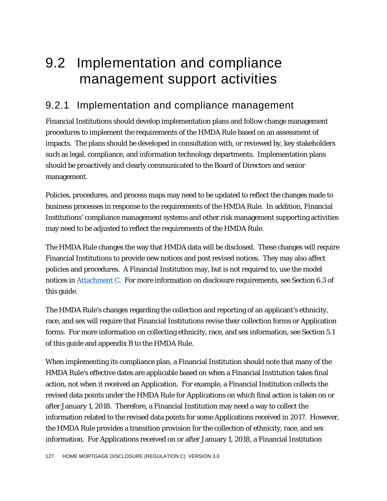# 9.2 Implementation and compliance management support activities

#### 9.2.1 Implementation and compliance management

Financial Institutions should develop implementation plans and follow change management procedures to implement the requirements of the HMDA Rule based on an assessment of impacts. The plans should be developed in consultation with, or reviewed by, key stakeholders such as legal, compliance, and information technology departments. Implementation plans should be proactively and clearly communicated to the Board of Directors and senior management.

Policies, procedures, and process maps may need to be updated to reflect the changes made to business processes in response to the requirements of the HMDA Rule. In addition, Financial Institutions' compliance management systems and other risk management supporting activities may need to be adjusted to reflect the requirements of the HMDA Rule.

The HMDA Rule changes the way that HMDA data will be disclosed. These changes will require Financial Institutions to provide new notices and post revised notices. They may also affect policies and procedures. A Financial Institution may, but is not required to, use the model notices in [Attachment C.](#page-136-0)For more information on disclosure requirements, see Section 6.3 of this guide.

The HMDA Rule's changes regarding the collection and reporting of an applicant's ethnicity, race, and sex will require that Financial Institutions revise their collection forms or Application forms. For more information on collecting ethnicity, race, and sex information, see Section 5.1 of this guide and appendix B to the HMDA Rule.

When implementing its compliance plan, a Financial Institution should note that many of the HMDA Rule's effective dates are applicable based on when a Financial Institution takes final action, not when it received an Application. For example, a Financial Institution collects the revised data points under the HMDA Rule for Applications on which final action is taken on or after January 1, 2018. Therefore, a Financial Institution may need a way to collect the information related to the revised data points for some Applications received in 2017. However, the HMDA Rule provides a transition provision for the collection of ethnicity, race, and sex information. For Applications received on or after January 1, 2018, a Financial Institution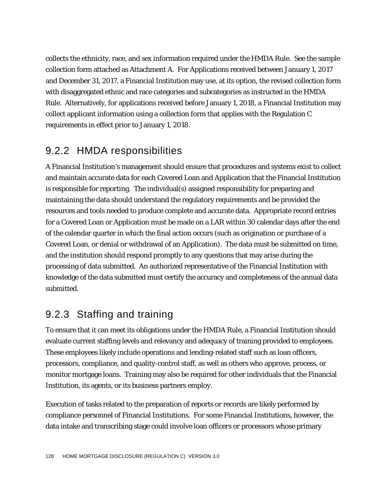collects the ethnicity, race, and sex information required under the HMDA Rule. See the sample collection form attached as Attachment A. For Applications received between January 1, 2017 and December 31, 2017, a Financial Institution may use, at its option, the revised collection form with disaggregated ethnic and race categories and subcategories as instructed in the HMDA Rule. Alternatively, for applications received before January 1, 2018, a Financial Institution may collect applicant information using a collection form that applies with the Regulation C requirements in effect prior to January 1, 2018.

#### 9.2.2 HMDA responsibilities

A Financial Institution's management should ensure that procedures and systems exist to collect and maintain accurate data for each Covered Loan and Application that the Financial Institution is responsible for reporting. The individual(s) assigned responsibility for preparing and maintaining the data should understand the regulatory requirements and be provided the resources and tools needed to produce complete and accurate data. Appropriate record entries for a Covered Loan or Application must be made on a LAR within 30 calendar days after the end of the calendar quarter in which the final action occurs (such as origination or purchase of a Covered Loan, or denial or withdrawal of an Application). The data must be submitted on time, and the institution should respond promptly to any questions that may arise during the processing of data submitted. An authorized representative of the Financial Institution with knowledge of the data submitted must certify the accuracy and completeness of the annual data submitted.

#### 9.2.3 Staffing and training

To ensure that it can meet its obligations under the HMDA Rule, a Financial Institution should evaluate current staffing levels and relevancy and adequacy of training provided to employees. These employees likely include operations and lending-related staff such as loan officers, processors, compliance, and quality-control staff, as well as others who approve, process, or monitor mortgage loans. Training may also be required for other individuals that the Financial Institution, its agents, or its business partners employ.

Execution of tasks related to the preparation of reports or records are likely performed by compliance personnel of Financial Institutions. For some Financial Institutions, however, the data intake and transcribing stage could involve loan officers or processors whose primary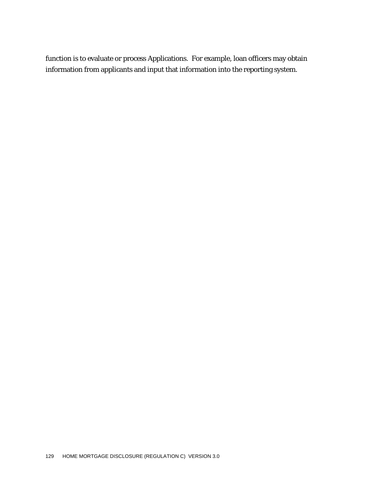function is to evaluate or process Applications. For example, loan officers may obtain information from applicants and input that information into the reporting system.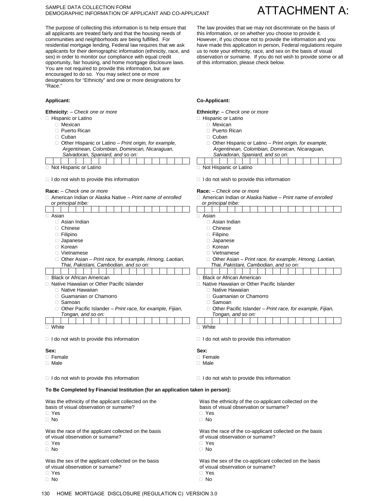#### SAMPLE DATA COLLECTION FORM DEMOGRAPHIC INFORMATION OF APPLICANT AND CO-APPLICANT

The purpose of collecting this information is to help ensure that all applicants are treated fairly and that the housing needs of communities and neighborhoods are being fulfilled. For residential mortgage lending, Federal law requires that we ask applicants for their demographic information (ethnicity, race, and sex) in order to monitor our compliance with equal credit opportunity, fair housing, and home mortgage disclosure laws. You are not required to provide this information, but are encouraged to do so. You may select one or more designations for "Ethnicity" and one or more designations for "Race."

- - □ Mexican **Nexican Mexican Mexican**
	- □ Puerto Rican Puerto Rican Puerto Rican Puerto Rican Puerto Rican Puerto Rican Puerto Rican Puerto Rican Puerto Rican Puerto Rican Puerto Rican Puerto Rican Puerto Rican Puerto Rican Puerto Rican Puerto Ri
	- □ Cuban Cuban Cuban Cuban Cuban Cuban Cuban Cuban Cuban Cuban Cuban Cuban Cuban Cuban Cuban Cuban Cuban Cuban Cuban Cuban Cuban Cuban Cuban Cuban Cuban Cuban Cuban Cuban Cuban Cuban Cuban Cu
	- Other Hispanic or Latino *Print origin, for example, Argentinean, Colombian, Dominican, Nicaraguan, Salvadoran, Spaniard, and so on:*
- Not Hispanic or Latino **Not Hispanic or Latino** Not Hispanic or Latino □ I do not wish to provide this information **I** do not wish to provide this information

#### **Race:** – *Check one or more* **Race:** – *Check one or more*

- American Indian or Alaska Native *Print name of enrolled or principal tribe:*
- $\Box$  Asian  $\Box$  Asian  $\Box$ □ Asian Indian **Asian Indian**  Chinese Chinese  $\Box$  Filipino  $\Box$  Filipino  $\Box$  Filipino  $\Box$  Filipino  $\Box$  Filipino  $\Box$  Filipino  $\Box$  Filipino  $\Box$  Filipino  $\Box$  Filipino  $\Box$  Filipino  $\Box$  Filipino  $\Box$  Filipino  $\Box$  Filipino  $\Box$  Filipino  $\Box$  Filipino  $\Box$  Filipi Japanese Japanese Korean Korean Vietnamese Vietnamese Other Asian – *Print race, for example, Hmong, Laotian, Thai, Pakistani, Cambodian, and so on:* Black or African American □ Native Hawaiian or Other Pacific Islander □ Native Hawaiian □ Guamanian or Chamorro **Guamanian or Chamorro Guamanian or Chamorro**  $\Box$  Samoan  $\Box$  Samoan  $\Box$  Samoan  $\Box$  Samoan  $\Box$  Samoan  $\Box$  Samoan  $\Box$  Samoan  $\Box$  Samoan  $\Box$  Samoan  $\Box$  Samoan  $\Box$  Samoan  $\Box$  Samoan  $\Box$  Samoan  $\Box$  Samoan  $\Box$  Samoan  $\Box$  Samoan  $\Box$  Samoan  $\Box$  Samoan  $\Box$  □ Other Pacific Islander – Print race, for example, Fijian,  *Tongan, and so on:*  $\Box$  White  $\Box$  White □ I do not wish to provide this information **I** do not wish to provide this information **Sex: Sex:** □ Female Between the state of the state of the state of the state of the state of the state of the state of the state of the state of the state of the state of the state of the state of the state of the state of the state  $\Box$  Male  $\Box$  Male □ I do not wish to provide this information **I** do not wish to provide this information **To Be Completed by Financial Institution (for an application taken in person):** Was the ethnicity of the applicant collected on the basis of visual observation or surname? Yes Yes  $\Box$  No  $\Box$  No  $\Box$  No  $\Box$  No  $\Box$  No  $\Box$  No  $\Box$  No  $\Box$  No  $\Box$  No  $\Box$  No  $\Box$  No  $\Box$  No  $\Box$  No  $\Box$  No  $\Box$  No  $\Box$  No  $\Box$  No  $\Box$  No  $\Box$  No  $\Box$  No  $\Box$  No  $\Box$  No  $\Box$  No  $\Box$  No  $\Box$  No  $\Box$  No  $\Box$  No  $\Box$  Yes Yes

- 
- $\Box$  No  $\Box$  No  $\Box$  No  $\Box$  No  $\Box$  No  $\Box$  No  $\Box$  No  $\Box$  No  $\Box$  No  $\Box$  No  $\Box$  No  $\Box$  No  $\Box$  No  $\Box$  No  $\Box$  No  $\Box$  No  $\Box$  No  $\Box$  No  $\Box$  No  $\Box$  No  $\Box$  No  $\Box$  No  $\Box$  No  $\Box$  No  $\Box$  No  $\Box$  No  $\Box$  No  $\Box$

ATTACHMENT A:

The law provides that we may not discriminate on the basis of this information, or on whether you choose to provide it. However, if you choose not to provide the information and you have made this application in person, Federal regulations require us to note your ethnicity, race, and sex on the basis of visual observation or surname. If you do not wish to provide some or all of this information, please check below.

#### **Applicant: Co-Applicant:**

**Ethnicity:** – *Check one or more* **Ethnicity:** – *Check one or more*

- □ Hispanic or Latino <br>□ Hispanic or Latino
	-
	-
	-

 $\overline{\phantom{a}}$ 

 Other Hispanic or Latino – *Print origin, for example, Argentinean, Colombian, Dominican, Nicaraguan, Salvadoran, Spaniard, and so on:*

| <u>odivuudidir. Obdinuidi aliu 30 oli.</u> |  |  |  |  |  |  |  |  |  |  |  |  |  |  |
|--------------------------------------------|--|--|--|--|--|--|--|--|--|--|--|--|--|--|
|                                            |  |  |  |  |  |  |  |  |  |  |  |  |  |  |
|                                            |  |  |  |  |  |  |  |  |  |  |  |  |  |  |
| $1.1 - 1.1$<br>.<br>____                   |  |  |  |  |  |  |  |  |  |  |  |  |  |  |

- American Indian or Alaska Native *Print name of enrolled* 
	- *or principal tribe:*
		-
		-
	-
	- Other Asian *Print race, for example, Hmong, Laotian, Thai, Pakistani, Cambodian, and so on:*

|                                           | Black or African American |  |  |  |  |  |  |  |  |  |  |  |  |  |  |  |
|-------------------------------------------|---------------------------|--|--|--|--|--|--|--|--|--|--|--|--|--|--|--|
| Native Hawaiian or Other Pacific Islander |                           |  |  |  |  |  |  |  |  |  |  |  |  |  |  |  |
| Native Hawaiian                           |                           |  |  |  |  |  |  |  |  |  |  |  |  |  |  |  |

- 
- 
- □ Other Pacific Islander Print race, for example, Fijian,
- *Tongan, and so on:*

| ∽ |  |  |  |  |  |  |  |  |  |  |  |  |  |  |  |
|---|--|--|--|--|--|--|--|--|--|--|--|--|--|--|--|
|   |  |  |  |  |  |  |  |  |  |  |  |  |  |  |  |
|   |  |  |  |  |  |  |  |  |  |  |  |  |  |  |  |

Was the ethnicity of the co-applicant collected on the basis of visual observation or surname? Was the race of the applicant collected on the basis Was the race of the co-applicant collected on the basis of visual observation or surname? of visual observation or surname?  $\Box$  No  $\Box$  No  $\Box$  No  $\Box$  No  $\Box$  No  $\Box$  No  $\Box$  No  $\Box$  No  $\Box$  No  $\Box$  No  $\Box$  No  $\Box$  No  $\Box$  No  $\Box$  No  $\Box$  No  $\Box$  No  $\Box$  No  $\Box$  No  $\Box$  No  $\Box$  No  $\Box$  No  $\Box$  No  $\Box$  No  $\Box$  No  $\Box$  No  $\Box$  No  $\Box$  No  $\Box$  Was the sex of the applicant collected on the basis Was the sex of the co-applicant collected on the basis of visual observation or surname? of visual observation or surname?  $\Box$  Yes  $\Box$  Yes

- 
- 130 HOME MORTGAGE DISCLOSURE (REGULATION C) VERSION 3.0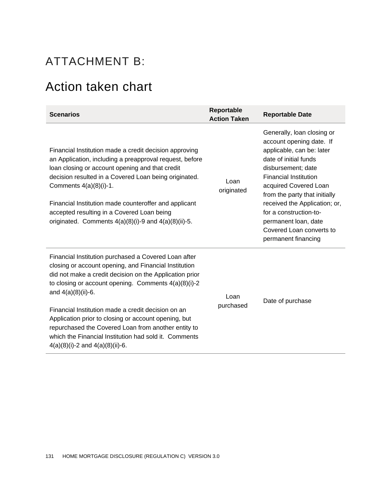### ATTACHMENT B:

### Action taken chart

| <b>Scenarios</b>                                                                                                                                                                                                                                                                                                                                                                                                                                                                                                                | Reportable<br><b>Action Taken</b> | <b>Reportable Date</b>                                                                                                                                                                                                                                                                                                                                             |
|---------------------------------------------------------------------------------------------------------------------------------------------------------------------------------------------------------------------------------------------------------------------------------------------------------------------------------------------------------------------------------------------------------------------------------------------------------------------------------------------------------------------------------|-----------------------------------|--------------------------------------------------------------------------------------------------------------------------------------------------------------------------------------------------------------------------------------------------------------------------------------------------------------------------------------------------------------------|
| Financial Institution made a credit decision approving<br>an Application, including a preapproval request, before<br>loan closing or account opening and that credit<br>decision resulted in a Covered Loan being originated.<br>Comments $4(a)(8)(i)-1$ .<br>Financial Institution made counteroffer and applicant<br>accepted resulting in a Covered Loan being<br>originated. Comments $4(a)(8)(i)$ -9 and $4(a)(8)(ii)$ -5.                                                                                                 | Loan<br>originated                | Generally, loan closing or<br>account opening date. If<br>applicable, can be: later<br>date of initial funds<br>disbursement; date<br><b>Financial Institution</b><br>acquired Covered Loan<br>from the party that initially<br>received the Application; or,<br>for a construction-to-<br>permanent loan, date<br>Covered Loan converts to<br>permanent financing |
| Financial Institution purchased a Covered Loan after<br>closing or account opening, and Financial Institution<br>did not make a credit decision on the Application prior<br>to closing or account opening. Comments 4(a)(8)(i)-2<br>and $4(a)(8)(ii)-6$ .<br>Financial Institution made a credit decision on an<br>Application prior to closing or account opening, but<br>repurchased the Covered Loan from another entity to<br>which the Financial Institution had sold it. Comments<br>$4(a)(8)(i)-2$ and $4(a)(8)(ii)-6$ . | Loan<br>purchased                 | Date of purchase                                                                                                                                                                                                                                                                                                                                                   |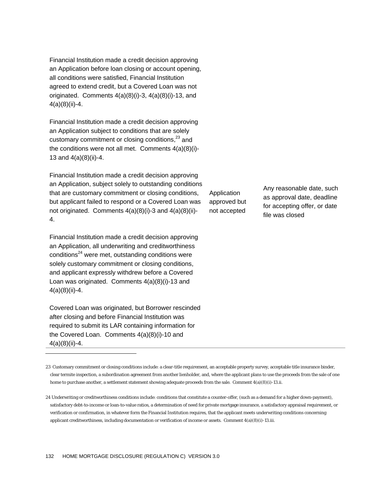Financial Institution made a credit decision approving an Application before loan closing or account opening, all conditions were satisfied, Financial Institution agreed to extend credit, but a Covered Loan was not originated. Comments 4(a)(8)(i)-3, 4(a)(8)(i)-13, and 4(a)(8)(ii)-4.

Financial Institution made a credit decision approving an Application subject to conditions that are solely customary commitment or closing conditions,<sup>23</sup> and the conditions were not all met. Comments 4(a)(8)(i)- 13 and 4(a)(8)(ii)-4.

Financial Institution made a credit decision approving an Application, subject solely to outstanding conditions that are customary commitment or closing conditions, but applicant failed to respond or a Covered Loan was not originated. Comments 4(a)(8)(i)-3 and 4(a)(8)(ii)- 4.

Financial Institution made a credit decision approving an Application, all underwriting and creditworthiness  $\text{conditions}^{24}$  were met, outstanding conditions were solely customary commitment or closing conditions, and applicant expressly withdrew before a Covered Loan was originated. Comments 4(a)(8)(i)-13 and 4(a)(8)(ii)-4.

Covered Loan was originated, but Borrower rescinded after closing and before Financial Institution was required to submit its LAR containing information for the Covered Loan. Comments 4(a)(8)(i)-10 and 4(a)(8)(ii)-4.

1

Application approved but not accepted

Any reasonable date, such as approval date, deadline for accepting offer, or date file was closed

<sup>23</sup> Customary commitment or closing conditions include: a clear-title requirement, an acceptable property survey, acceptable title insurance binder, clear termite inspection, a subordination agreement from another lienholder, and, where the applicant plans to use the proceeds from the sale of one home to purchase another, a settlement statement showing adequate proceeds from the sale. Comment 4(a)(8)(i)-13.ii.

<sup>24</sup> Underwriting or creditworthiness conditions include: conditions that constitute a counter-offer, (such as a demand for a higher down-payment), satisfactory debt-to-income or loan-to-value ratios, a determination of need for private mortgage insurance, a satisfactory appraisal requirement, or verification or confirmation, in whatever form the Financial Institution requires, that the applicant meets underwriting conditions concerning applicant creditworthiness, including documentation or verification of income or assets. Comment 4(a)(8)(i)-13.iii.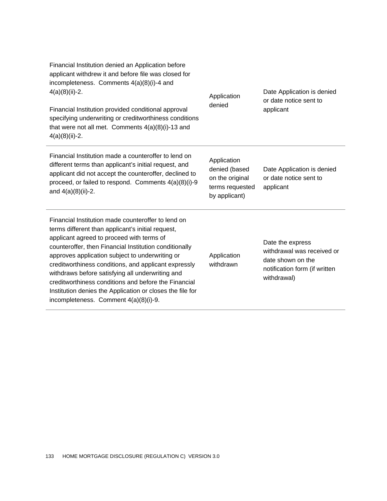| Financial Institution denied an Application before<br>applicant withdrew it and before file was closed for<br>incompleteness. Comments 4(a)(8)(i)-4 and<br>$4(a)(8)(ii)-2.$<br>Financial Institution provided conditional approval<br>specifying underwriting or creditworthiness conditions<br>that were not all met. Comments $4(a)(8)(i)$ -13 and<br>$4(a)(8)(ii)-2.$                                                                                                                                                                    | Application<br>denied                                                               | Date Application is denied<br>or date notice sent to<br>applicant                                                   |
|---------------------------------------------------------------------------------------------------------------------------------------------------------------------------------------------------------------------------------------------------------------------------------------------------------------------------------------------------------------------------------------------------------------------------------------------------------------------------------------------------------------------------------------------|-------------------------------------------------------------------------------------|---------------------------------------------------------------------------------------------------------------------|
| Financial Institution made a counteroffer to lend on<br>different terms than applicant's initial request, and<br>applicant did not accept the counteroffer, declined to<br>proceed, or failed to respond. Comments 4(a)(8)(i)-9<br>and 4(a)(8)(ii)-2.                                                                                                                                                                                                                                                                                       | Application<br>denied (based<br>on the original<br>terms requested<br>by applicant) | Date Application is denied<br>or date notice sent to<br>applicant                                                   |
| Financial Institution made counteroffer to lend on<br>terms different than applicant's initial request,<br>applicant agreed to proceed with terms of<br>counteroffer, then Financial Institution conditionally<br>approves application subject to underwriting or<br>creditworthiness conditions, and applicant expressly<br>withdraws before satisfying all underwriting and<br>creditworthiness conditions and before the Financial<br>Institution denies the Application or closes the file for<br>incompleteness. Comment 4(a)(8)(i)-9. | Application<br>withdrawn                                                            | Date the express<br>withdrawal was received or<br>date shown on the<br>notification form (if written<br>withdrawal) |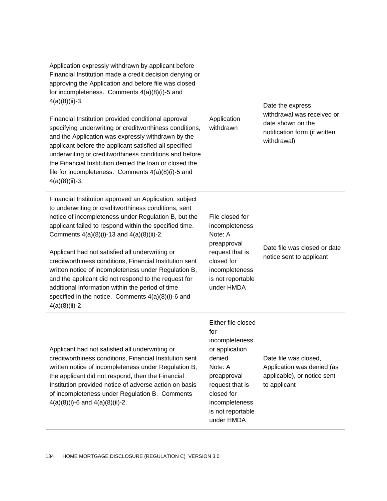Application expressly withdrawn by applicant before Financial Institution made a credit decision denying or approving the Application and before file was closed for incompleteness. Comments 4(a)(8)(i)-5 and 4(a)(8)(ii)-3.

Financial Institution provided conditional approval specifying underwriting or creditworthiness conditions, and the Application was expressly withdrawn by the applicant before the applicant satisfied all specified underwriting or creditworthiness conditions and before the Financial Institution denied the loan or closed the file for incompleteness. Comments 4(a)(8)(i)-5 and 4(a)(8)(ii)-3.

Financial Institution approved an Application, subject to underwriting or creditworthiness conditions, sent notice of incompleteness under Regulation B, but the applicant failed to respond within the specified time. Comments 4(a)(8)(i)-13 and 4(a)(8)(ii)-2.

Applicant had not satisfied all underwriting or creditworthiness conditions, Financial Institution sent written notice of incompleteness under Regulation B, and the applicant did not respond to the request for additional information within the period of time specified in the notice. Comments 4(a)(8)(i)-6 and 4(a)(8)(ii)-2.

Application withdrawn

Date the express withdrawal was received or date shown on the notification form (if written withdrawal)

File closed for incompleteness Note: A preapproval request that is closed for incompleteness is not reportable under HMDA

is not reportable under HMDA

for

Date file was closed or date notice sent to applicant

Applicant had not satisfied all underwriting or creditworthiness conditions, Financial Institution sent written notice of incompleteness under Regulation B, the applicant did not respond, then the Financial Institution provided notice of adverse action on basis of incompleteness under Regulation B. Comments  $4(a)(8)(i)$ -6 and  $4(a)(8)(ii)$ -2.

Either file closed incompleteness or application denied Note: A preapproval request that is closed for incompleteness Date file was closed, Application was denied (as applicable), or notice sent to applicant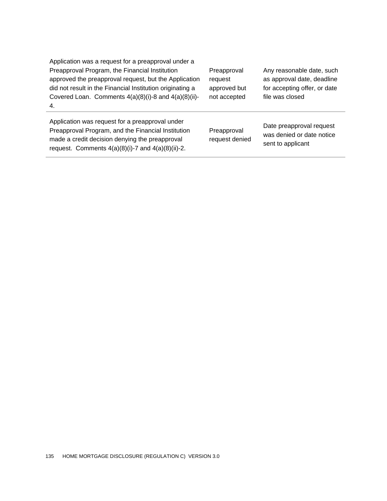| Application was a request for a preapproval under a<br>Preapproval Program, the Financial Institution<br>approved the preapproval request, but the Application<br>did not result in the Financial Institution originating a<br>Covered Loan. Comments 4(a)(8)(i)-8 and 4(a)(8)(ii)-<br>4. | Preapproval<br>request<br>approved but<br>not accepted | Any reasonable date, such<br>as approval date, deadline<br>for accepting offer, or date<br>file was closed |
|-------------------------------------------------------------------------------------------------------------------------------------------------------------------------------------------------------------------------------------------------------------------------------------------|--------------------------------------------------------|------------------------------------------------------------------------------------------------------------|
| Application was request for a preapproval under<br>Preapproval Program, and the Financial Institution<br>made a credit decision denying the preapproval<br>request. Comments $4(a)(8)(i)$ -7 and $4(a)(8)(ii)$ -2.                                                                        | Preapproval<br>request denied                          | Date preapproval request<br>was denied or date notice<br>sent to applicant                                 |